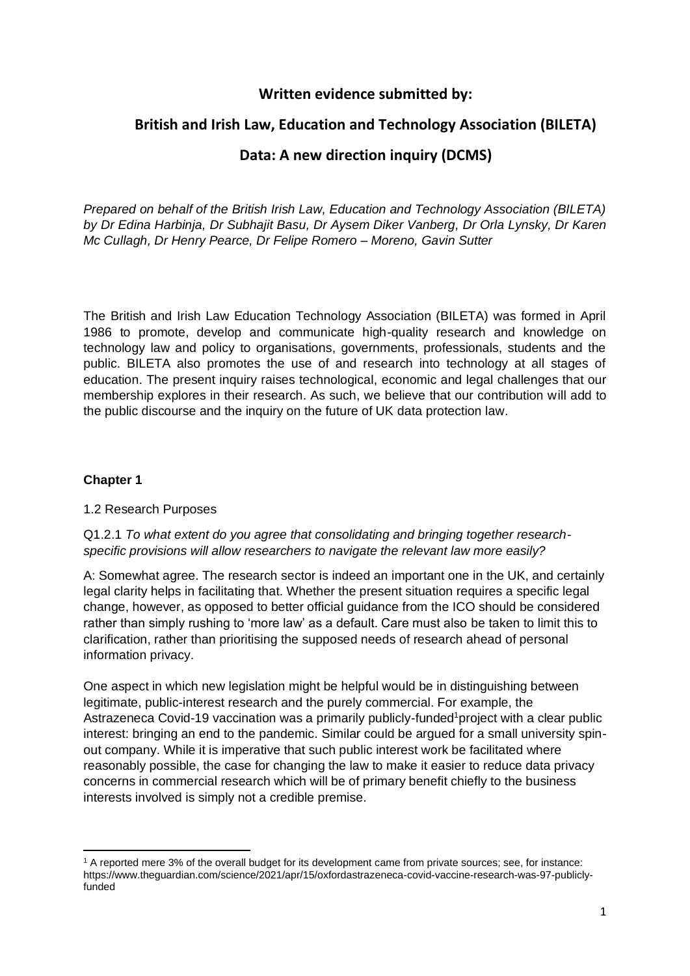# **Written evidence submitted by:**

# **British and Irish Law, Education and Technology Association (BILETA)**

# **Data: A new direction inquiry (DCMS)**

*Prepared on behalf of the British Irish Law, Education and Technology Association (BILETA) by Dr Edina Harbinja, Dr Subhajit Basu, Dr Aysem Diker Vanberg, Dr Orla Lynsky, Dr Karen Mc Cullagh, Dr Henry Pearce, Dr Felipe Romero – Moreno, Gavin Sutter*

The British and Irish Law Education Technology Association (BILETA) was formed in April 1986 to promote, develop and communicate high-quality research and knowledge on technology law and policy to organisations, governments, professionals, students and the public. BILETA also promotes the use of and research into technology at all stages of education. The present inquiry raises technological, economic and legal challenges that our membership explores in their research. As such, we believe that our contribution will add to the public discourse and the inquiry on the future of UK data protection law.

## **Chapter 1**

## 1.2 Research Purposes

Q1.2.1 *To what extent do you agree that consolidating and bringing together researchspecific provisions will allow researchers to navigate the relevant law more easily?* 

A: Somewhat agree. The research sector is indeed an important one in the UK, and certainly legal clarity helps in facilitating that. Whether the present situation requires a specific legal change, however, as opposed to better official guidance from the ICO should be considered rather than simply rushing to 'more law' as a default. Care must also be taken to limit this to clarification, rather than prioritising the supposed needs of research ahead of personal information privacy.

One aspect in which new legislation might be helpful would be in distinguishing between legitimate, public-interest research and the purely commercial. For example, the Astrazeneca Covid-19 vaccination was a primarily publicly-funded<sup>1</sup>project with a clear public interest: bringing an end to the pandemic. Similar could be argued for a small university spinout company. While it is imperative that such public interest work be facilitated where reasonably possible, the case for changing the law to make it easier to reduce data privacy concerns in commercial research which will be of primary benefit chiefly to the business interests involved is simply not a credible premise.

<sup>1</sup> A reported mere 3% of the overall budget for its development came from private sources; see, for instance: https://www.theguardian.com/science/2021/apr/15/oxfordastrazeneca-covid-vaccine-research-was-97-publiclyfunded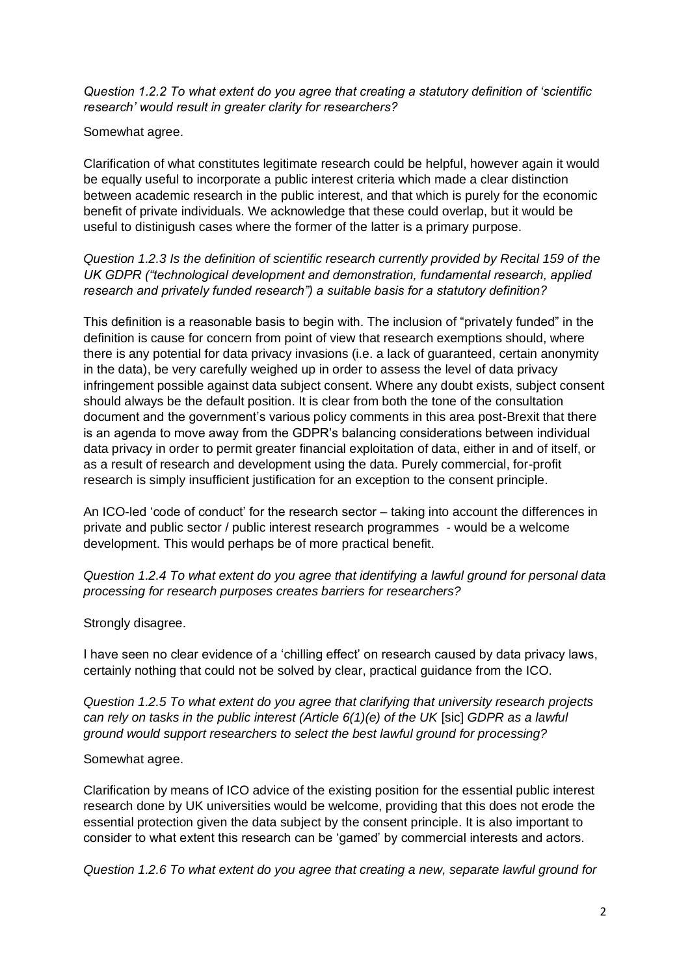*Question 1.2.2 To what extent do you agree that creating a statutory definition of 'scientific research' would result in greater clarity for researchers?*

#### Somewhat agree.

Clarification of what constitutes legitimate research could be helpful, however again it would be equally useful to incorporate a public interest criteria which made a clear distinction between academic research in the public interest, and that which is purely for the economic benefit of private individuals. We acknowledge that these could overlap, but it would be useful to distinigush cases where the former of the latter is a primary purpose.

*Question 1.2.3 Is the definition of scientific research currently provided by Recital 159 of the UK GDPR ("technological development and demonstration, fundamental research, applied research and privately funded research") a suitable basis for a statutory definition?* 

This definition is a reasonable basis to begin with. The inclusion of "privately funded" in the definition is cause for concern from point of view that research exemptions should, where there is any potential for data privacy invasions (i.e. a lack of guaranteed, certain anonymity in the data), be very carefully weighed up in order to assess the level of data privacy infringement possible against data subject consent. Where any doubt exists, subject consent should always be the default position. It is clear from both the tone of the consultation document and the government's various policy comments in this area post-Brexit that there is an agenda to move away from the GDPR's balancing considerations between individual data privacy in order to permit greater financial exploitation of data, either in and of itself, or as a result of research and development using the data. Purely commercial, for-profit research is simply insufficient justification for an exception to the consent principle.

An ICO-led 'code of conduct' for the research sector – taking into account the differences in private and public sector / public interest research programmes - would be a welcome development. This would perhaps be of more practical benefit.

*Question 1.2.4 To what extent do you agree that identifying a lawful ground for personal data processing for research purposes creates barriers for researchers?* 

#### Strongly disagree.

I have seen no clear evidence of a 'chilling effect' on research caused by data privacy laws, certainly nothing that could not be solved by clear, practical guidance from the ICO.

*Question 1.2.5 To what extent do you agree that clarifying that university research projects can rely on tasks in the public interest (Article 6(1)(e) of the UK* [sic] *GDPR as a lawful ground would support researchers to select the best lawful ground for processing?* 

#### Somewhat agree.

Clarification by means of ICO advice of the existing position for the essential public interest research done by UK universities would be welcome, providing that this does not erode the essential protection given the data subject by the consent principle. It is also important to consider to what extent this research can be 'gamed' by commercial interests and actors.

*Question 1.2.6 To what extent do you agree that creating a new, separate lawful ground for*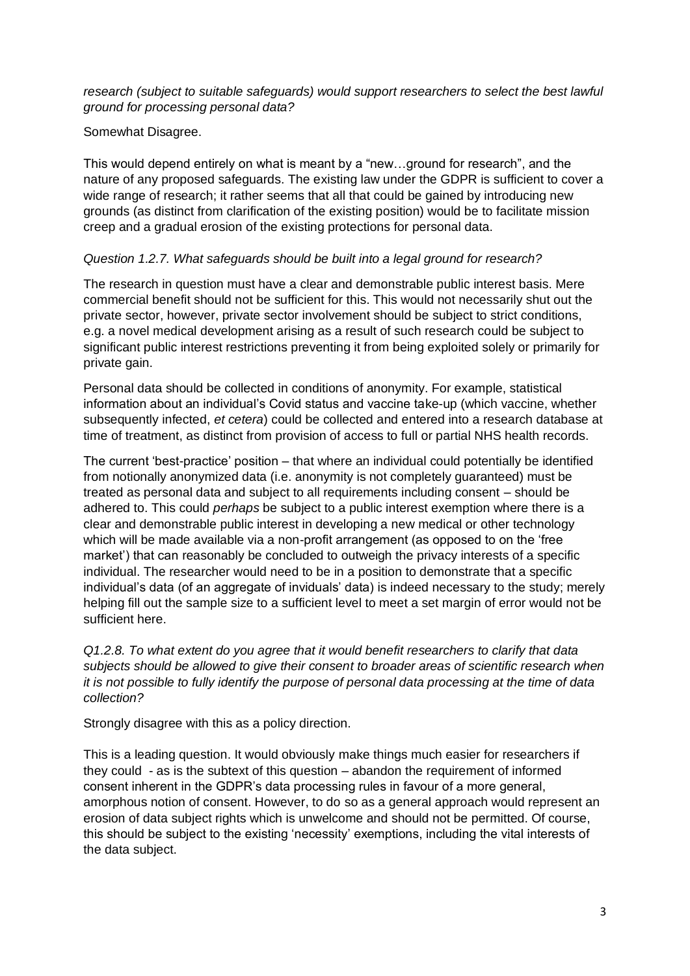## *research (subject to suitable safeguards) would support researchers to select the best lawful ground for processing personal data?*

## Somewhat Disagree.

This would depend entirely on what is meant by a "new…ground for research", and the nature of any proposed safeguards. The existing law under the GDPR is sufficient to cover a wide range of research; it rather seems that all that could be gained by introducing new grounds (as distinct from clarification of the existing position) would be to facilitate mission creep and a gradual erosion of the existing protections for personal data.

## *Question 1.2.7. What safeguards should be built into a legal ground for research?*

The research in question must have a clear and demonstrable public interest basis. Mere commercial benefit should not be sufficient for this. This would not necessarily shut out the private sector, however, private sector involvement should be subject to strict conditions, e.g. a novel medical development arising as a result of such research could be subject to significant public interest restrictions preventing it from being exploited solely or primarily for private gain.

Personal data should be collected in conditions of anonymity. For example, statistical information about an individual's Covid status and vaccine take-up (which vaccine, whether subsequently infected, *et cetera*) could be collected and entered into a research database at time of treatment, as distinct from provision of access to full or partial NHS health records.

The current 'best-practice' position – that where an individual could potentially be identified from notionally anonymized data (i.e. anonymity is not completely guaranteed) must be treated as personal data and subject to all requirements including consent – should be adhered to. This could *perhaps* be subject to a public interest exemption where there is a clear and demonstrable public interest in developing a new medical or other technology which will be made available via a non-profit arrangement (as opposed to on the 'free market') that can reasonably be concluded to outweigh the privacy interests of a specific individual. The researcher would need to be in a position to demonstrate that a specific individual's data (of an aggregate of inviduals' data) is indeed necessary to the study; merely helping fill out the sample size to a sufficient level to meet a set margin of error would not be sufficient here.

*Q1.2.8. To what extent do you agree that it would benefit researchers to clarify that data subjects should be allowed to give their consent to broader areas of scientific research when it is not possible to fully identify the purpose of personal data processing at the time of data collection?*

Strongly disagree with this as a policy direction.

This is a leading question. It would obviously make things much easier for researchers if they could - as is the subtext of this question – abandon the requirement of informed consent inherent in the GDPR's data processing rules in favour of a more general, amorphous notion of consent. However, to do so as a general approach would represent an erosion of data subject rights which is unwelcome and should not be permitted. Of course, this should be subject to the existing 'necessity' exemptions, including the vital interests of the data subject.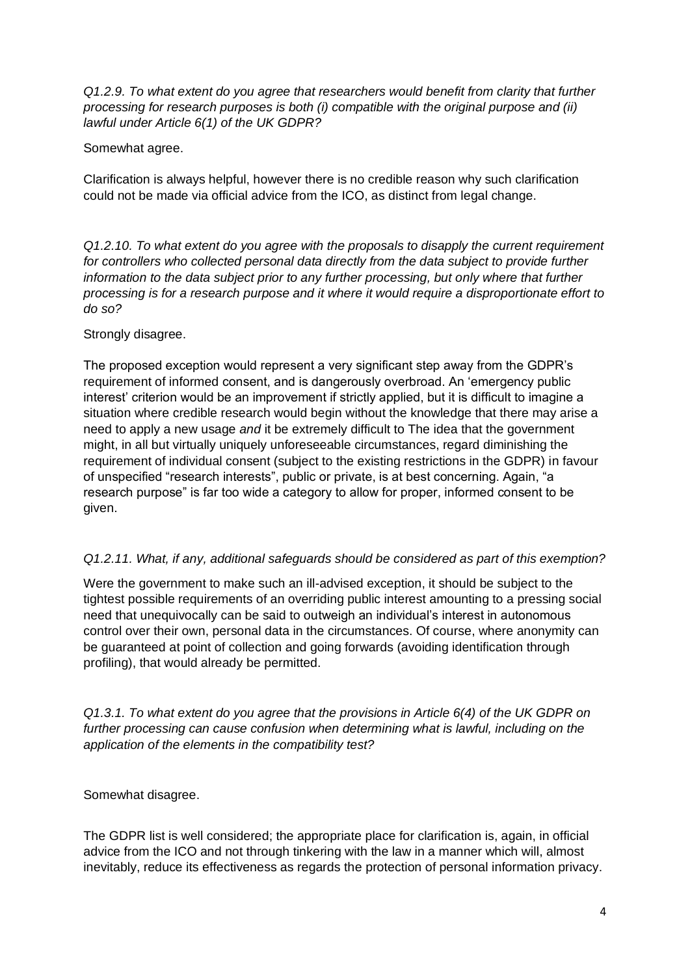*Q1.2.9. To what extent do you agree that researchers would benefit from clarity that further processing for research purposes is both (i) compatible with the original purpose and (ii) lawful under Article 6(1) of the UK GDPR?*

Somewhat agree.

Clarification is always helpful, however there is no credible reason why such clarification could not be made via official advice from the ICO, as distinct from legal change.

*Q1.2.10. To what extent do you agree with the proposals to disapply the current requirement for controllers who collected personal data directly from the data subject to provide further information to the data subject prior to any further processing, but only where that further processing is for a research purpose and it where it would require a disproportionate effort to do so?* 

Strongly disagree.

The proposed exception would represent a very significant step away from the GDPR's requirement of informed consent, and is dangerously overbroad. An 'emergency public interest' criterion would be an improvement if strictly applied, but it is difficult to imagine a situation where credible research would begin without the knowledge that there may arise a need to apply a new usage *and* it be extremely difficult to The idea that the government might, in all but virtually uniquely unforeseeable circumstances, regard diminishing the requirement of individual consent (subject to the existing restrictions in the GDPR) in favour of unspecified "research interests", public or private, is at best concerning. Again, "a research purpose" is far too wide a category to allow for proper, informed consent to be given.

# *Q1.2.11. What, if any, additional safeguards should be considered as part of this exemption?*

Were the government to make such an ill-advised exception, it should be subject to the tightest possible requirements of an overriding public interest amounting to a pressing social need that unequivocally can be said to outweigh an individual's interest in autonomous control over their own, personal data in the circumstances. Of course, where anonymity can be guaranteed at point of collection and going forwards (avoiding identification through profiling), that would already be permitted.

*Q1.3.1. To what extent do you agree that the provisions in Article 6(4) of the UK GDPR on further processing can cause confusion when determining what is lawful, including on the application of the elements in the compatibility test?* 

Somewhat disagree.

The GDPR list is well considered; the appropriate place for clarification is, again, in official advice from the ICO and not through tinkering with the law in a manner which will, almost inevitably, reduce its effectiveness as regards the protection of personal information privacy.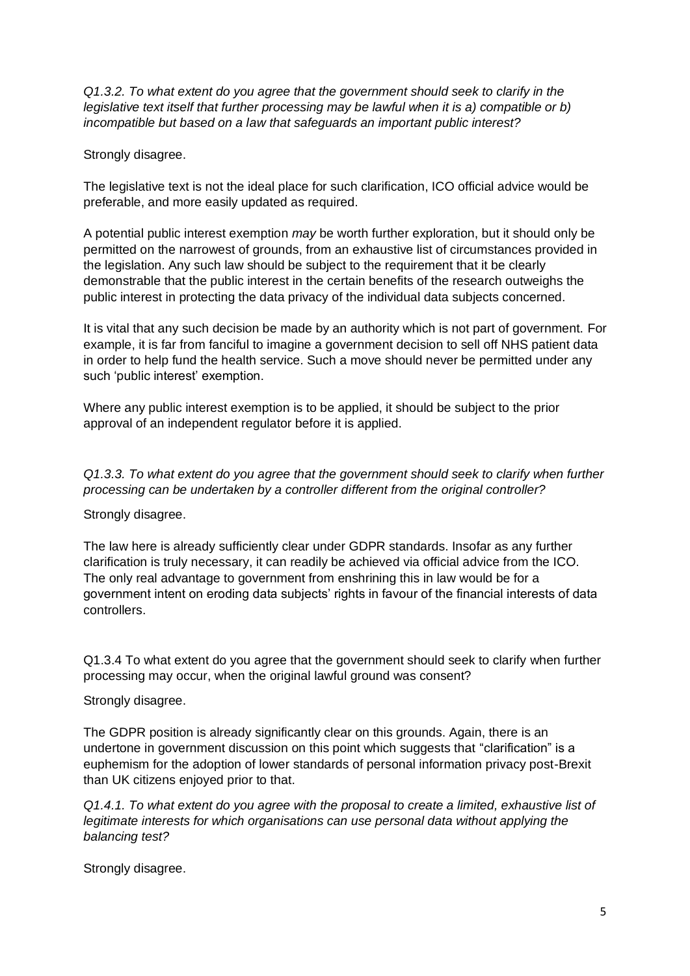*Q1.3.2. To what extent do you agree that the government should seek to clarify in the legislative text itself that further processing may be lawful when it is a) compatible or b) incompatible but based on a law that safeguards an important public interest?*

Strongly disagree.

The legislative text is not the ideal place for such clarification, ICO official advice would be preferable, and more easily updated as required.

A potential public interest exemption *may* be worth further exploration, but it should only be permitted on the narrowest of grounds, from an exhaustive list of circumstances provided in the legislation. Any such law should be subject to the requirement that it be clearly demonstrable that the public interest in the certain benefits of the research outweighs the public interest in protecting the data privacy of the individual data subjects concerned.

It is vital that any such decision be made by an authority which is not part of government. For example, it is far from fanciful to imagine a government decision to sell off NHS patient data in order to help fund the health service. Such a move should never be permitted under any such 'public interest' exemption.

Where any public interest exemption is to be applied, it should be subject to the prior approval of an independent regulator before it is applied.

*Q1.3.3. To what extent do you agree that the government should seek to clarify when further processing can be undertaken by a controller different from the original controller?*

Strongly disagree.

The law here is already sufficiently clear under GDPR standards. Insofar as any further clarification is truly necessary, it can readily be achieved via official advice from the ICO. The only real advantage to government from enshrining this in law would be for a government intent on eroding data subjects' rights in favour of the financial interests of data controllers.

Q1.3.4 To what extent do you agree that the government should seek to clarify when further processing may occur, when the original lawful ground was consent?

Strongly disagree.

The GDPR position is already significantly clear on this grounds. Again, there is an undertone in government discussion on this point which suggests that "clarification" is a euphemism for the adoption of lower standards of personal information privacy post-Brexit than UK citizens enjoyed prior to that.

*Q1.4.1. To what extent do you agree with the proposal to create a limited, exhaustive list of legitimate interests for which organisations can use personal data without applying the balancing test?*

Strongly disagree.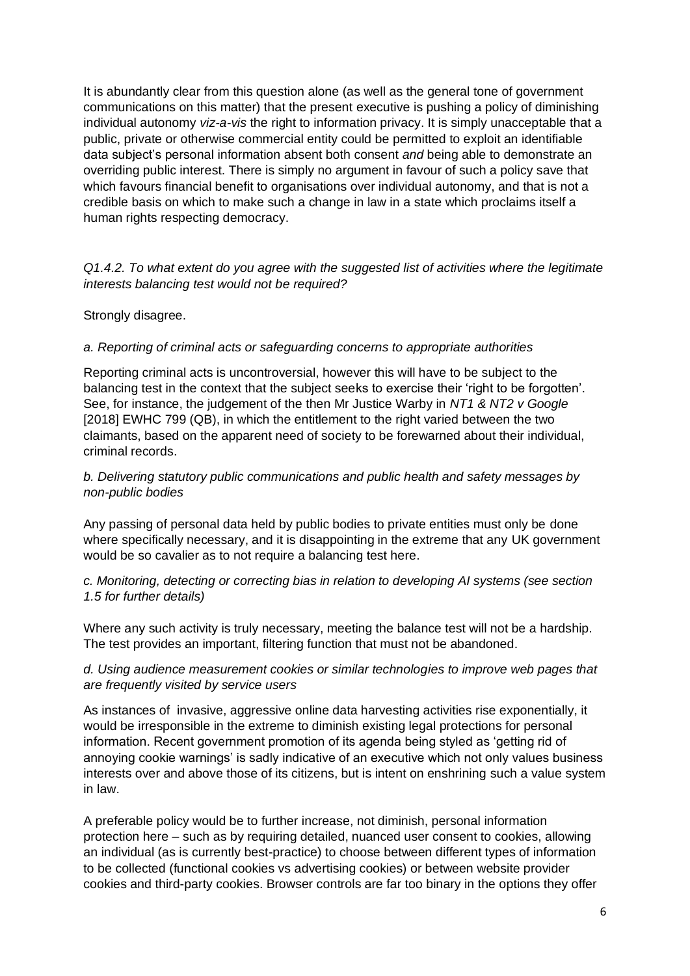It is abundantly clear from this question alone (as well as the general tone of government communications on this matter) that the present executive is pushing a policy of diminishing individual autonomy *viz-a-vis* the right to information privacy. It is simply unacceptable that a public, private or otherwise commercial entity could be permitted to exploit an identifiable data subject's personal information absent both consent *and* being able to demonstrate an overriding public interest. There is simply no argument in favour of such a policy save that which favours financial benefit to organisations over individual autonomy, and that is not a credible basis on which to make such a change in law in a state which proclaims itself a human rights respecting democracy.

*Q1.4.2. To what extent do you agree with the suggested list of activities where the legitimate interests balancing test would not be required?* 

Strongly disagree.

#### *a. Reporting of criminal acts or safeguarding concerns to appropriate authorities*

Reporting criminal acts is uncontroversial, however this will have to be subject to the balancing test in the context that the subject seeks to exercise their 'right to be forgotten'. See, for instance, the judgement of the then Mr Justice Warby in *NT1 & NT2 v Google*  [2018] EWHC 799 (QB), in which the entitlement to the right varied between the two claimants, based on the apparent need of society to be forewarned about their individual, criminal records.

*b. Delivering statutory public communications and public health and safety messages by non-public bodies* 

Any passing of personal data held by public bodies to private entities must only be done where specifically necessary, and it is disappointing in the extreme that any UK government would be so cavalier as to not require a balancing test here.

*c. Monitoring, detecting or correcting bias in relation to developing AI systems (see section 1.5 for further details)* 

Where any such activity is truly necessary, meeting the balance test will not be a hardship. The test provides an important, filtering function that must not be abandoned.

#### *d. Using audience measurement cookies or similar technologies to improve web pages that are frequently visited by service users*

As instances of invasive, aggressive online data harvesting activities rise exponentially, it would be irresponsible in the extreme to diminish existing legal protections for personal information. Recent government promotion of its agenda being styled as 'getting rid of annoying cookie warnings' is sadly indicative of an executive which not only values business interests over and above those of its citizens, but is intent on enshrining such a value system in law.

A preferable policy would be to further increase, not diminish, personal information protection here – such as by requiring detailed, nuanced user consent to cookies, allowing an individual (as is currently best-practice) to choose between different types of information to be collected (functional cookies vs advertising cookies) or between website provider cookies and third-party cookies. Browser controls are far too binary in the options they offer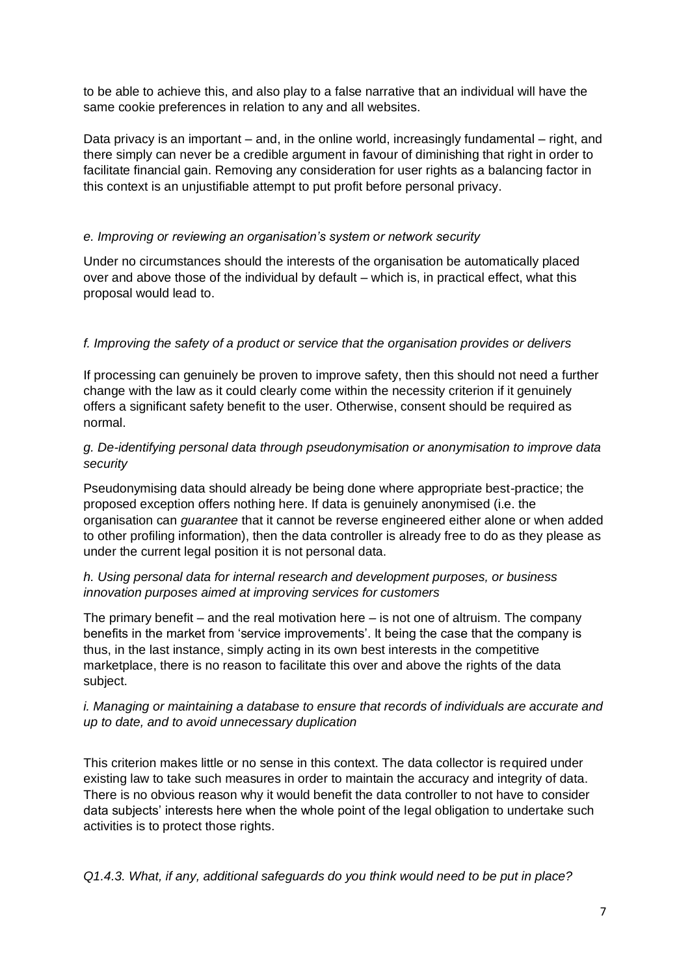to be able to achieve this, and also play to a false narrative that an individual will have the same cookie preferences in relation to any and all websites.

Data privacy is an important – and, in the online world, increasingly fundamental – right, and there simply can never be a credible argument in favour of diminishing that right in order to facilitate financial gain. Removing any consideration for user rights as a balancing factor in this context is an unjustifiable attempt to put profit before personal privacy.

# *e. Improving or reviewing an organisation's system or network security*

Under no circumstances should the interests of the organisation be automatically placed over and above those of the individual by default – which is, in practical effect, what this proposal would lead to.

## *f. Improving the safety of a product or service that the organisation provides or delivers*

If processing can genuinely be proven to improve safety, then this should not need a further change with the law as it could clearly come within the necessity criterion if it genuinely offers a significant safety benefit to the user. Otherwise, consent should be required as normal.

## *g. De-identifying personal data through pseudonymisation or anonymisation to improve data security*

Pseudonymising data should already be being done where appropriate best-practice; the proposed exception offers nothing here. If data is genuinely anonymised (i.e. the organisation can *guarantee* that it cannot be reverse engineered either alone or when added to other profiling information), then the data controller is already free to do as they please as under the current legal position it is not personal data.

## *h. Using personal data for internal research and development purposes, or business innovation purposes aimed at improving services for customers*

The primary benefit – and the real motivation here – is not one of altruism. The company benefits in the market from 'service improvements'. It being the case that the company is thus, in the last instance, simply acting in its own best interests in the competitive marketplace, there is no reason to facilitate this over and above the rights of the data subject.

## *i. Managing or maintaining a database to ensure that records of individuals are accurate and up to date, and to avoid unnecessary duplication*

This criterion makes little or no sense in this context. The data collector is required under existing law to take such measures in order to maintain the accuracy and integrity of data. There is no obvious reason why it would benefit the data controller to not have to consider data subjects' interests here when the whole point of the legal obligation to undertake such activities is to protect those rights.

*Q1.4.3. What, if any, additional safeguards do you think would need to be put in place?*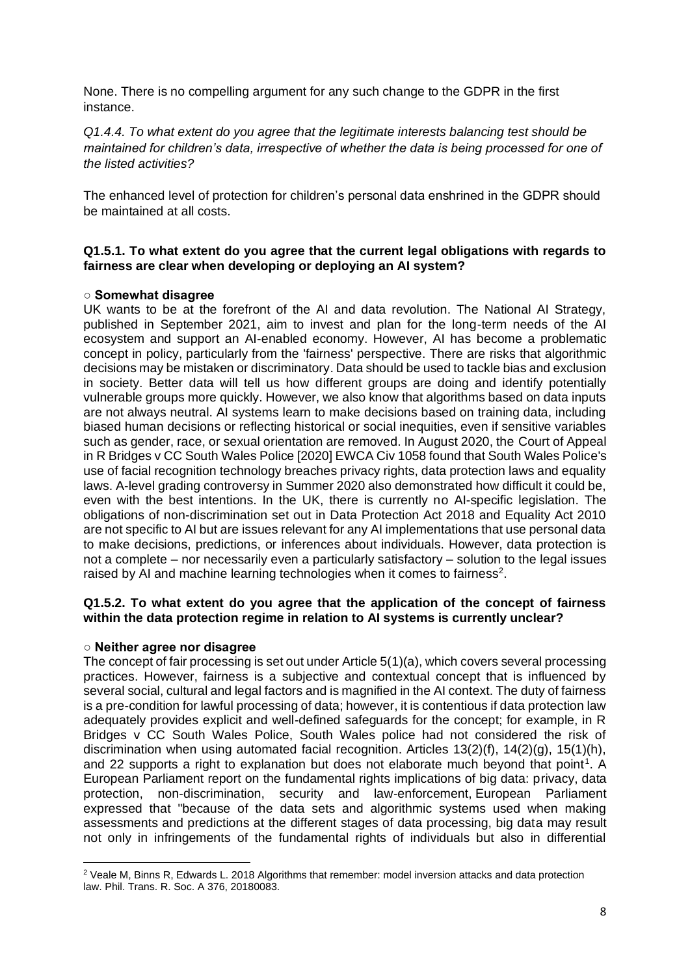None. There is no compelling argument for any such change to the GDPR in the first instance.

## *Q1.4.4. To what extent do you agree that the legitimate interests balancing test should be maintained for children's data, irrespective of whether the data is being processed for one of the listed activities?*

The enhanced level of protection for children's personal data enshrined in the GDPR should be maintained at all costs.

#### **Q1.5.1. To what extent do you agree that the current legal obligations with regards to fairness are clear when developing or deploying an AI system?**

#### **○ Somewhat disagree**

UK wants to be at the forefront of the AI and data revolution. The National AI Strategy, published in September 2021, aim to invest and plan for the long-term needs of the AI ecosystem and support an AI-enabled economy. However, AI has become a problematic concept in policy, particularly from the 'fairness' perspective. There are risks that algorithmic decisions may be mistaken or discriminatory. Data should be used to tackle bias and exclusion in society. Better data will tell us how different groups are doing and identify potentially vulnerable groups more quickly. However, we also know that algorithms based on data inputs are not always neutral. AI systems learn to make decisions based on training data, including biased human decisions or reflecting historical or social inequities, even if sensitive variables such as gender, race, or sexual orientation are removed. In August 2020, the Court of Appeal in R Bridges v CC South Wales Police [2020] EWCA Civ 1058 found that South Wales Police's use of facial recognition technology breaches privacy rights, data protection laws and equality laws. A-level grading controversy in Summer 2020 also demonstrated how difficult it could be, even with the best intentions. In the UK, there is currently no AI-specific legislation. The obligations of non-discrimination set out in Data Protection Act 2018 and Equality Act 2010 are not specific to AI but are issues relevant for any AI implementations that use personal data to make decisions, predictions, or inferences about individuals. However, data protection is not a complete – nor necessarily even a particularly satisfactory – solution to the legal issues raised by AI and machine learning technologies when it comes to fairness<sup>2</sup>.

## **Q1.5.2. To what extent do you agree that the application of the concept of fairness within the data protection regime in relation to AI systems is currently unclear?**

#### **○ Neither agree nor disagree**

The concept of fair processing is set out under Article 5(1)(a), which covers several processing practices. However, fairness is a subjective and contextual concept that is influenced by several social, cultural and legal factors and is magnified in the AI context. The duty of fairness is a pre-condition for lawful processing of data; however, it is contentious if data protection law adequately provides explicit and well-defined safeguards for the concept; for example, in R Bridges v CC South Wales Police, South Wales police had not considered the risk of discrimination when using automated facial recognition. Articles  $13(2)(f)$ ,  $14(2)(g)$ ,  $15(1)(h)$ , and 22 supports a right to explanation but does not elaborate much beyond that point<sup>1</sup>. A European Parliament report on the fundamental rights implications of big data: privacy, data protection, non-discrimination, security and law-enforcement, European Parliament expressed that "because of the data sets and algorithmic systems used when making assessments and predictions at the different stages of data processing, big data may result not only in infringements of the fundamental rights of individuals but also in differential

<sup>2</sup> Veale M, Binns R, Edwards L. 2018 Algorithms that remember: model inversion attacks and data protection law. Phil. Trans. R. Soc. A 376, 20180083.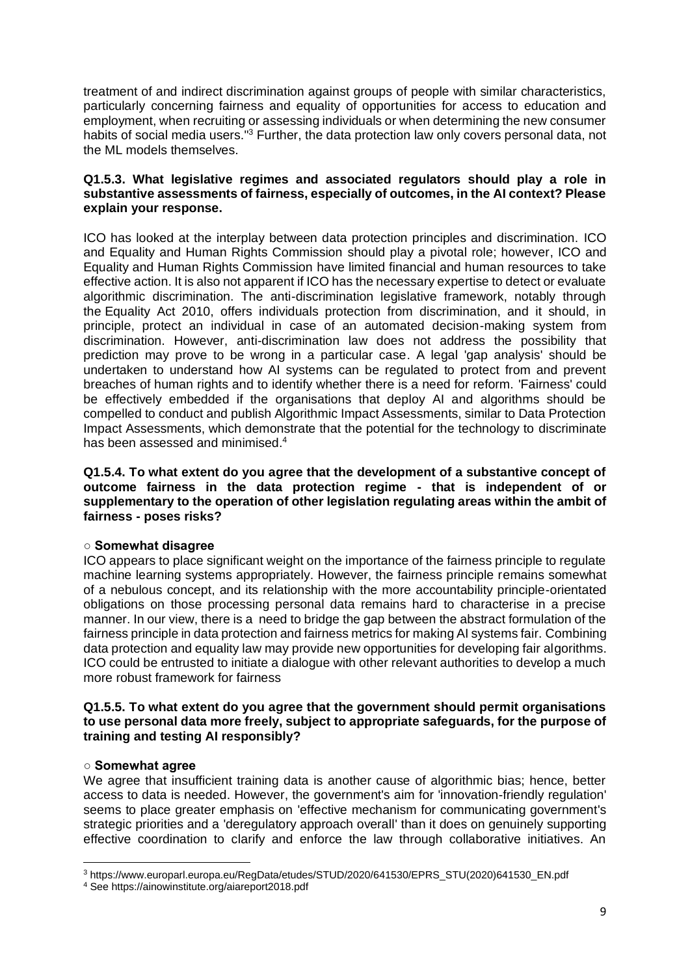treatment of and indirect discrimination against groups of people with similar characteristics, particularly concerning fairness and equality of opportunities for access to education and employment, when recruiting or assessing individuals or when determining the new consumer habits of social media users."<sup>3</sup> Further, the data protection law only covers personal data, not the ML models themselves.

#### **Q1.5.3. What legislative regimes and associated regulators should play a role in substantive assessments of fairness, especially of outcomes, in the AI context? Please explain your response.**

ICO has looked at the interplay between data protection principles and discrimination. ICO and Equality and Human Rights Commission should play a pivotal role; however, ICO and Equality and Human Rights Commission have limited financial and human resources to take effective action. It is also not apparent if ICO has the necessary expertise to detect or evaluate algorithmic discrimination. The anti-discrimination legislative framework, notably through the Equality Act 2010, offers individuals protection from discrimination, and it should, in principle, protect an individual in case of an automated decision-making system from discrimination. However, anti-discrimination law does not address the possibility that prediction may prove to be wrong in a particular case. A legal 'gap analysis' should be undertaken to understand how AI systems can be regulated to protect from and prevent breaches of human rights and to identify whether there is a need for reform. 'Fairness' could be effectively embedded if the organisations that deploy AI and algorithms should be compelled to conduct and publish Algorithmic Impact Assessments, similar to Data Protection Impact Assessments, which demonstrate that the potential for the technology to discriminate has been assessed and minimised.<sup>4</sup>

**Q1.5.4. To what extent do you agree that the development of a substantive concept of outcome fairness in the data protection regime - that is independent of or supplementary to the operation of other legislation regulating areas within the ambit of fairness - poses risks?**

## **○ Somewhat disagree**

ICO appears to place significant weight on the importance of the fairness principle to regulate machine learning systems appropriately. However, the fairness principle remains somewhat of a nebulous concept, and its relationship with the more accountability principle-orientated obligations on those processing personal data remains hard to characterise in a precise manner. In our view, there is a need to bridge the gap between the abstract formulation of the fairness principle in data protection and fairness metrics for making AI systems fair. Combining data protection and equality law may provide new opportunities for developing fair algorithms. ICO could be entrusted to initiate a dialogue with other relevant authorities to develop a much more robust framework for fairness

#### **Q1.5.5. To what extent do you agree that the government should permit organisations to use personal data more freely, subject to appropriate safeguards, for the purpose of training and testing AI responsibly?**

## **○ Somewhat agree**

We agree that insufficient training data is another cause of algorithmic bias; hence, better access to data is needed. However, the government's aim for 'innovation-friendly regulation' seems to place greater emphasis on 'effective mechanism for communicating government's strategic priorities and a 'deregulatory approach overall' than it does on genuinely supporting effective coordination to clarify and enforce the law through collaborative initiatives. An

<sup>3</sup> https://www.europarl.europa.eu/RegData/etudes/STUD/2020/641530/EPRS\_STU(2020)641530\_EN.pdf

<sup>4</sup> See https://ainowinstitute.org/aiareport2018.pdf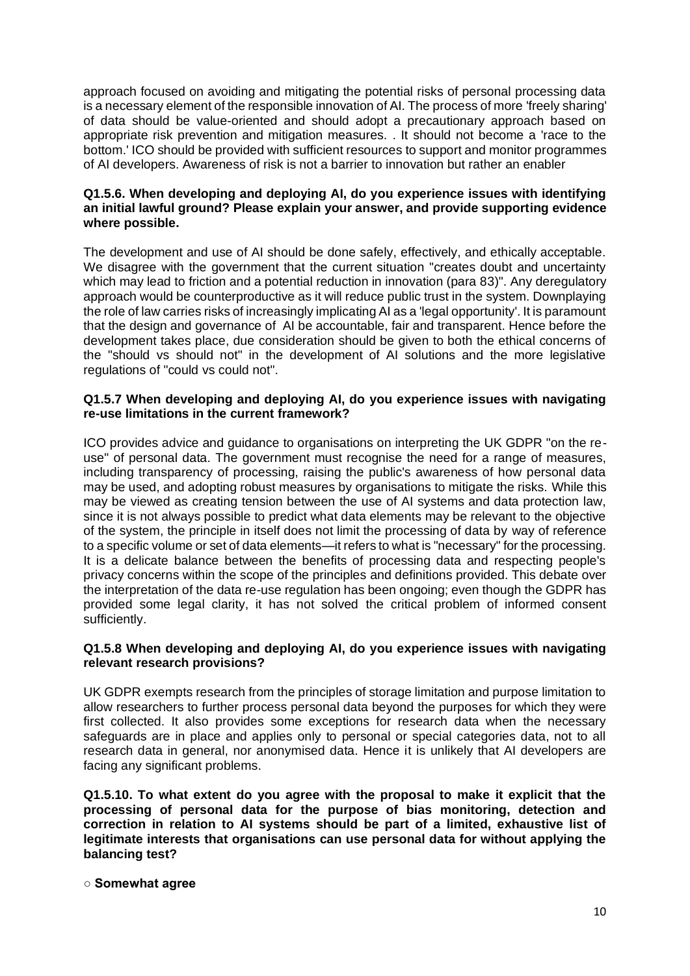approach focused on avoiding and mitigating the potential risks of personal processing data is a necessary element of the responsible innovation of AI. The process of more 'freely sharing' of data should be value-oriented and should adopt a precautionary approach based on appropriate risk prevention and mitigation measures. . It should not become a 'race to the bottom.' ICO should be provided with sufficient resources to support and monitor programmes of AI developers. Awareness of risk is not a barrier to innovation but rather an enabler

#### **Q1.5.6. When developing and deploying AI, do you experience issues with identifying an initial lawful ground? Please explain your answer, and provide supporting evidence where possible.**

The development and use of AI should be done safely, effectively, and ethically acceptable. We disagree with the government that the current situation "creates doubt and uncertainty which may lead to friction and a potential reduction in innovation (para 83)". Any deregulatory approach would be counterproductive as it will reduce public trust in the system. Downplaying the role of law carries risks of increasingly implicating AI as a 'legal opportunity'. It is paramount that the design and governance of AI be accountable, fair and transparent. Hence before the development takes place, due consideration should be given to both the ethical concerns of the "should vs should not" in the development of AI solutions and the more legislative regulations of "could vs could not".

## **Q1.5.7 When developing and deploying AI, do you experience issues with navigating re-use limitations in the current framework?**

ICO provides advice and guidance to organisations on interpreting the UK GDPR "on the reuse" of personal data. The government must recognise the need for a range of measures, including transparency of processing, raising the public's awareness of how personal data may be used, and adopting robust measures by organisations to mitigate the risks. While this may be viewed as creating tension between the use of AI systems and data protection law, since it is not always possible to predict what data elements may be relevant to the objective of the system, the principle in itself does not limit the processing of data by way of reference to a specific volume or set of data elements—it refers to what is "necessary" for the processing. It is a delicate balance between the benefits of processing data and respecting people's privacy concerns within the scope of the principles and definitions provided. This debate over the interpretation of the data re-use regulation has been ongoing; even though the GDPR has provided some legal clarity, it has not solved the critical problem of informed consent sufficiently.

#### **Q1.5.8 When developing and deploying AI, do you experience issues with navigating relevant research provisions?**

UK GDPR exempts research from the principles of storage limitation and purpose limitation to allow researchers to further process personal data beyond the purposes for which they were first collected. It also provides some exceptions for research data when the necessary safeguards are in place and applies only to personal or special categories data, not to all research data in general, nor anonymised data. Hence it is unlikely that AI developers are facing any significant problems.

**Q1.5.10. To what extent do you agree with the proposal to make it explicit that the processing of personal data for the purpose of bias monitoring, detection and correction in relation to AI systems should be part of a limited, exhaustive list of legitimate interests that organisations can use personal data for without applying the balancing test?**

**○ Somewhat agree**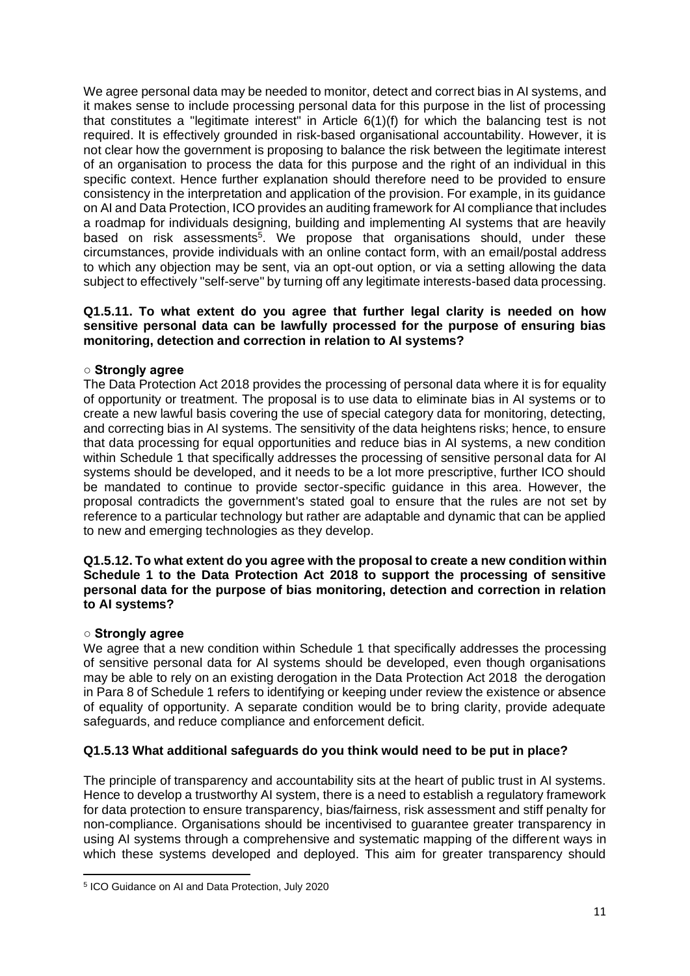We agree personal data may be needed to monitor, detect and correct bias in AI systems, and it makes sense to include processing personal data for this purpose in the list of processing that constitutes a "legitimate interest" in Article 6(1)(f) for which the balancing test is not required. It is effectively grounded in risk-based organisational accountability. However, it is not clear how the government is proposing to balance the risk between the legitimate interest of an organisation to process the data for this purpose and the right of an individual in this specific context. Hence further explanation should therefore need to be provided to ensure consistency in the interpretation and application of the provision. For example, in its guidance on AI and Data Protection, ICO provides an auditing framework for AI compliance that includes a roadmap for individuals designing, building and implementing AI systems that are heavily based on risk assessments<sup>5</sup>. We propose that organisations should, under these circumstances, provide individuals with an online contact form, with an email/postal address to which any objection may be sent, via an opt-out option, or via a setting allowing the data subject to effectively "self-serve" by turning off any legitimate interests-based data processing.

#### **Q1.5.11. To what extent do you agree that further legal clarity is needed on how sensitive personal data can be lawfully processed for the purpose of ensuring bias monitoring, detection and correction in relation to AI systems?**

## **○ Strongly agree**

The Data Protection Act 2018 provides the processing of personal data where it is for equality of opportunity or treatment. The proposal is to use data to eliminate bias in AI systems or to create a new lawful basis covering the use of special category data for monitoring, detecting, and correcting bias in AI systems. The sensitivity of the data heightens risks; hence, to ensure that data processing for equal opportunities and reduce bias in AI systems, a new condition within Schedule 1 that specifically addresses the processing of sensitive personal data for AI systems should be developed, and it needs to be a lot more prescriptive, further ICO should be mandated to continue to provide sector-specific guidance in this area. However, the proposal contradicts the government's stated goal to ensure that the rules are not set by reference to a particular technology but rather are adaptable and dynamic that can be applied to new and emerging technologies as they develop.

#### **Q1.5.12. To what extent do you agree with the proposal to create a new condition within Schedule 1 to the Data Protection Act 2018 to support the processing of sensitive personal data for the purpose of bias monitoring, detection and correction in relation to AI systems?**

## **○ Strongly agree**

We agree that a new condition within Schedule 1 that specifically addresses the processing of sensitive personal data for AI systems should be developed, even though organisations may be able to rely on an existing derogation in the Data Protection Act 2018 the derogation in Para 8 of Schedule 1 refers to identifying or keeping under review the existence or absence of equality of opportunity. A separate condition would be to bring clarity, provide adequate safeguards, and reduce compliance and enforcement deficit.

# **Q1.5.13 What additional safeguards do you think would need to be put in place?**

The principle of transparency and accountability sits at the heart of public trust in AI systems. Hence to develop a trustworthy AI system, there is a need to establish a regulatory framework for data protection to ensure transparency, bias/fairness, risk assessment and stiff penalty for non-compliance. Organisations should be incentivised to guarantee greater transparency in using AI systems through a comprehensive and systematic mapping of the different ways in which these systems developed and deployed. This aim for greater transparency should

<sup>5</sup> ICO Guidance on AI and Data Protection, July 2020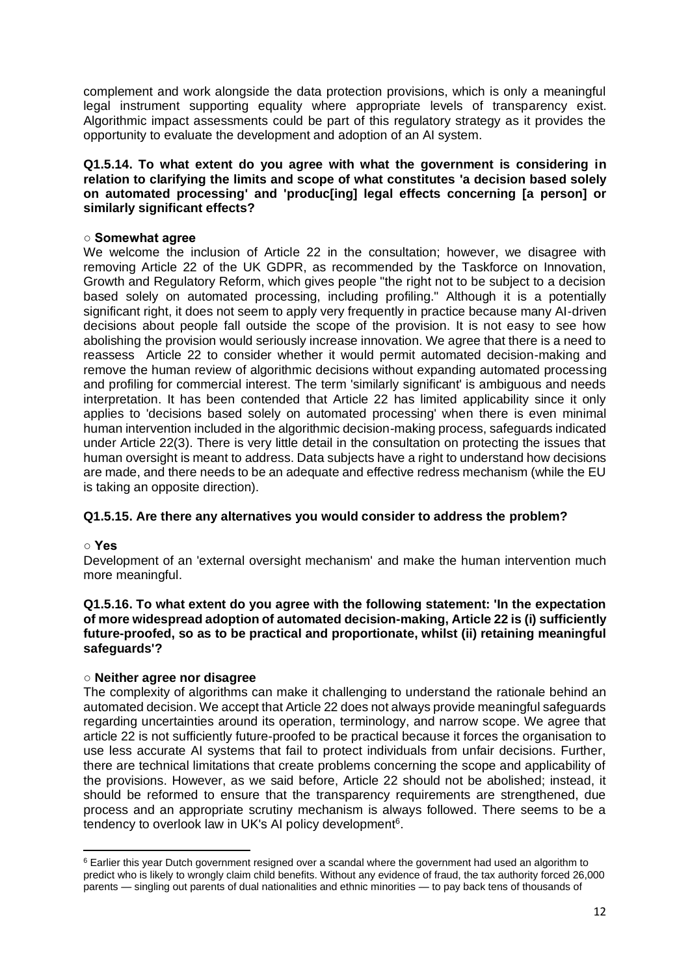complement and work alongside the data protection provisions, which is only a meaningful legal instrument supporting equality where appropriate levels of transparency exist. Algorithmic impact assessments could be part of this regulatory strategy as it provides the opportunity to evaluate the development and adoption of an AI system.

#### **Q1.5.14. To what extent do you agree with what the government is considering in relation to clarifying the limits and scope of what constitutes 'a decision based solely on automated processing' and 'produc[ing] legal effects concerning [a person] or similarly significant effects?**

#### **○ Somewhat agree**

We welcome the inclusion of Article 22 in the consultation; however, we disagree with removing Article 22 of the UK GDPR, as recommended by the Taskforce on Innovation, Growth and Regulatory Reform, which gives people "the right not to be subject to a decision based solely on automated processing, including profiling." Although it is a potentially significant right, it does not seem to apply very frequently in practice because many AI-driven decisions about people fall outside the scope of the provision. It is not easy to see how abolishing the provision would seriously increase innovation. We agree that there is a need to reassess Article 22 to consider whether it would permit automated decision-making and remove the human review of algorithmic decisions without expanding automated processing and profiling for commercial interest. The term 'similarly significant' is ambiguous and needs interpretation. It has been contended that Article 22 has limited applicability since it only applies to 'decisions based solely on automated processing' when there is even minimal human intervention included in the algorithmic decision-making process, safeguards indicated under Article 22(3). There is very little detail in the consultation on protecting the issues that human oversight is meant to address. Data subjects have a right to understand how decisions are made, and there needs to be an adequate and effective redress mechanism (while the EU is taking an opposite direction).

## **Q1.5.15. Are there any alternatives you would consider to address the problem?**

## **○ Yes**

Development of an 'external oversight mechanism' and make the human intervention much more meaningful.

#### **Q1.5.16. To what extent do you agree with the following statement: 'In the expectation of more widespread adoption of automated decision-making, Article 22 is (i) sufficiently future-proofed, so as to be practical and proportionate, whilst (ii) retaining meaningful safeguards'?**

## ○ **Neither agree nor disagree**

The complexity of algorithms can make it challenging to understand the rationale behind an automated decision. We accept that Article 22 does not always provide meaningful safeguards regarding uncertainties around its operation, terminology, and narrow scope. We agree that article 22 is not sufficiently future-proofed to be practical because it forces the organisation to use less accurate AI systems that fail to protect individuals from unfair decisions. Further, there are technical limitations that create problems concerning the scope and applicability of the provisions. However, as we said before, Article 22 should not be abolished; instead, it should be reformed to ensure that the transparency requirements are strengthened, due process and an appropriate scrutiny mechanism is always followed. There seems to be a tendency to overlook law in UK's AI policy development<sup>6</sup>.

<sup>&</sup>lt;sup>6</sup> Earlier this year Dutch government resigned over a scandal where the government had used an algorithm to predict who is likely to wrongly claim child benefits. Without any evidence of fraud, the tax authority forced 26,000 parents — singling out parents of dual nationalities and ethnic minorities — to pay back tens of thousands of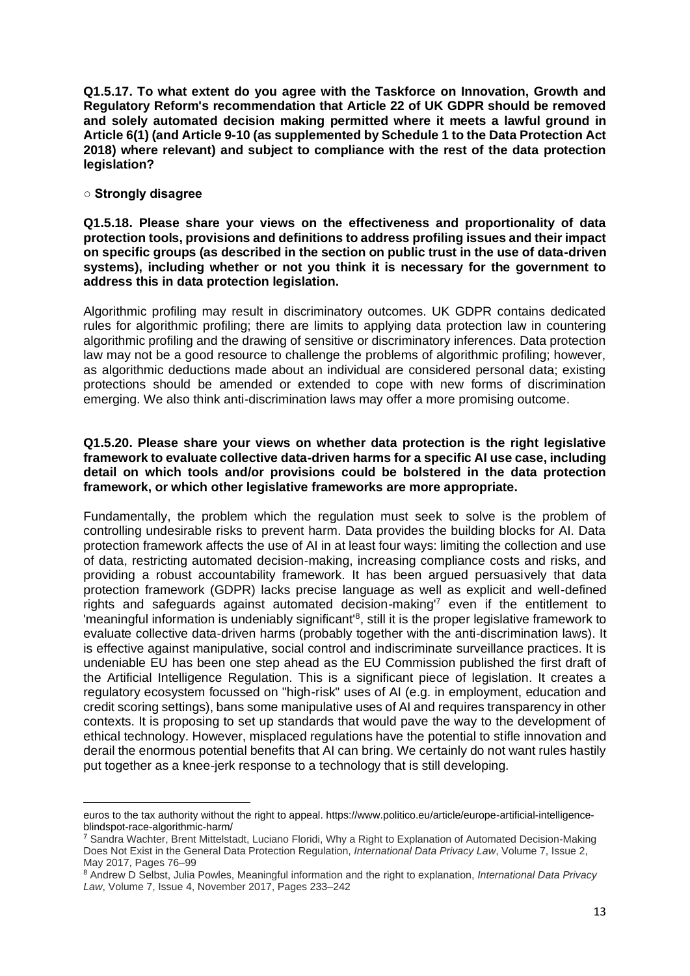**Q1.5.17. To what extent do you agree with the Taskforce on Innovation, Growth and Regulatory Reform's recommendation that Article 22 of UK GDPR should be removed and solely automated decision making permitted where it meets a lawful ground in Article 6(1) (and Article 9-10 (as supplemented by Schedule 1 to the Data Protection Act 2018) where relevant) and subject to compliance with the rest of the data protection legislation?**

#### **○ Strongly disagree**

**Q1.5.18. Please share your views on the effectiveness and proportionality of data protection tools, provisions and definitions to address profiling issues and their impact on specific groups (as described in the section on public trust in the use of data-driven systems), including whether or not you think it is necessary for the government to address this in data protection legislation.**

Algorithmic profiling may result in discriminatory outcomes. UK GDPR contains dedicated rules for algorithmic profiling; there are limits to applying data protection law in countering algorithmic profiling and the drawing of sensitive or discriminatory inferences. Data protection law may not be a good resource to challenge the problems of algorithmic profiling; however, as algorithmic deductions made about an individual are considered personal data; existing protections should be amended or extended to cope with new forms of discrimination emerging. We also think anti-discrimination laws may offer a more promising outcome.

#### **Q1.5.20. Please share your views on whether data protection is the right legislative framework to evaluate collective data-driven harms for a specific AI use case, including detail on which tools and/or provisions could be bolstered in the data protection framework, or which other legislative frameworks are more appropriate.**

Fundamentally, the problem which the regulation must seek to solve is the problem of controlling undesirable risks to prevent harm. Data provides the building blocks for AI. Data protection framework affects the use of AI in at least four ways: limiting the collection and use of data, restricting automated decision-making, increasing compliance costs and risks, and providing a robust accountability framework. It has been argued persuasively that data protection framework (GDPR) lacks precise language as well as explicit and well-defined rights and safeguards against automated decision-making'<sup>7</sup> even if the entitlement to 'meaningful information is undeniably significant'<sup>8</sup>, still it is the proper legislative framework to evaluate collective data-driven harms (probably together with the anti-discrimination laws). It is effective against manipulative, social control and indiscriminate surveillance practices. It is undeniable EU has been one step ahead as the EU Commission published the first draft of the Artificial Intelligence Regulation. This is a significant piece of legislation. It creates a regulatory ecosystem focussed on "high-risk" uses of AI (e.g. in employment, education and credit scoring settings), bans some manipulative uses of AI and requires transparency in other contexts. It is proposing to set up standards that would pave the way to the development of ethical technology. However, misplaced regulations have the potential to stifle innovation and derail the enormous potential benefits that AI can bring. We certainly do not want rules hastily put together as a knee-jerk response to a technology that is still developing.

euros to the tax authority without the right to appeal. https://www.politico.eu/article/europe-artificial-intelligenceblindspot-race-algorithmic-harm/

<sup>7</sup> Sandra Wachter, Brent Mittelstadt, Luciano Floridi, Why a Right to Explanation of Automated Decision-Making Does Not Exist in the General Data Protection Regulation, *International Data Privacy Law*, Volume 7, Issue 2, May 2017, Pages 76–99

<sup>8</sup> Andrew D Selbst, Julia Powles, Meaningful information and the right to explanation, *International Data Privacy Law*, Volume 7, Issue 4, November 2017, Pages 233–242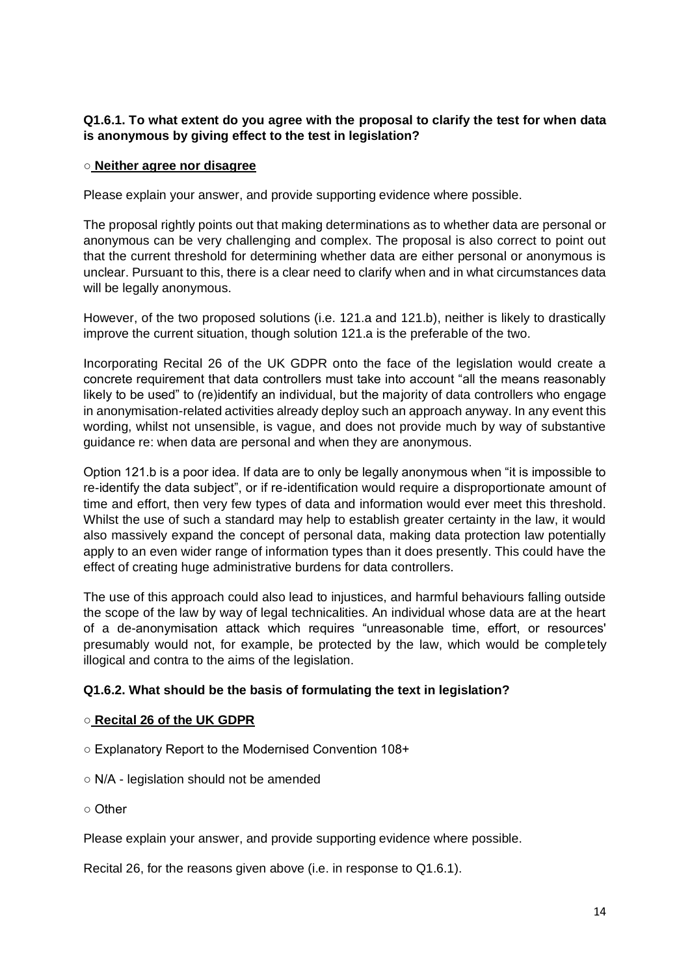# **Q1.6.1. To what extent do you agree with the proposal to clarify the test for when data is anonymous by giving effect to the test in legislation?**

#### ○ **Neither agree nor disagree**

Please explain your answer, and provide supporting evidence where possible.

The proposal rightly points out that making determinations as to whether data are personal or anonymous can be very challenging and complex. The proposal is also correct to point out that the current threshold for determining whether data are either personal or anonymous is unclear. Pursuant to this, there is a clear need to clarify when and in what circumstances data will be legally anonymous.

However, of the two proposed solutions (i.e. 121.a and 121.b), neither is likely to drastically improve the current situation, though solution 121.a is the preferable of the two.

Incorporating Recital 26 of the UK GDPR onto the face of the legislation would create a concrete requirement that data controllers must take into account "all the means reasonably likely to be used" to (re)identify an individual, but the majority of data controllers who engage in anonymisation-related activities already deploy such an approach anyway. In any event this wording, whilst not unsensible, is vague, and does not provide much by way of substantive guidance re: when data are personal and when they are anonymous.

Option 121.b is a poor idea. If data are to only be legally anonymous when "it is impossible to re-identify the data subject", or if re-identification would require a disproportionate amount of time and effort, then very few types of data and information would ever meet this threshold. Whilst the use of such a standard may help to establish greater certainty in the law, it would also massively expand the concept of personal data, making data protection law potentially apply to an even wider range of information types than it does presently. This could have the effect of creating huge administrative burdens for data controllers.

The use of this approach could also lead to injustices, and harmful behaviours falling outside the scope of the law by way of legal technicalities. An individual whose data are at the heart of a de-anonymisation attack which requires "unreasonable time, effort, or resources' presumably would not, for example, be protected by the law, which would be completely illogical and contra to the aims of the legislation.

## **Q1.6.2. What should be the basis of formulating the text in legislation?**

## ○ **Recital 26 of the UK GDPR**

- Explanatory Report to the Modernised Convention 108+
- N/A legislation should not be amended
- Other

Please explain your answer, and provide supporting evidence where possible.

Recital 26, for the reasons given above (i.e. in response to Q1.6.1).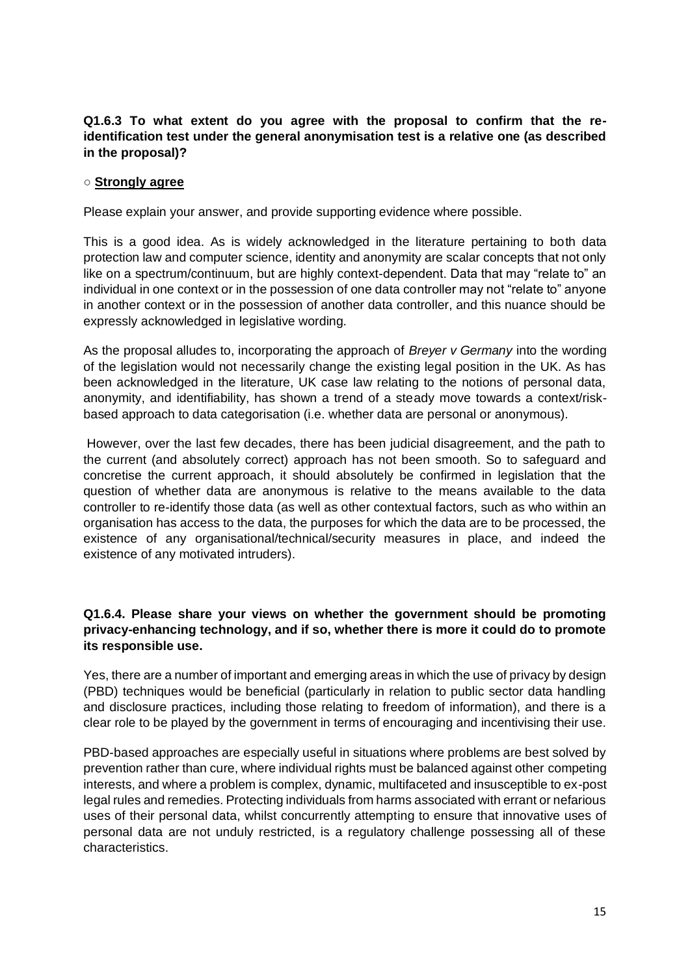# **Q1.6.3 To what extent do you agree with the proposal to confirm that the reidentification test under the general anonymisation test is a relative one (as described in the proposal)?**

## **○ Strongly agree**

Please explain your answer, and provide supporting evidence where possible.

This is a good idea. As is widely acknowledged in the literature pertaining to both data protection law and computer science, identity and anonymity are scalar concepts that not only like on a spectrum/continuum, but are highly context-dependent. Data that may "relate to" an individual in one context or in the possession of one data controller may not "relate to" anyone in another context or in the possession of another data controller, and this nuance should be expressly acknowledged in legislative wording.

As the proposal alludes to, incorporating the approach of *Breyer v Germany* into the wording of the legislation would not necessarily change the existing legal position in the UK. As has been acknowledged in the literature, UK case law relating to the notions of personal data, anonymity, and identifiability, has shown a trend of a steady move towards a context/riskbased approach to data categorisation (i.e. whether data are personal or anonymous).

However, over the last few decades, there has been judicial disagreement, and the path to the current (and absolutely correct) approach has not been smooth. So to safeguard and concretise the current approach, it should absolutely be confirmed in legislation that the question of whether data are anonymous is relative to the means available to the data controller to re-identify those data (as well as other contextual factors, such as who within an organisation has access to the data, the purposes for which the data are to be processed, the existence of any organisational/technical/security measures in place, and indeed the existence of any motivated intruders).

## **Q1.6.4. Please share your views on whether the government should be promoting privacy-enhancing technology, and if so, whether there is more it could do to promote its responsible use.**

Yes, there are a number of important and emerging areas in which the use of privacy by design (PBD) techniques would be beneficial (particularly in relation to public sector data handling and disclosure practices, including those relating to freedom of information), and there is a clear role to be played by the government in terms of encouraging and incentivising their use.

PBD-based approaches are especially useful in situations where problems are best solved by prevention rather than cure, where individual rights must be balanced against other competing interests, and where a problem is complex, dynamic, multifaceted and insusceptible to ex-post legal rules and remedies. Protecting individuals from harms associated with errant or nefarious uses of their personal data, whilst concurrently attempting to ensure that innovative uses of personal data are not unduly restricted, is a regulatory challenge possessing all of these characteristics.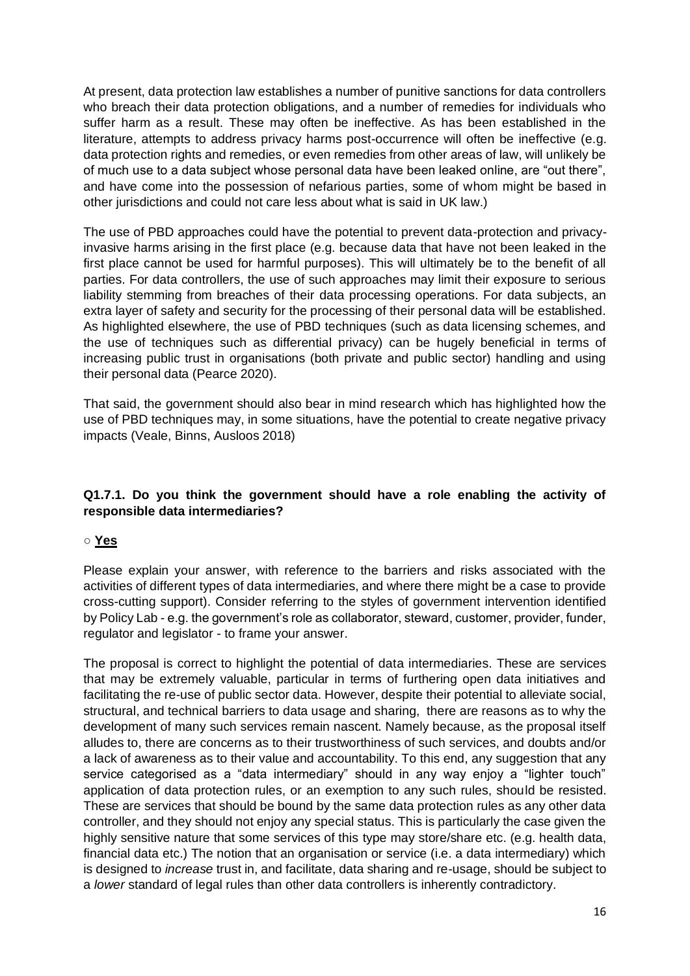At present, data protection law establishes a number of punitive sanctions for data controllers who breach their data protection obligations, and a number of remedies for individuals who suffer harm as a result. These may often be ineffective. As has been established in the literature, attempts to address privacy harms post-occurrence will often be ineffective (e.g. data protection rights and remedies, or even remedies from other areas of law, will unlikely be of much use to a data subject whose personal data have been leaked online, are "out there", and have come into the possession of nefarious parties, some of whom might be based in other jurisdictions and could not care less about what is said in UK law.)

The use of PBD approaches could have the potential to prevent data-protection and privacyinvasive harms arising in the first place (e.g. because data that have not been leaked in the first place cannot be used for harmful purposes). This will ultimately be to the benefit of all parties. For data controllers, the use of such approaches may limit their exposure to serious liability stemming from breaches of their data processing operations. For data subjects, an extra layer of safety and security for the processing of their personal data will be established. As highlighted elsewhere, the use of PBD techniques (such as data licensing schemes, and the use of techniques such as differential privacy) can be hugely beneficial in terms of increasing public trust in organisations (both private and public sector) handling and using their personal data (Pearce 2020).

That said, the government should also bear in mind research which has highlighted how the use of PBD techniques may, in some situations, have the potential to create negative privacy impacts (Veale, Binns, Ausloos 2018)

# **Q1.7.1. Do you think the government should have a role enabling the activity of responsible data intermediaries?**

# ○ **Yes**

Please explain your answer, with reference to the barriers and risks associated with the activities of different types of data intermediaries, and where there might be a case to provide cross-cutting support). Consider referring to the styles of government intervention identified by Policy Lab - e.g. the government's role as collaborator, steward, customer, provider, funder, regulator and legislator - to frame your answer.

The proposal is correct to highlight the potential of data intermediaries. These are services that may be extremely valuable, particular in terms of furthering open data initiatives and facilitating the re-use of public sector data. However, despite their potential to alleviate social, structural, and technical barriers to data usage and sharing, there are reasons as to why the development of many such services remain nascent. Namely because, as the proposal itself alludes to, there are concerns as to their trustworthiness of such services, and doubts and/or a lack of awareness as to their value and accountability. To this end, any suggestion that any service categorised as a "data intermediary" should in any way enjoy a "lighter touch" application of data protection rules, or an exemption to any such rules, should be resisted. These are services that should be bound by the same data protection rules as any other data controller, and they should not enjoy any special status. This is particularly the case given the highly sensitive nature that some services of this type may store/share etc. (e.g. health data, financial data etc.) The notion that an organisation or service (i.e. a data intermediary) which is designed to *increase* trust in, and facilitate, data sharing and re-usage, should be subject to a *lower* standard of legal rules than other data controllers is inherently contradictory.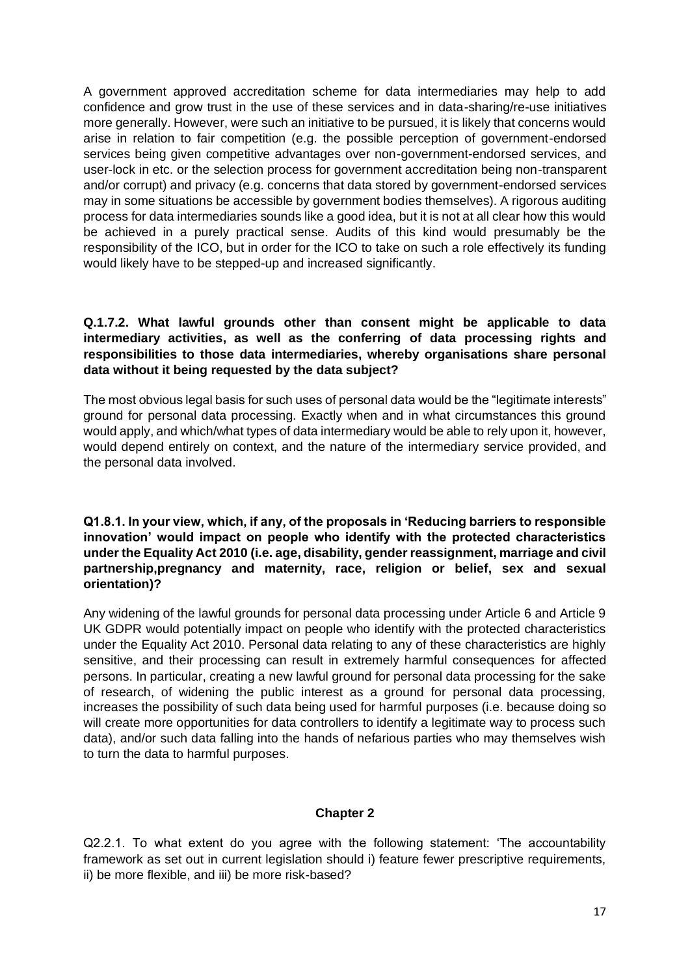A government approved accreditation scheme for data intermediaries may help to add confidence and grow trust in the use of these services and in data-sharing/re-use initiatives more generally. However, were such an initiative to be pursued, it is likely that concerns would arise in relation to fair competition (e.g. the possible perception of government-endorsed services being given competitive advantages over non-government-endorsed services, and user-lock in etc. or the selection process for government accreditation being non-transparent and/or corrupt) and privacy (e.g. concerns that data stored by government-endorsed services may in some situations be accessible by government bodies themselves). A rigorous auditing process for data intermediaries sounds like a good idea, but it is not at all clear how this would be achieved in a purely practical sense. Audits of this kind would presumably be the responsibility of the ICO, but in order for the ICO to take on such a role effectively its funding would likely have to be stepped-up and increased significantly.

# **Q.1.7.2. What lawful grounds other than consent might be applicable to data intermediary activities, as well as the conferring of data processing rights and responsibilities to those data intermediaries, whereby organisations share personal data without it being requested by the data subject?**

The most obvious legal basis for such uses of personal data would be the "legitimate interests" ground for personal data processing. Exactly when and in what circumstances this ground would apply, and which/what types of data intermediary would be able to rely upon it, however, would depend entirely on context, and the nature of the intermediary service provided, and the personal data involved.

**Q1.8.1. In your view, which, if any, of the proposals in 'Reducing barriers to responsible innovation' would impact on people who identify with the protected characteristics under the Equality Act 2010 (i.e. age, disability, gender reassignment, marriage and civil partnership,pregnancy and maternity, race, religion or belief, sex and sexual orientation)?**

Any widening of the lawful grounds for personal data processing under Article 6 and Article 9 UK GDPR would potentially impact on people who identify with the protected characteristics under the Equality Act 2010. Personal data relating to any of these characteristics are highly sensitive, and their processing can result in extremely harmful consequences for affected persons. In particular, creating a new lawful ground for personal data processing for the sake of research, of widening the public interest as a ground for personal data processing, increases the possibility of such data being used for harmful purposes (i.e. because doing so will create more opportunities for data controllers to identify a legitimate way to process such data), and/or such data falling into the hands of nefarious parties who may themselves wish to turn the data to harmful purposes.

# **Chapter 2**

Q2.2.1. To what extent do you agree with the following statement: 'The accountability framework as set out in current legislation should i) feature fewer prescriptive requirements, ii) be more flexible, and iii) be more risk-based?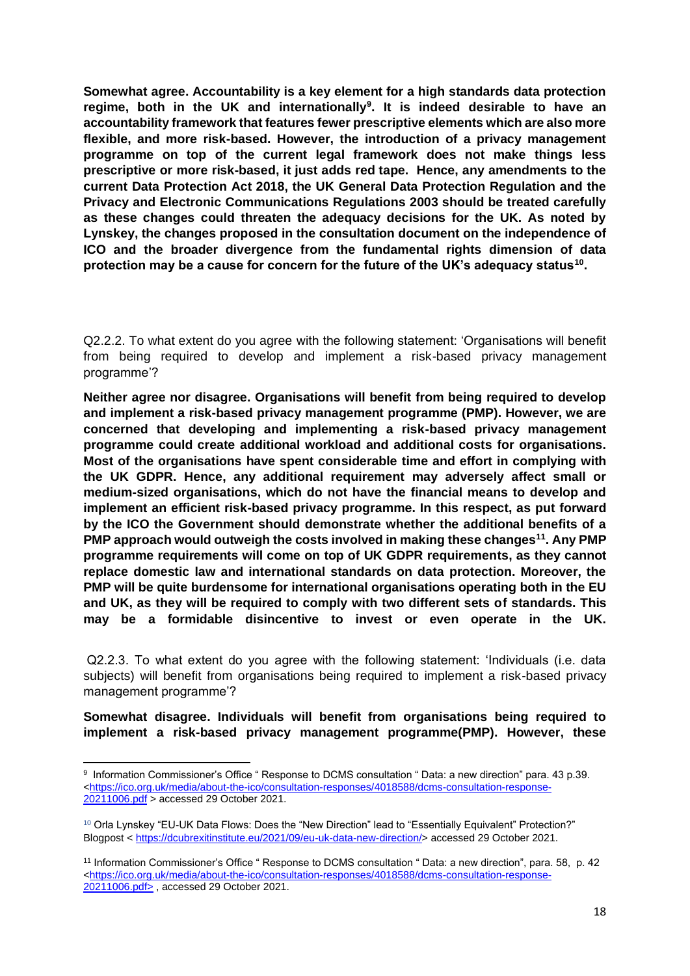**Somewhat agree. Accountability is a key element for a high standards data protection regime, both in the UK and internationally<sup>9</sup> . It is indeed desirable to have an accountability framework that features fewer prescriptive elements which are also more flexible, and more risk-based. However, the introduction of a privacy management programme on top of the current legal framework does not make things less prescriptive or more risk-based, it just adds red tape. Hence, any amendments to the current Data Protection Act 2018, the UK General Data Protection Regulation and the Privacy and Electronic Communications Regulations 2003 should be treated carefully as these changes could threaten the adequacy decisions for the UK. As noted by Lynskey, the changes proposed in the consultation document on the independence of ICO and the broader divergence from the fundamental rights dimension of data protection may be a cause for concern for the future of the UK's adequacy status<sup>10</sup> .** 

Q2.2.2. To what extent do you agree with the following statement: 'Organisations will benefit from being required to develop and implement a risk-based privacy management programme'?

**Neither agree nor disagree. Organisations will benefit from being required to develop and implement a risk-based privacy management programme (PMP). However, we are concerned that developing and implementing a risk-based privacy management programme could create additional workload and additional costs for organisations. Most of the organisations have spent considerable time and effort in complying with the UK GDPR. Hence, any additional requirement may adversely affect small or medium-sized organisations, which do not have the financial means to develop and implement an efficient risk-based privacy programme. In this respect, as put forward by the ICO the Government should demonstrate whether the additional benefits of a PMP approach would outweigh the costs involved in making these changes<sup>11</sup>. Any PMP programme requirements will come on top of UK GDPR requirements, as they cannot replace domestic law and international standards on data protection. Moreover, the PMP will be quite burdensome for international organisations operating both in the EU and UK, as they will be required to comply with two different sets of standards. This may be a formidable disincentive to invest or even operate in the UK.**

Q2.2.3. To what extent do you agree with the following statement: 'Individuals (i.e. data subjects) will benefit from organisations being required to implement a risk-based privacy management programme'?

**Somewhat disagree. Individuals will benefit from organisations being required to implement a risk-based privacy management programme(PMP). However, these** 

<sup>9</sup> Information Commissioner's Office " Response to DCMS consultation " Data: a new direction" para. 43 p.39. [<https://ico.org.uk/media/about-the-ico/consultation-responses/4018588/dcms-consultation-response-](https://ico.org.uk/media/about-the-ico/consultation-responses/4018588/dcms-consultation-response-20211006.pdf)[20211006.pdf](https://ico.org.uk/media/about-the-ico/consultation-responses/4018588/dcms-consultation-response-20211006.pdf) > accessed 29 October 2021.

<sup>10</sup> Orla Lynskey "EU-UK Data Flows: Does the "New Direction" lead to "Essentially Equivalent" Protection?" Blogpost < [https://dcubrexitinstitute.eu/2021/09/eu-uk-data-new-direction/>](https://dcubrexitinstitute.eu/2021/09/eu-uk-data-new-direction/) accessed 29 October 2021.

<sup>11</sup> Information Commissioner's Office " Response to DCMS consultation " Data: a new direction", para. 58, p. 42 [<https://ico.org.uk/media/about-the-ico/consultation-responses/4018588/dcms-consultation-response-](https://ico.org.uk/media/about-the-ico/consultation-responses/4018588/dcms-consultation-response-20211006.pdf)[20211006.pdf>](https://ico.org.uk/media/about-the-ico/consultation-responses/4018588/dcms-consultation-response-20211006.pdf) , accessed 29 October 2021.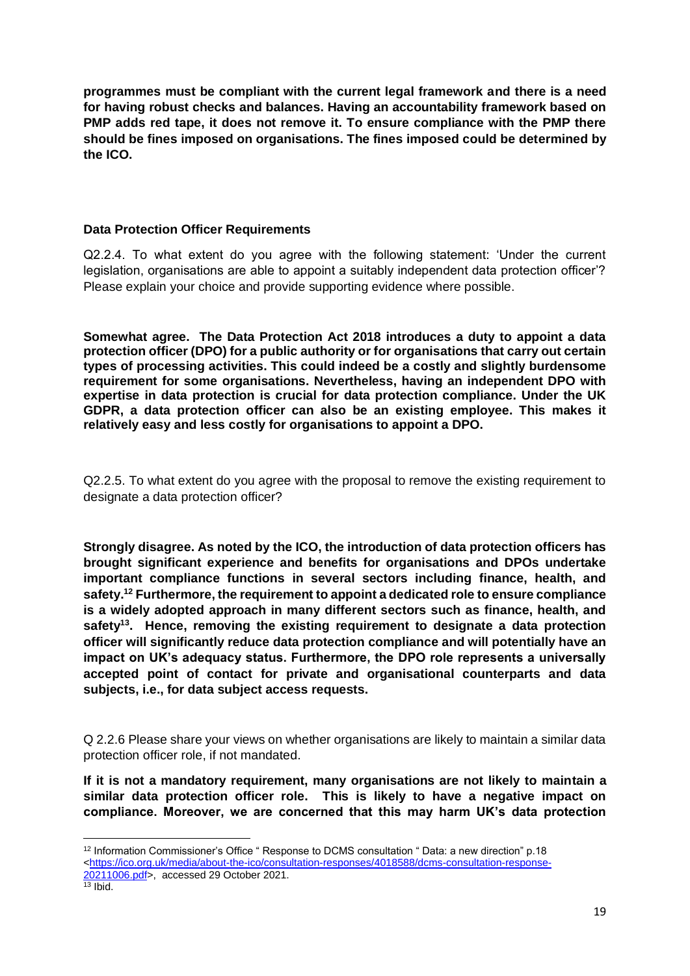**programmes must be compliant with the current legal framework and there is a need for having robust checks and balances. Having an accountability framework based on PMP adds red tape, it does not remove it. To ensure compliance with the PMP there should be fines imposed on organisations. The fines imposed could be determined by the ICO.** 

## **Data Protection Officer Requirements**

Q2.2.4. To what extent do you agree with the following statement: 'Under the current legislation, organisations are able to appoint a suitably independent data protection officer'? Please explain your choice and provide supporting evidence where possible.

**Somewhat agree. The Data Protection Act 2018 introduces a duty to appoint a data protection officer (DPO) for a public authority or for organisations that carry out certain types of processing activities. This could indeed be a costly and slightly burdensome requirement for some organisations. Nevertheless, having an independent DPO with expertise in data protection is crucial for data protection compliance. Under the UK GDPR, a data protection officer can also be an existing employee. This makes it relatively easy and less costly for organisations to appoint a DPO.**

Q2.2.5. To what extent do you agree with the proposal to remove the existing requirement to designate a data protection officer?

**Strongly disagree. As noted by the ICO, the introduction of data protection officers has brought significant experience and benefits for organisations and DPOs undertake important compliance functions in several sectors including finance, health, and safety. <sup>12</sup> Furthermore, the requirement to appoint a dedicated role to ensure compliance is a widely adopted approach in many different sectors such as finance, health, and safety<sup>13</sup>. Hence, removing the existing requirement to designate a data protection officer will significantly reduce data protection compliance and will potentially have an impact on UK's adequacy status. Furthermore, the DPO role represents a universally accepted point of contact for private and organisational counterparts and data subjects, i.e., for data subject access requests.**

Q 2.2.6 Please share your views on whether organisations are likely to maintain a similar data protection officer role, if not mandated.

**If it is not a mandatory requirement, many organisations are not likely to maintain a similar data protection officer role. This is likely to have a negative impact on compliance. Moreover, we are concerned that this may harm UK's data protection** 

<sup>12</sup> Information Commissioner's Office " Response to DCMS consultation " Data: a new direction" p.18 [<https://ico.org.uk/media/about-the-ico/consultation-responses/4018588/dcms-consultation-response-](https://ico.org.uk/media/about-the-ico/consultation-responses/4018588/dcms-consultation-response-20211006.pdf)[20211006.pdf>](https://ico.org.uk/media/about-the-ico/consultation-responses/4018588/dcms-consultation-response-20211006.pdf), accessed 29 October 2021.

 $\frac{13}{13}$  Ibid.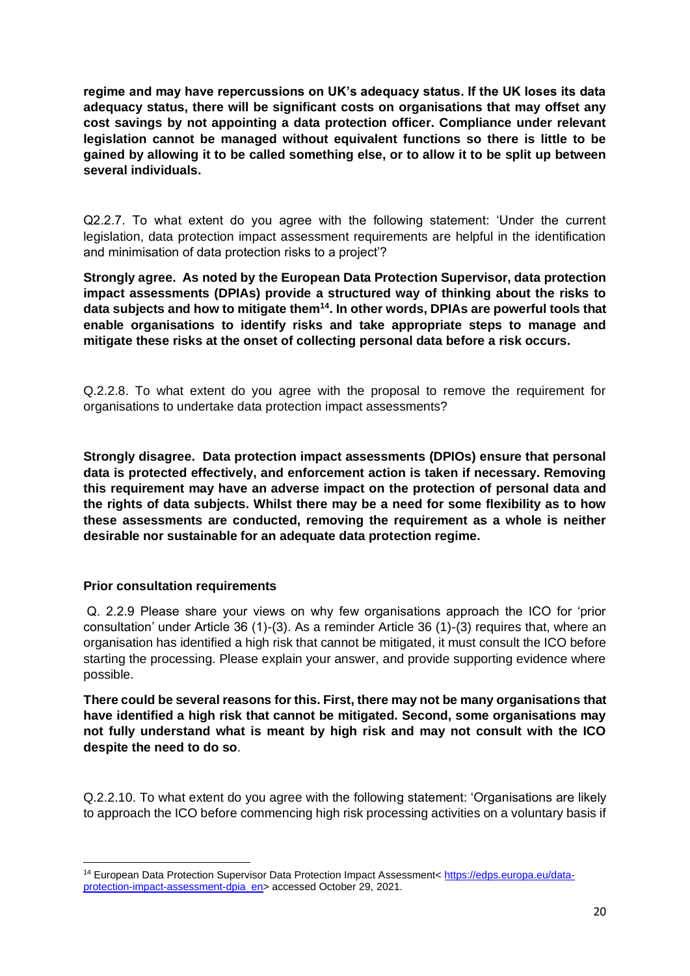**regime and may have repercussions on UK's adequacy status. If the UK loses its data adequacy status, there will be significant costs on organisations that may offset any cost savings by not appointing a data protection officer. Compliance under relevant legislation cannot be managed without equivalent functions so there is little to be gained by allowing it to be called something else, or to allow it to be split up between several individuals.**

Q2.2.7. To what extent do you agree with the following statement: 'Under the current legislation, data protection impact assessment requirements are helpful in the identification and minimisation of data protection risks to a project'?

**Strongly agree. As noted by the European Data Protection Supervisor, data protection impact assessments (DPIAs) provide a structured way of thinking about the risks to data subjects and how to mitigate them<sup>14</sup>. In other words, DPIAs are powerful tools that enable organisations to identify risks and take appropriate steps to manage and mitigate these risks at the onset of collecting personal data before a risk occurs.**

Q.2.2.8. To what extent do you agree with the proposal to remove the requirement for organisations to undertake data protection impact assessments?

**Strongly disagree. Data protection impact assessments (DPIOs) ensure that personal data is protected effectively, and enforcement action is taken if necessary. Removing this requirement may have an adverse impact on the protection of personal data and the rights of data subjects. Whilst there may be a need for some flexibility as to how these assessments are conducted, removing the requirement as a whole is neither desirable nor sustainable for an adequate data protection regime.**

## **Prior consultation requirements**

Q. 2.2.9 Please share your views on why few organisations approach the ICO for 'prior consultation' under Article 36 (1)-(3). As a reminder Article 36 (1)-(3) requires that, where an organisation has identified a high risk that cannot be mitigated, it must consult the ICO before starting the processing. Please explain your answer, and provide supporting evidence where possible.

**There could be several reasons for this. First, there may not be many organisations that have identified a high risk that cannot be mitigated. Second, some organisations may not fully understand what is meant by high risk and may not consult with the ICO despite the need to do so**.

Q.2.2.10. To what extent do you agree with the following statement: 'Organisations are likely to approach the ICO before commencing high risk processing activities on a voluntary basis if

<sup>&</sup>lt;sup>14</sup> European Data Protection Supervisor Data Protection Impact Assessment[< https://edps.europa.eu/data](https://edps.europa.eu/data-protection-impact-assessment-dpia_en)[protection-impact-assessment-dpia\\_en>](https://edps.europa.eu/data-protection-impact-assessment-dpia_en) accessed October 29, 2021.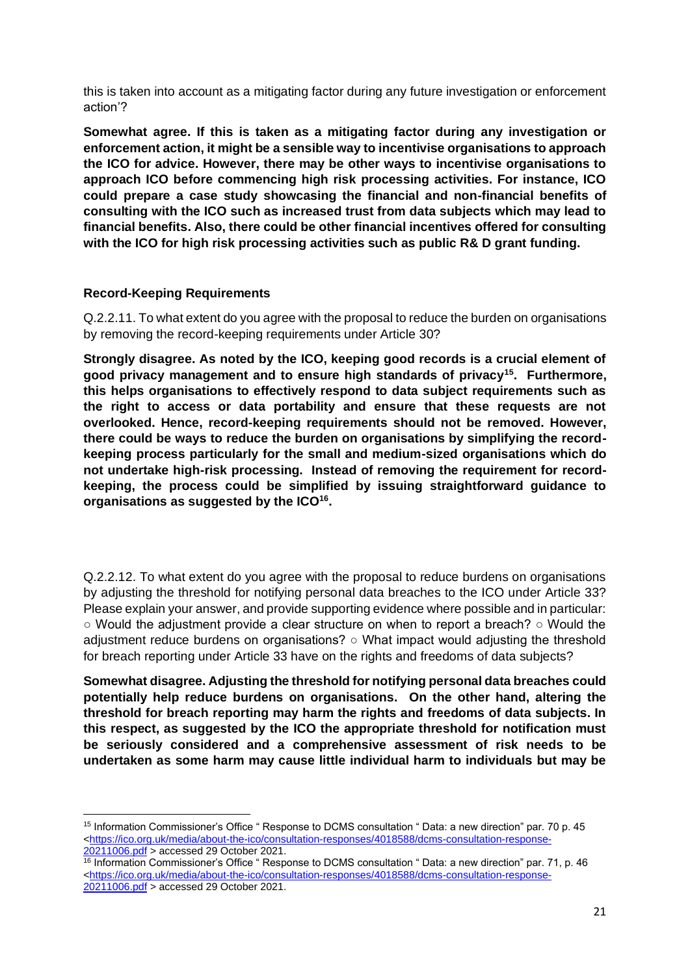this is taken into account as a mitigating factor during any future investigation or enforcement action'?

**Somewhat agree. If this is taken as a mitigating factor during any investigation or enforcement action, it might be a sensible way to incentivise organisations to approach the ICO for advice. However, there may be other ways to incentivise organisations to approach ICO before commencing high risk processing activities. For instance, ICO could prepare a case study showcasing the financial and non-financial benefits of consulting with the ICO such as increased trust from data subjects which may lead to financial benefits. Also, there could be other financial incentives offered for consulting with the ICO for high risk processing activities such as public R& D grant funding.**

## **Record-Keeping Requirements**

Q.2.2.11. To what extent do you agree with the proposal to reduce the burden on organisations by removing the record-keeping requirements under Article 30?

**Strongly disagree. As noted by the ICO, keeping good records is a crucial element of good privacy management and to ensure high standards of privacy<sup>15</sup> . Furthermore, this helps organisations to effectively respond to data subject requirements such as the right to access or data portability and ensure that these requests are not overlooked. Hence, record-keeping requirements should not be removed. However, there could be ways to reduce the burden on organisations by simplifying the recordkeeping process particularly for the small and medium-sized organisations which do not undertake high-risk processing. Instead of removing the requirement for recordkeeping, the process could be simplified by issuing straightforward guidance to organisations as suggested by the ICO<sup>16</sup> .**

Q.2.2.12. To what extent do you agree with the proposal to reduce burdens on organisations by adjusting the threshold for notifying personal data breaches to the ICO under Article 33? Please explain your answer, and provide supporting evidence where possible and in particular:  $\circ$  Would the adjustment provide a clear structure on when to report a breach?  $\circ$  Would the adjustment reduce burdens on organisations? ○ What impact would adjusting the threshold for breach reporting under Article 33 have on the rights and freedoms of data subjects?

**Somewhat disagree. Adjusting the threshold for notifying personal data breaches could potentially help reduce burdens on organisations. On the other hand, altering the threshold for breach reporting may harm the rights and freedoms of data subjects. In this respect, as suggested by the ICO the appropriate threshold for notification must be seriously considered and a comprehensive assessment of risk needs to be undertaken as some harm may cause little individual harm to individuals but may be** 

<sup>15</sup> Information Commissioner's Office " Response to DCMS consultation " Data: a new direction" par. 70 p. 45 [<https://ico.org.uk/media/about-the-ico/consultation-responses/4018588/dcms-consultation-response-](https://ico.org.uk/media/about-the-ico/consultation-responses/4018588/dcms-consultation-response-20211006.pdf)[20211006.pdf](https://ico.org.uk/media/about-the-ico/consultation-responses/4018588/dcms-consultation-response-20211006.pdf) > accessed 29 October 2021.

<sup>16</sup> Information Commissioner's Office " Response to DCMS consultation " Data: a new direction" par. 71, p. 46 [<https://ico.org.uk/media/about-the-ico/consultation-responses/4018588/dcms-consultation-response-](https://ico.org.uk/media/about-the-ico/consultation-responses/4018588/dcms-consultation-response-20211006.pdf)[20211006.pdf](https://ico.org.uk/media/about-the-ico/consultation-responses/4018588/dcms-consultation-response-20211006.pdf) > accessed 29 October 2021.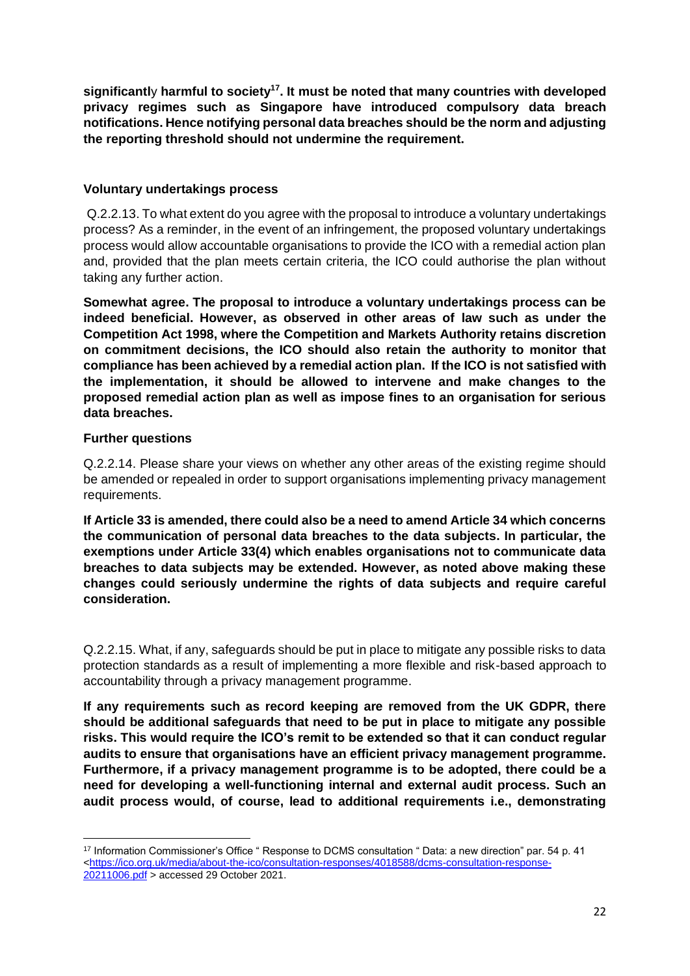**significantl**y **harmful to society<sup>17</sup>. It must be noted that many countries with developed privacy regimes such as Singapore have introduced compulsory data breach notifications. Hence notifying personal data breaches should be the norm and adjusting the reporting threshold should not undermine the requirement.**

## **Voluntary undertakings process**

Q.2.2.13. To what extent do you agree with the proposal to introduce a voluntary undertakings process? As a reminder, in the event of an infringement, the proposed voluntary undertakings process would allow accountable organisations to provide the ICO with a remedial action plan and, provided that the plan meets certain criteria, the ICO could authorise the plan without taking any further action.

**Somewhat agree. The proposal to introduce a voluntary undertakings process can be indeed beneficial. However, as observed in other areas of law such as under the Competition Act 1998, where the Competition and Markets Authority retains discretion on commitment decisions, the ICO should also retain the authority to monitor that compliance has been achieved by a remedial action plan. If the ICO is not satisfied with the implementation, it should be allowed to intervene and make changes to the proposed remedial action plan as well as impose fines to an organisation for serious data breaches.**

## **Further questions**

Q.2.2.14. Please share your views on whether any other areas of the existing regime should be amended or repealed in order to support organisations implementing privacy management requirements.

**If Article 33 is amended, there could also be a need to amend Article 34 which concerns the communication of personal data breaches to the data subjects. In particular, the exemptions under Article 33(4) which enables organisations not to communicate data breaches to data subjects may be extended. However, as noted above making these changes could seriously undermine the rights of data subjects and require careful consideration.**

Q.2.2.15. What, if any, safeguards should be put in place to mitigate any possible risks to data protection standards as a result of implementing a more flexible and risk-based approach to accountability through a privacy management programme.

**If any requirements such as record keeping are removed from the UK GDPR, there should be additional safeguards that need to be put in place to mitigate any possible risks. This would require the ICO's remit to be extended so that it can conduct regular audits to ensure that organisations have an efficient privacy management programme. Furthermore, if a privacy management programme is to be adopted, there could be a need for developing a well-functioning internal and external audit process. Such an audit process would, of course, lead to additional requirements i.e., demonstrating** 

<sup>17</sup> Information Commissioner's Office " Response to DCMS consultation " Data: a new direction" par. 54 p. 41 [<https://ico.org.uk/media/about-the-ico/consultation-responses/4018588/dcms-consultation-response-](https://ico.org.uk/media/about-the-ico/consultation-responses/4018588/dcms-consultation-response-20211006.pdf)[20211006.pdf](https://ico.org.uk/media/about-the-ico/consultation-responses/4018588/dcms-consultation-response-20211006.pdf) > accessed 29 October 2021.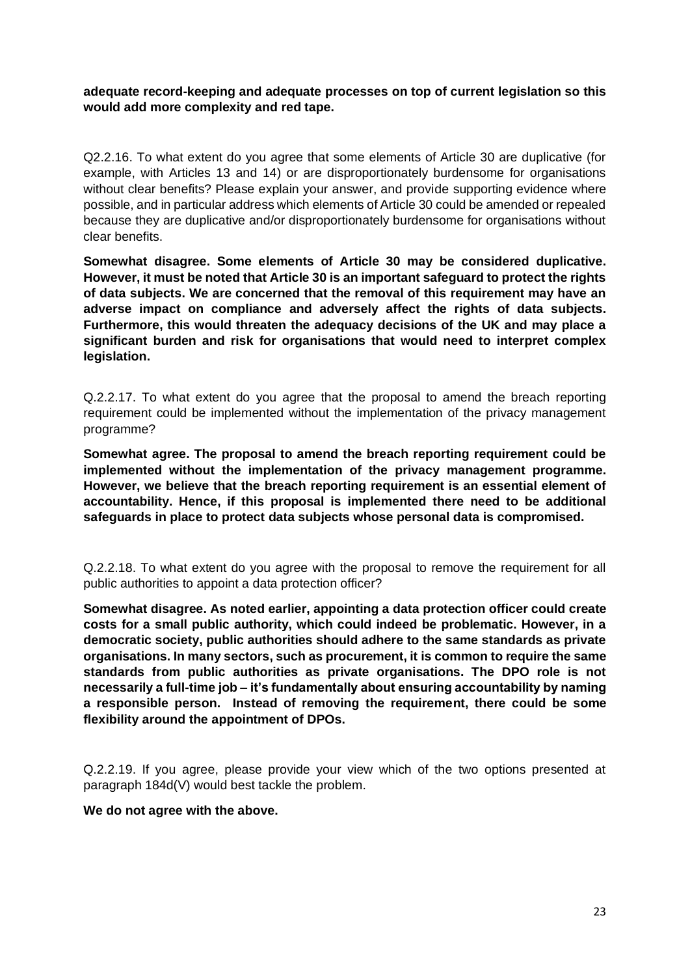**adequate record-keeping and adequate processes on top of current legislation so this would add more complexity and red tape.**

Q2.2.16. To what extent do you agree that some elements of Article 30 are duplicative (for example, with Articles 13 and 14) or are disproportionately burdensome for organisations without clear benefits? Please explain your answer, and provide supporting evidence where possible, and in particular address which elements of Article 30 could be amended or repealed because they are duplicative and/or disproportionately burdensome for organisations without clear benefits.

**Somewhat disagree. Some elements of Article 30 may be considered duplicative. However, it must be noted that Article 30 is an important safeguard to protect the rights of data subjects. We are concerned that the removal of this requirement may have an adverse impact on compliance and adversely affect the rights of data subjects. Furthermore, this would threaten the adequacy decisions of the UK and may place a significant burden and risk for organisations that would need to interpret complex legislation.**

Q.2.2.17. To what extent do you agree that the proposal to amend the breach reporting requirement could be implemented without the implementation of the privacy management programme?

**Somewhat agree. The proposal to amend the breach reporting requirement could be implemented without the implementation of the privacy management programme. However, we believe that the breach reporting requirement is an essential element of accountability. Hence, if this proposal is implemented there need to be additional safeguards in place to protect data subjects whose personal data is compromised.**

Q.2.2.18. To what extent do you agree with the proposal to remove the requirement for all public authorities to appoint a data protection officer?

**Somewhat disagree. As noted earlier, appointing a data protection officer could create costs for a small public authority, which could indeed be problematic. However, in a democratic society, public authorities should adhere to the same standards as private organisations. In many sectors, such as procurement, it is common to require the same standards from public authorities as private organisations. The DPO role is not necessarily a full-time job – it's fundamentally about ensuring accountability by naming a responsible person. Instead of removing the requirement, there could be some flexibility around the appointment of DPOs.**

Q.2.2.19. If you agree, please provide your view which of the two options presented at paragraph 184d(V) would best tackle the problem.

#### **We do not agree with the above.**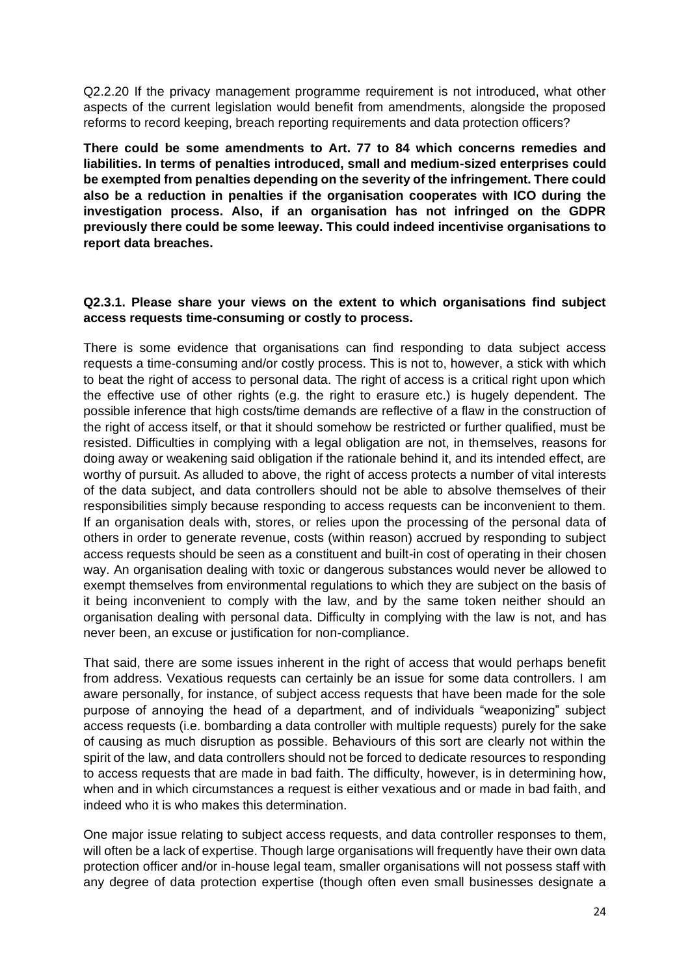Q2.2.20 If the privacy management programme requirement is not introduced, what other aspects of the current legislation would benefit from amendments, alongside the proposed reforms to record keeping, breach reporting requirements and data protection officers?

**There could be some amendments to Art. 77 to 84 which concerns remedies and liabilities. In terms of penalties introduced, small and medium-sized enterprises could be exempted from penalties depending on the severity of the infringement. There could also be a reduction in penalties if the organisation cooperates with ICO during the investigation process. Also, if an organisation has not infringed on the GDPR previously there could be some leeway. This could indeed incentivise organisations to report data breaches.**

## **Q2.3.1. Please share your views on the extent to which organisations find subject access requests time-consuming or costly to process.**

There is some evidence that organisations can find responding to data subject access requests a time-consuming and/or costly process. This is not to, however, a stick with which to beat the right of access to personal data. The right of access is a critical right upon which the effective use of other rights (e.g. the right to erasure etc.) is hugely dependent. The possible inference that high costs/time demands are reflective of a flaw in the construction of the right of access itself, or that it should somehow be restricted or further qualified, must be resisted. Difficulties in complying with a legal obligation are not, in themselves, reasons for doing away or weakening said obligation if the rationale behind it, and its intended effect, are worthy of pursuit. As alluded to above, the right of access protects a number of vital interests of the data subject, and data controllers should not be able to absolve themselves of their responsibilities simply because responding to access requests can be inconvenient to them. If an organisation deals with, stores, or relies upon the processing of the personal data of others in order to generate revenue, costs (within reason) accrued by responding to subject access requests should be seen as a constituent and built-in cost of operating in their chosen way. An organisation dealing with toxic or dangerous substances would never be allowed to exempt themselves from environmental regulations to which they are subject on the basis of it being inconvenient to comply with the law, and by the same token neither should an organisation dealing with personal data. Difficulty in complying with the law is not, and has never been, an excuse or justification for non-compliance.

That said, there are some issues inherent in the right of access that would perhaps benefit from address. Vexatious requests can certainly be an issue for some data controllers. I am aware personally, for instance, of subject access requests that have been made for the sole purpose of annoying the head of a department, and of individuals "weaponizing" subject access requests (i.e. bombarding a data controller with multiple requests) purely for the sake of causing as much disruption as possible. Behaviours of this sort are clearly not within the spirit of the law, and data controllers should not be forced to dedicate resources to responding to access requests that are made in bad faith. The difficulty, however, is in determining how, when and in which circumstances a request is either vexatious and or made in bad faith, and indeed who it is who makes this determination.

One major issue relating to subject access requests, and data controller responses to them, will often be a lack of expertise. Though large organisations will frequently have their own data protection officer and/or in-house legal team, smaller organisations will not possess staff with any degree of data protection expertise (though often even small businesses designate a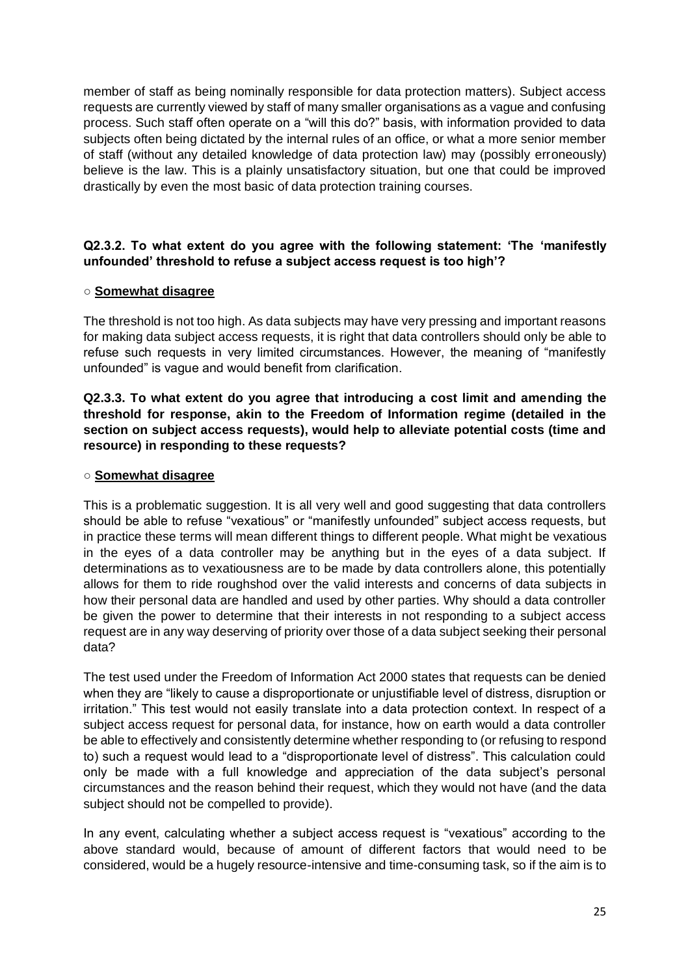member of staff as being nominally responsible for data protection matters). Subject access requests are currently viewed by staff of many smaller organisations as a vague and confusing process. Such staff often operate on a "will this do?" basis, with information provided to data subjects often being dictated by the internal rules of an office, or what a more senior member of staff (without any detailed knowledge of data protection law) may (possibly erroneously) believe is the law. This is a plainly unsatisfactory situation, but one that could be improved drastically by even the most basic of data protection training courses.

## **Q2.3.2. To what extent do you agree with the following statement: 'The 'manifestly unfounded' threshold to refuse a subject access request is too high'?**

## **○ Somewhat disagree**

The threshold is not too high. As data subjects may have very pressing and important reasons for making data subject access requests, it is right that data controllers should only be able to refuse such requests in very limited circumstances. However, the meaning of "manifestly unfounded" is vague and would benefit from clarification.

## **Q2.3.3. To what extent do you agree that introducing a cost limit and amending the threshold for response, akin to the Freedom of Information regime (detailed in the section on subject access requests), would help to alleviate potential costs (time and resource) in responding to these requests?**

## ○ **Somewhat disagree**

This is a problematic suggestion. It is all very well and good suggesting that data controllers should be able to refuse "vexatious" or "manifestly unfounded" subject access requests, but in practice these terms will mean different things to different people. What might be vexatious in the eyes of a data controller may be anything but in the eyes of a data subject. If determinations as to vexatiousness are to be made by data controllers alone, this potentially allows for them to ride roughshod over the valid interests and concerns of data subjects in how their personal data are handled and used by other parties. Why should a data controller be given the power to determine that their interests in not responding to a subject access request are in any way deserving of priority over those of a data subject seeking their personal data?

The test used under the Freedom of Information Act 2000 states that requests can be denied when they are "likely to cause a disproportionate or unjustifiable level of distress, disruption or irritation." This test would not easily translate into a data protection context. In respect of a subject access request for personal data, for instance, how on earth would a data controller be able to effectively and consistently determine whether responding to (or refusing to respond to) such a request would lead to a "disproportionate level of distress". This calculation could only be made with a full knowledge and appreciation of the data subject's personal circumstances and the reason behind their request, which they would not have (and the data subject should not be compelled to provide).

In any event, calculating whether a subject access request is "vexatious" according to the above standard would, because of amount of different factors that would need to be considered, would be a hugely resource-intensive and time-consuming task, so if the aim is to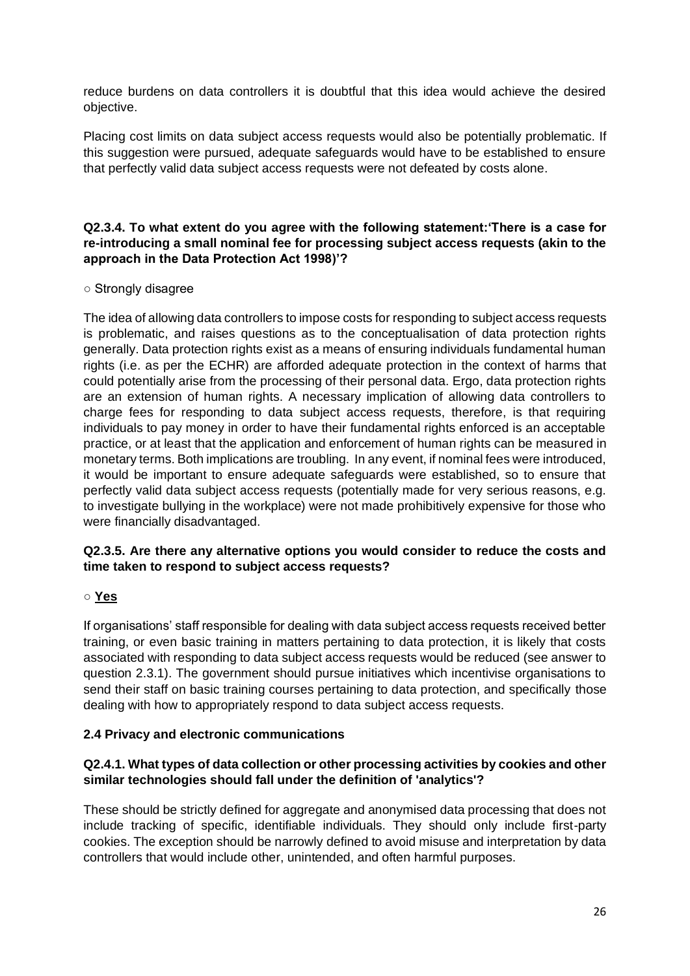reduce burdens on data controllers it is doubtful that this idea would achieve the desired objective.

Placing cost limits on data subject access requests would also be potentially problematic. If this suggestion were pursued, adequate safeguards would have to be established to ensure that perfectly valid data subject access requests were not defeated by costs alone.

# **Q2.3.4. To what extent do you agree with the following statement:'There is a case for re-introducing a small nominal fee for processing subject access requests (akin to the approach in the Data Protection Act 1998)'?**

## ○ Strongly disagree

The idea of allowing data controllers to impose costs for responding to subject access requests is problematic, and raises questions as to the conceptualisation of data protection rights generally. Data protection rights exist as a means of ensuring individuals fundamental human rights (i.e. as per the ECHR) are afforded adequate protection in the context of harms that could potentially arise from the processing of their personal data. Ergo, data protection rights are an extension of human rights. A necessary implication of allowing data controllers to charge fees for responding to data subject access requests, therefore, is that requiring individuals to pay money in order to have their fundamental rights enforced is an acceptable practice, or at least that the application and enforcement of human rights can be measured in monetary terms. Both implications are troubling. In any event, if nominal fees were introduced, it would be important to ensure adequate safeguards were established, so to ensure that perfectly valid data subject access requests (potentially made for very serious reasons, e.g. to investigate bullying in the workplace) were not made prohibitively expensive for those who were financially disadvantaged.

## **Q2.3.5. Are there any alternative options you would consider to reduce the costs and time taken to respond to subject access requests?**

# ○ **Yes**

If organisations' staff responsible for dealing with data subject access requests received better training, or even basic training in matters pertaining to data protection, it is likely that costs associated with responding to data subject access requests would be reduced (see answer to question 2.3.1). The government should pursue initiatives which incentivise organisations to send their staff on basic training courses pertaining to data protection, and specifically those dealing with how to appropriately respond to data subject access requests.

# **2.4 Privacy and electronic communications**

## **Q2.4.1. What types of data collection or other processing activities by cookies and other similar technologies should fall under the definition of 'analytics'?**

These should be strictly defined for aggregate and anonymised data processing that does not include tracking of specific, identifiable individuals. They should only include first-party cookies. The exception should be narrowly defined to avoid misuse and interpretation by data controllers that would include other, unintended, and often harmful purposes.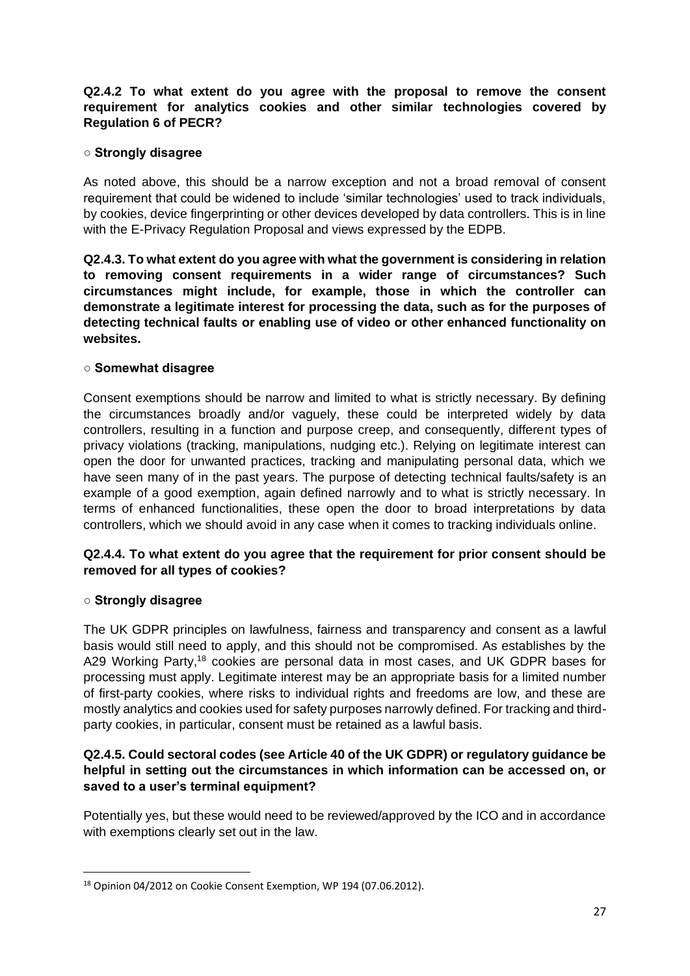## **Q2.4.2 To what extent do you agree with the proposal to remove the consent requirement for analytics cookies and other similar technologies covered by Regulation 6 of PECR?**

## **○ Strongly disagree**

As noted above, this should be a narrow exception and not a broad removal of consent requirement that could be widened to include 'similar technologies' used to track individuals, by cookies, device fingerprinting or other devices developed by data controllers. This is in line with the E-Privacy Regulation Proposal and views expressed by the EDPB.

**Q2.4.3. To what extent do you agree with what the government is considering in relation to removing consent requirements in a wider range of circumstances? Such circumstances might include, for example, those in which the controller can demonstrate a legitimate interest for processing the data, such as for the purposes of detecting technical faults or enabling use of video or other enhanced functionality on websites.**

## **○ Somewhat disagree**

Consent exemptions should be narrow and limited to what is strictly necessary. By defining the circumstances broadly and/or vaguely, these could be interpreted widely by data controllers, resulting in a function and purpose creep, and consequently, different types of privacy violations (tracking, manipulations, nudging etc.). Relying on legitimate interest can open the door for unwanted practices, tracking and manipulating personal data, which we have seen many of in the past years. The purpose of detecting technical faults/safety is an example of a good exemption, again defined narrowly and to what is strictly necessary. In terms of enhanced functionalities, these open the door to broad interpretations by data controllers, which we should avoid in any case when it comes to tracking individuals online.

## **Q2.4.4. To what extent do you agree that the requirement for prior consent should be removed for all types of cookies?**

## **○ Strongly disagree**

The UK GDPR principles on lawfulness, fairness and transparency and consent as a lawful basis would still need to apply, and this should not be compromised. As establishes by the A29 Working Party,<sup>18</sup> cookies are personal data in most cases, and UK GDPR bases for processing must apply. Legitimate interest may be an appropriate basis for a limited number of first-party cookies, where risks to individual rights and freedoms are low, and these are mostly analytics and cookies used for safety purposes narrowly defined. For tracking and thirdparty cookies, in particular, consent must be retained as a lawful basis.

# **Q2.4.5. Could sectoral codes (see Article 40 of the UK GDPR) or regulatory guidance be helpful in setting out the circumstances in which information can be accessed on, or saved to a user's terminal equipment?**

Potentially yes, but these would need to be reviewed/approved by the ICO and in accordance with exemptions clearly set out in the law.

<sup>18</sup> Opinion 04/2012 on Cookie Consent Exemption, WP 194 (07.06.2012).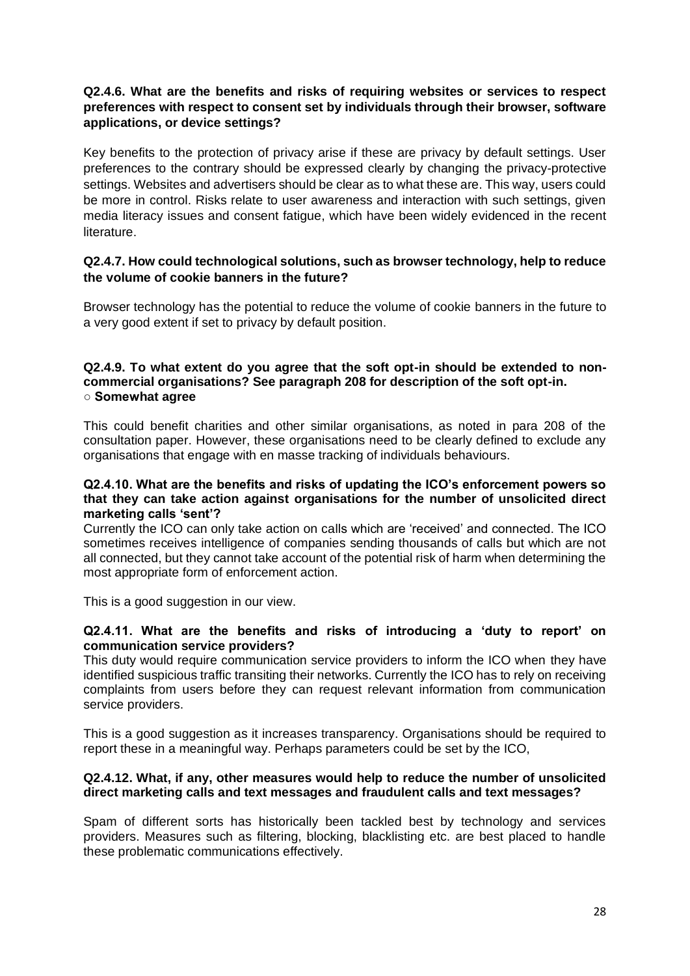## **Q2.4.6. What are the benefits and risks of requiring websites or services to respect preferences with respect to consent set by individuals through their browser, software applications, or device settings?**

Key benefits to the protection of privacy arise if these are privacy by default settings. User preferences to the contrary should be expressed clearly by changing the privacy-protective settings. Websites and advertisers should be clear as to what these are. This way, users could be more in control. Risks relate to user awareness and interaction with such settings, given media literacy issues and consent fatigue, which have been widely evidenced in the recent **literature** 

## **Q2.4.7. How could technological solutions, such as browser technology, help to reduce the volume of cookie banners in the future?**

Browser technology has the potential to reduce the volume of cookie banners in the future to a very good extent if set to privacy by default position.

#### **Q2.4.9. To what extent do you agree that the soft opt-in should be extended to noncommercial organisations? See paragraph 208 for description of the soft opt-in. ○ Somewhat agree**

This could benefit charities and other similar organisations, as noted in para 208 of the consultation paper. However, these organisations need to be clearly defined to exclude any organisations that engage with en masse tracking of individuals behaviours.

#### **Q2.4.10. What are the benefits and risks of updating the ICO's enforcement powers so that they can take action against organisations for the number of unsolicited direct marketing calls 'sent'?**

Currently the ICO can only take action on calls which are 'received' and connected. The ICO sometimes receives intelligence of companies sending thousands of calls but which are not all connected, but they cannot take account of the potential risk of harm when determining the most appropriate form of enforcement action.

This is a good suggestion in our view.

## **Q2.4.11. What are the benefits and risks of introducing a 'duty to report' on communication service providers?**

This duty would require communication service providers to inform the ICO when they have identified suspicious traffic transiting their networks. Currently the ICO has to rely on receiving complaints from users before they can request relevant information from communication service providers.

This is a good suggestion as it increases transparency. Organisations should be required to report these in a meaningful way. Perhaps parameters could be set by the ICO,

#### **Q2.4.12. What, if any, other measures would help to reduce the number of unsolicited direct marketing calls and text messages and fraudulent calls and text messages?**

Spam of different sorts has historically been tackled best by technology and services providers. Measures such as filtering, blocking, blacklisting etc. are best placed to handle these problematic communications effectively.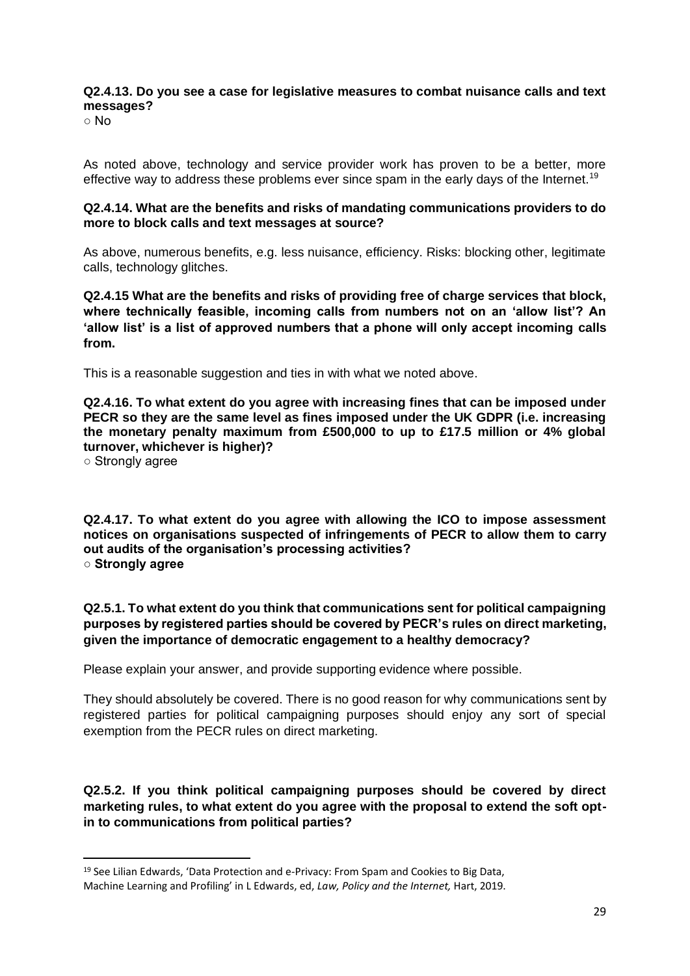## **Q2.4.13. Do you see a case for legislative measures to combat nuisance calls and text messages?**

○ No

As noted above, technology and service provider work has proven to be a better, more effective way to address these problems ever since spam in the early days of the Internet.<sup>19</sup>

#### **Q2.4.14. What are the benefits and risks of mandating communications providers to do more to block calls and text messages at source?**

As above, numerous benefits, e.g. less nuisance, efficiency. Risks: blocking other, legitimate calls, technology glitches.

**Q2.4.15 What are the benefits and risks of providing free of charge services that block, where technically feasible, incoming calls from numbers not on an 'allow list'? An 'allow list' is a list of approved numbers that a phone will only accept incoming calls from.** 

This is a reasonable suggestion and ties in with what we noted above.

**Q2.4.16. To what extent do you agree with increasing fines that can be imposed under PECR so they are the same level as fines imposed under the UK GDPR (i.e. increasing the monetary penalty maximum from £500,000 to up to £17.5 million or 4% global turnover, whichever is higher)?** 

○ Strongly agree

**Q2.4.17. To what extent do you agree with allowing the ICO to impose assessment notices on organisations suspected of infringements of PECR to allow them to carry out audits of the organisation's processing activities? ○ Strongly agree** 

**Q2.5.1. To what extent do you think that communications sent for political campaigning purposes by registered parties should be covered by PECR's rules on direct marketing, given the importance of democratic engagement to a healthy democracy?**

Please explain your answer, and provide supporting evidence where possible.

They should absolutely be covered. There is no good reason for why communications sent by registered parties for political campaigning purposes should enjoy any sort of special exemption from the PECR rules on direct marketing.

**Q2.5.2. If you think political campaigning purposes should be covered by direct marketing rules, to what extent do you agree with the proposal to extend the soft optin to communications from political parties?**

<sup>19</sup> See Lilian Edwards, 'Data Protection and e-Privacy: From Spam and Cookies to Big Data, Machine Learning and Profiling' in L Edwards, ed, *Law, Policy and the Internet,* Hart, 2019.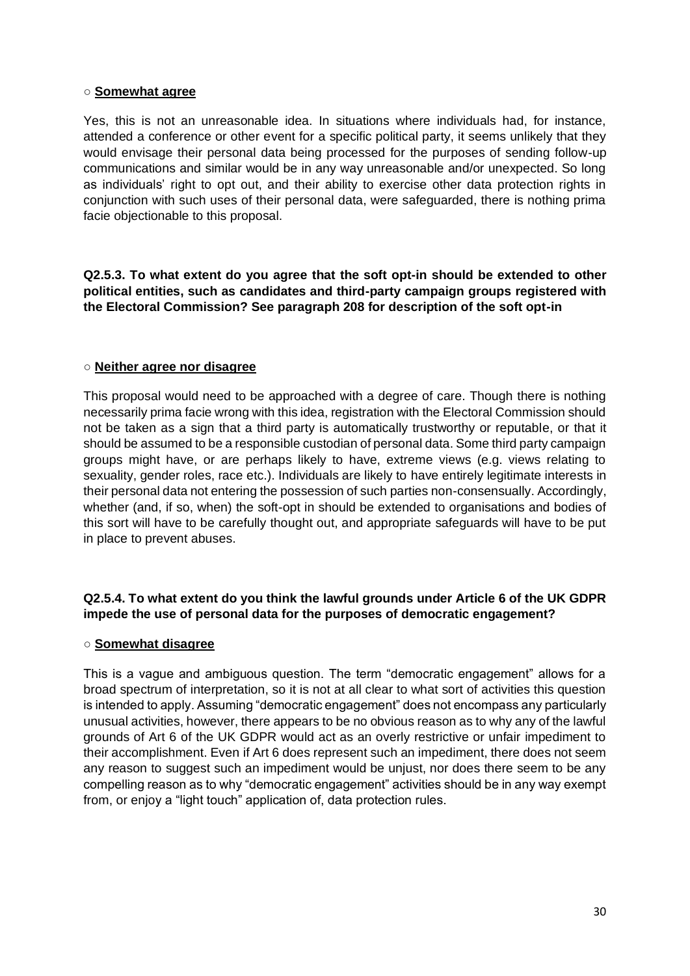#### ○ **Somewhat agree**

Yes, this is not an unreasonable idea. In situations where individuals had, for instance, attended a conference or other event for a specific political party, it seems unlikely that they would envisage their personal data being processed for the purposes of sending follow-up communications and similar would be in any way unreasonable and/or unexpected. So long as individuals' right to opt out, and their ability to exercise other data protection rights in conjunction with such uses of their personal data, were safeguarded, there is nothing prima facie objectionable to this proposal.

**Q2.5.3. To what extent do you agree that the soft opt-in should be extended to other political entities, such as candidates and third-party campaign groups registered with the Electoral Commission? See paragraph 208 for description of the soft opt-in**

## ○ **Neither agree nor disagree**

This proposal would need to be approached with a degree of care. Though there is nothing necessarily prima facie wrong with this idea, registration with the Electoral Commission should not be taken as a sign that a third party is automatically trustworthy or reputable, or that it should be assumed to be a responsible custodian of personal data. Some third party campaign groups might have, or are perhaps likely to have, extreme views (e.g. views relating to sexuality, gender roles, race etc.). Individuals are likely to have entirely legitimate interests in their personal data not entering the possession of such parties non-consensually. Accordingly, whether (and, if so, when) the soft-opt in should be extended to organisations and bodies of this sort will have to be carefully thought out, and appropriate safeguards will have to be put in place to prevent abuses.

# **Q2.5.4. To what extent do you think the lawful grounds under Article 6 of the UK GDPR impede the use of personal data for the purposes of democratic engagement?**

## ○ **Somewhat disagree**

This is a vague and ambiguous question. The term "democratic engagement" allows for a broad spectrum of interpretation, so it is not at all clear to what sort of activities this question is intended to apply. Assuming "democratic engagement" does not encompass any particularly unusual activities, however, there appears to be no obvious reason as to why any of the lawful grounds of Art 6 of the UK GDPR would act as an overly restrictive or unfair impediment to their accomplishment. Even if Art 6 does represent such an impediment, there does not seem any reason to suggest such an impediment would be unjust, nor does there seem to be any compelling reason as to why "democratic engagement" activities should be in any way exempt from, or enjoy a "light touch" application of, data protection rules.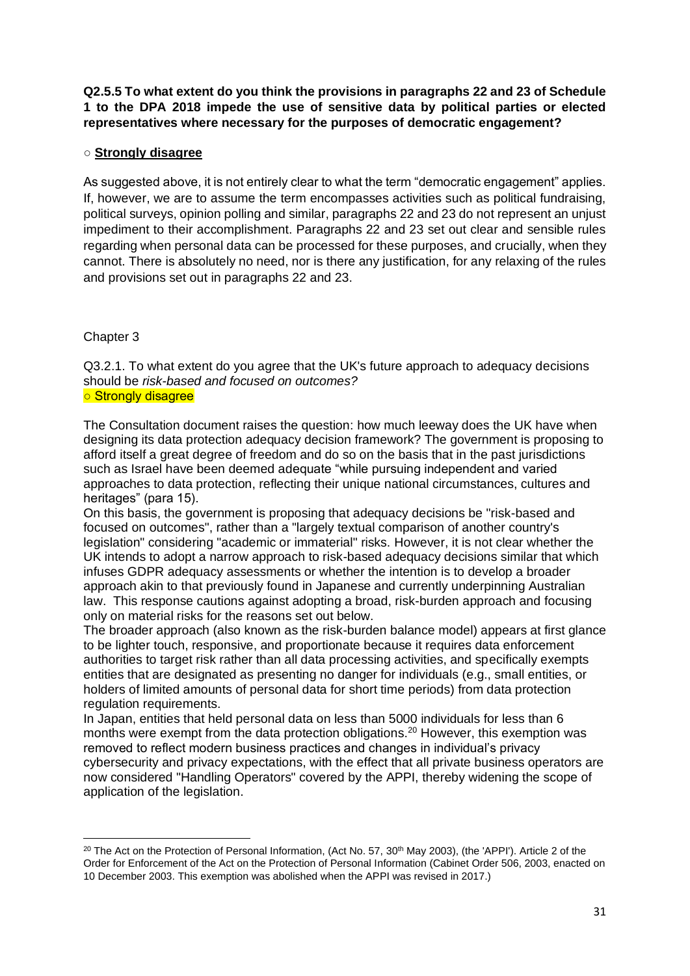**Q2.5.5 To what extent do you think the provisions in paragraphs 22 and 23 of Schedule 1 to the DPA 2018 impede the use of sensitive data by political parties or elected representatives where necessary for the purposes of democratic engagement?**

## ○ **Strongly disagree**

As suggested above, it is not entirely clear to what the term "democratic engagement" applies. If, however, we are to assume the term encompasses activities such as political fundraising, political surveys, opinion polling and similar, paragraphs 22 and 23 do not represent an unjust impediment to their accomplishment. Paragraphs 22 and 23 set out clear and sensible rules regarding when personal data can be processed for these purposes, and crucially, when they cannot. There is absolutely no need, nor is there any justification, for any relaxing of the rules and provisions set out in paragraphs 22 and 23.

# Chapter 3

Q3.2.1. To what extent do you agree that the UK's future approach to adequacy decisions should be *risk-based and focused on outcomes?*

○ Strongly disagree

The Consultation document raises the question: how much leeway does the UK have when designing its data protection adequacy decision framework? The government is proposing to afford itself a great degree of freedom and do so on the basis that in the past jurisdictions such as Israel have been deemed adequate "while pursuing independent and varied approaches to data protection, reflecting their unique national circumstances, cultures and heritages" (para 15).

On this basis, the government is proposing that adequacy decisions be "risk-based and focused on outcomes", rather than a "largely textual comparison of another country's legislation" considering "academic or immaterial" risks. However, it is not clear whether the UK intends to adopt a narrow approach to risk-based adequacy decisions similar that which infuses GDPR adequacy assessments or whether the intention is to develop a broader approach akin to that previously found in Japanese and currently underpinning Australian law. This response cautions against adopting a broad, risk-burden approach and focusing only on material risks for the reasons set out below.

The broader approach (also known as the risk-burden balance model) appears at first glance to be lighter touch, responsive, and proportionate because it requires data enforcement authorities to target risk rather than all data processing activities, and specifically exempts entities that are designated as presenting no danger for individuals (e.g., small entities, or holders of limited amounts of personal data for short time periods) from data protection regulation requirements.

In Japan, entities that held personal data on less than 5000 individuals for less than 6 months were exempt from the data protection obligations.<sup>20</sup> However, this exemption was removed to reflect modern business practices and changes in individual's privacy cybersecurity and privacy expectations, with the effect that all private business operators are now considered "Handling Operators" covered by the APPI, thereby widening the scope of application of the legislation.

<sup>&</sup>lt;sup>20</sup> The Act on the Protection of Personal Information, (Act No. 57, 30<sup>th</sup> May 2003), (the 'APPI'). Article 2 of the Order for Enforcement of the Act on the Protection of Personal Information (Cabinet Order 506, 2003, enacted on 10 December 2003. This exemption was abolished when the APPI was revised in 2017.)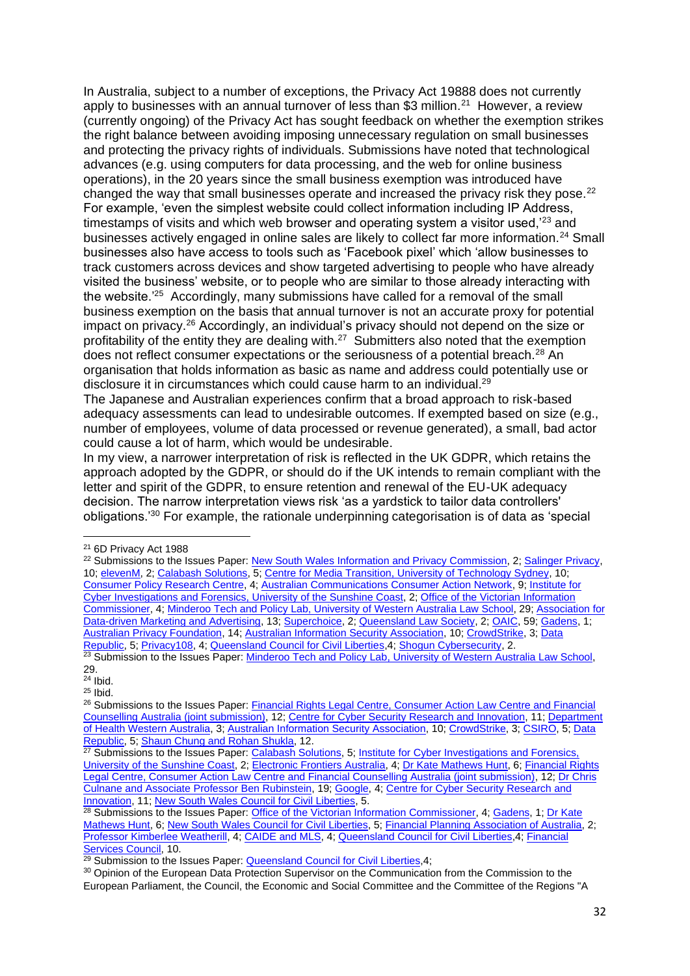In Australia, subject to a number of exceptions, the Privacy Act 19888 does not currently apply to businesses with an annual turnover of less than \$3 million.<sup>21</sup> However, a review (currently ongoing) of the Privacy Act has sought feedback on whether the exemption strikes the right balance between avoiding imposing unnecessary regulation on small businesses and protecting the privacy rights of individuals. Submissions have noted that technological advances (e.g. using computers for data processing, and the web for online business operations), in the 20 years since the small business exemption was introduced have changed the way that small businesses operate and increased the privacy risk they pose. $22$ For example, 'even the simplest website could collect information including IP Address, timestamps of visits and which web browser and operating system a visitor used,<sup>23</sup> and businesses actively engaged in online sales are likely to collect far more information.<sup>24</sup> Small businesses also have access to tools such as 'Facebook pixel' which 'allow businesses to track customers across devices and show targeted advertising to people who have already visited the business' website, or to people who are similar to those already interacting with the website.<sup>'25</sup> Accordingly, many submissions have called for a removal of the small business exemption on the basis that annual turnover is not an accurate proxy for potential impact on privacy.<sup>26</sup> Accordingly, an individual's privacy should not depend on the size or profitability of the entity they are dealing with. $27$  Submitters also noted that the exemption does not reflect consumer expectations or the seriousness of a potential breach.<sup>28</sup> An organisation that holds information as basic as name and address could potentially use or disclosure it in circumstances which could cause harm to an individual.<sup>29</sup>

The Japanese and Australian experiences confirm that a broad approach to risk-based adequacy assessments can lead to undesirable outcomes. If exempted based on size (e.g., number of employees, volume of data processed or revenue generated), a small, bad actor could cause a lot of harm, which would be undesirable.

In my view, a narrower interpretation of risk is reflected in the UK GDPR, which retains the approach adopted by the GDPR, or should do if the UK intends to remain compliant with the letter and spirit of the GDPR, to ensure retention and renewal of the EU-UK adequacy decision. The narrow interpretation views risk 'as a yardstick to tailor data controllers' obligations.'<sup>30</sup> For example, the rationale underpinning categorisation is of data as 'special

<sup>21</sup> 6D Privacy Act 1988

<sup>&</sup>lt;sup>22</sup> Submissions to the Issues Paper: [New South Wales Information](https://www.ag.gov.au/sites/default/files/2021-01/information-and-privacy-commission-new-south-wales.PDF) and Privacy Commission, 2; [Salinger Privacy,](https://www.ag.gov.au/sites/default/files/2020-12/salinger-consulting-pty-ltd.PDF) 10; [elevenM,](https://www.ag.gov.au/sites/default/files/2021-02/elevenm.PDF) 2; [Calabash Solutions,](https://www.ag.gov.au/sites/default/files/2020-12/calabash-solutions.PDF) 5[; Centre for Media Transition, University of Technology Sydney,](https://www.ag.gov.au/sites/default/files/2021-03/centre-for-media-transition-uts.PDF) 10; [Consumer Policy Research Centre,](https://www.ag.gov.au/sites/default/files/2021-01/consumer-policy-research-centre.PDF) 4[; Australian Communications Consumer Action Network,](https://www.ag.gov.au/sites/default/files/2021-01/australian-communications-consumer-action-network.PDF) 9; [Institute for](https://www.ag.gov.au/sites/default/files/2020-12/institute-for-cyber-investigations-and-forensics%2C-university-of-the-sunshine-coast.PDF)  [Cyber Investigations and Forensics, University of the Sunshine Coast,](https://www.ag.gov.au/sites/default/files/2020-12/institute-for-cyber-investigations-and-forensics%2C-university-of-the-sunshine-coast.PDF) 2; [Office of the Victorian Information](https://www.ag.gov.au/sites/default/files/2021-01/office-of-the-victorian-information-commissioner.PDF)  [Commissioner,](https://www.ag.gov.au/sites/default/files/2021-01/office-of-the-victorian-information-commissioner.PDF) 4[; Minderoo Tech and Policy Lab, University of Western Australia Law School,](https://www.ag.gov.au/sites/default/files/2021-01/minderoo-tech-and-policy-lab-university-of-western-australia-law-school.PDF) 29; [Association for](https://www.ag.gov.au/sites/default/files/2020-12/association-for-data-driven-marketing-%26-advertising.PDF)  [Data-driven Marketing and Advertising,](https://www.ag.gov.au/sites/default/files/2020-12/association-for-data-driven-marketing-%26-advertising.PDF) 13; [Superchoice,](https://www.ag.gov.au/sites/default/files/2020-12/superchoice.PDF) 2; [Queensland Law Society,](https://www.ag.gov.au/sites/default/files/2021-01/queensland-law-society.PDF) 2[; OAIC,](https://www.ag.gov.au/sites/default/files/2021-01/office-of-the-australian-information-commissioner.PDF) 59[; Gadens,](https://www.ag.gov.au/sites/default/files/2021-01/gadens.PDF) 1; [Australian Privacy Foundation,](https://www.ag.gov.au/sites/default/files/2021-01/australian-privacy-foundation.PDF) 14[; Australian Information Security Association,](https://www.ag.gov.au/sites/default/files/2020-12/australian-information-security-association.PDF) 10[; CrowdStrike,](https://www.ag.gov.au/sites/default/files/2021-01/crowdstrike.PDF) 3[; Data](https://www.ag.gov.au/sites/default/files/2020-12/data-republic.PDF)  [Republic,](https://www.ag.gov.au/sites/default/files/2020-12/data-republic.PDF) 5; [Privacy108,](https://www.ag.gov.au/sites/default/files/2020-12/privacy108-consulting-pty-ltd.PDF) 4[; Queensland Council for Civil Liberties,](https://www.ag.gov.au/sites/default/files/2021-02/queensland-council-for-civil-liberties.PDF) 4; [Shogun Cybersecurity,](https://www.ag.gov.au/sites/default/files/2020-12/shogun-cybersecurity.PDF) 2. <sup>23</sup> Submission to the Issues Paper: Minderoo Tech and Policy Lab, University of Western Australia Law School,

<sup>29.</sup>

 $24$  Ibid.

 $25$  Ibid.

<sup>&</sup>lt;sup>26</sup> Submissions to the Issues Paper: Financial Rights Legal Centre, Consumer Action Law Centre and Financial [Counselling Australia \(joint submission\),](https://www.ag.gov.au/sites/default/files/2021-02/financial-rights-legal-centre-consumer-action-law-centre-and-financial-counselling-australia-joint-submission.PDF) 12; [Centre for Cyber Security Research and Innovation,](https://www.ag.gov.au/sites/default/files/2020-12/centre-for-cyber-security-research-and-innovation.PDF) 11; [Department](https://www.ag.gov.au/sites/default/files/2020-12/department-of-health-of-western-australia.PDF)  [of Health Western Australia,](https://www.ag.gov.au/sites/default/files/2020-12/department-of-health-of-western-australia.PDF) 3[; Australian Information Security Association,](https://www.ag.gov.au/sites/default/files/2020-12/australian-information-security-association.PDF) 10[; CrowdStrike,](https://www.ag.gov.au/sites/default/files/2021-01/crowdstrike.PDF) 3[; CSIRO,](https://www.ag.gov.au/sites/default/files/2021-01/csiro.PDF) 5; [Data](https://www.ag.gov.au/sites/default/files/2020-12/data-republic.PDF)  [Republic,](https://www.ag.gov.au/sites/default/files/2020-12/data-republic.PDF) 5; [Shaun Chung and Rohan Shukla,](https://www.ag.gov.au/sites/default/files/2021-01/shaun-chung-and-rohan-shukla.PDF) 12.

<sup>&</sup>lt;sup>27</sup> Submissions to the Issues Paper: [Calabash Solutions,](https://www.ag.gov.au/sites/default/files/2020-12/calabash-solutions.PDF) 5; Institute for Cyber Investigations and Forensics, [University of the Sunshine Coast,](https://www.ag.gov.au/sites/default/files/2020-12/institute-for-cyber-investigations-and-forensics%2C-university-of-the-sunshine-coast.PDF) 2[; Electronic Frontiers Australia,](https://www.ag.gov.au/sites/default/files/2021-01/electronic-frontiers-australia.PDF) 4[; Dr Kate Mathews Hunt,](https://www.ag.gov.au/sites/default/files/2021-01/dr-kate-mathews-hunt.PDF) 6; Financial Rights [Legal Centre, Consumer Action Law Centre and Financial Counselling Australia \(joint submission\),](https://www.ag.gov.au/sites/default/files/2021-02/financial-rights-legal-centre-consumer-action-law-centre-and-financial-counselling-australia-joint-submission.PDF) 12[; Dr Chris](https://www.ag.gov.au/sites/default/files/2020-12/dr-ben-rubenstein-and-dr-chris-culnane.PDF)  [Culnane and Associate Professor Ben Rubinstein,](https://www.ag.gov.au/sites/default/files/2020-12/dr-ben-rubenstein-and-dr-chris-culnane.PDF) 19; [Google,](https://www.ag.gov.au/sites/default/files/2021-01/google.PDF) 4; [Centre for Cyber Security Research and](https://www.ag.gov.au/sites/default/files/2020-12/centre-for-cyber-security-research-and-innovation.PDF)  [Innovation,](https://www.ag.gov.au/sites/default/files/2020-12/centre-for-cyber-security-research-and-innovation.PDF) 11[; New South Wales Council for Civil Liberties,](https://www.ag.gov.au/sites/default/files/2020-12/new-south-wales-council-for-civil-liberties.PDF) 5.

<sup>&</sup>lt;sup>28</sup> Submissions to the Issues Paper: [Office of the Victorian Information Commissioner,](https://www.ag.gov.au/sites/default/files/2021-01/office-of-the-victorian-information-commissioner.PDF) 4; [Gadens,](https://www.ag.gov.au/sites/default/files/2021-01/gadens.PDF) 1; Dr Kate [Mathews Hunt,](https://www.ag.gov.au/sites/default/files/2021-01/dr-kate-mathews-hunt.PDF) 6[; New South Wales Council for Civil Liberties,](https://www.ag.gov.au/sites/default/files/2020-12/new-south-wales-council-for-civil-liberties.PDF) 5[; Financial Planning Association of Australia,](https://www.ag.gov.au/sites/default/files/2021-01/financial-planning-association-of-australia.PDF) 2; [Professor Kimberlee Weatherill,](https://www.ag.gov.au/sites/default/files/2021-01/dr-kimberlee-weatherall.PDF) 4; [CAIDE and MLS,](https://www.ag.gov.au/sites/default/files/2021-01/university-of-melbourne-centre-for-ai-and-digital-ethics.PDF) 4; [Queensland Council for Civil Liberties,](https://www.ag.gov.au/sites/default/files/2021-02/queensland-council-for-civil-liberties.PDF)4[; Financial](https://www.ag.gov.au/sites/default/files/2021-01/financial-services-council.PDF)  [Services Council,](https://www.ag.gov.au/sites/default/files/2021-01/financial-services-council.PDF) 10.

<sup>&</sup>lt;sup>29</sup> Submission to the Issues Paper: **Queensland Council for Civil Liberties**, 4;

<sup>&</sup>lt;sup>30</sup> Opinion of the European Data Protection Supervisor on the Communication from the Commission to the European Parliament, the Council, the Economic and Social Committee and the Committee of the Regions "A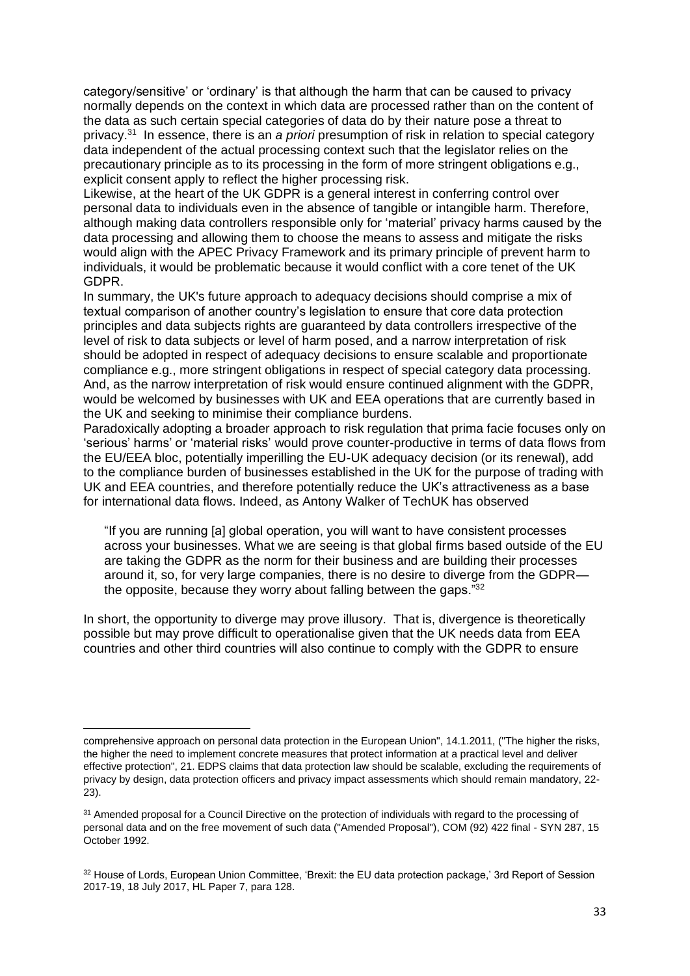category/sensitive' or 'ordinary' is that although the harm that can be caused to privacy normally depends on the context in which data are processed rather than on the content of the data as such certain special categories of data do by their nature pose a threat to privacy.<sup>31</sup> In essence, there is an *a priori* presumption of risk in relation to special category data independent of the actual processing context such that the legislator relies on the precautionary principle as to its processing in the form of more stringent obligations e.g., explicit consent apply to reflect the higher processing risk.

Likewise, at the heart of the UK GDPR is a general interest in conferring control over personal data to individuals even in the absence of tangible or intangible harm. Therefore, although making data controllers responsible only for 'material' privacy harms caused by the data processing and allowing them to choose the means to assess and mitigate the risks would align with the APEC Privacy Framework and its primary principle of prevent harm to individuals, it would be problematic because it would conflict with a core tenet of the UK GDPR.

In summary, the UK's future approach to adequacy decisions should comprise a mix of textual comparison of another country's legislation to ensure that core data protection principles and data subjects rights are guaranteed by data controllers irrespective of the level of risk to data subjects or level of harm posed, and a narrow interpretation of risk should be adopted in respect of adequacy decisions to ensure scalable and proportionate compliance e.g., more stringent obligations in respect of special category data processing. And, as the narrow interpretation of risk would ensure continued alignment with the GDPR, would be welcomed by businesses with UK and EEA operations that are currently based in the UK and seeking to minimise their compliance burdens.

Paradoxically adopting a broader approach to risk regulation that prima facie focuses only on 'serious' harms' or 'material risks' would prove counter-productive in terms of data flows from the EU/EEA bloc, potentially imperilling the EU-UK adequacy decision (or its renewal), add to the compliance burden of businesses established in the UK for the purpose of trading with UK and EEA countries, and therefore potentially reduce the UK's attractiveness as a base for international data flows. Indeed, as Antony Walker of TechUK has observed

"If you are running [a] global operation, you will want to have consistent processes across your businesses. What we are seeing is that global firms based outside of the EU are taking the GDPR as the norm for their business and are building their processes around it, so, for very large companies, there is no desire to diverge from the GDPR the opposite, because they worry about falling between the gaps."<sup>32</sup>

In short, the opportunity to diverge may prove illusory. That is, divergence is theoretically possible but may prove difficult to operationalise given that the UK needs data from EEA countries and other third countries will also continue to comply with the GDPR to ensure

comprehensive approach on personal data protection in the European Union", 14.1.2011, ("The higher the risks, the higher the need to implement concrete measures that protect information at a practical level and deliver effective protection", 21. EDPS claims that data protection law should be scalable, excluding the requirements of privacy by design, data protection officers and privacy impact assessments which should remain mandatory, 22- 23).

<sup>&</sup>lt;sup>31</sup> Amended proposal for a Council Directive on the protection of individuals with regard to the processing of personal data and on the free movement of such data ("Amended Proposal"), COM (92) 422 final - SYN 287, 15 October 1992.

<sup>32</sup> House of Lords, European Union Committee, 'Brexit: the EU data protection package,' 3rd Report of Session 2017-19, 18 July 2017, HL Paper 7, para 128.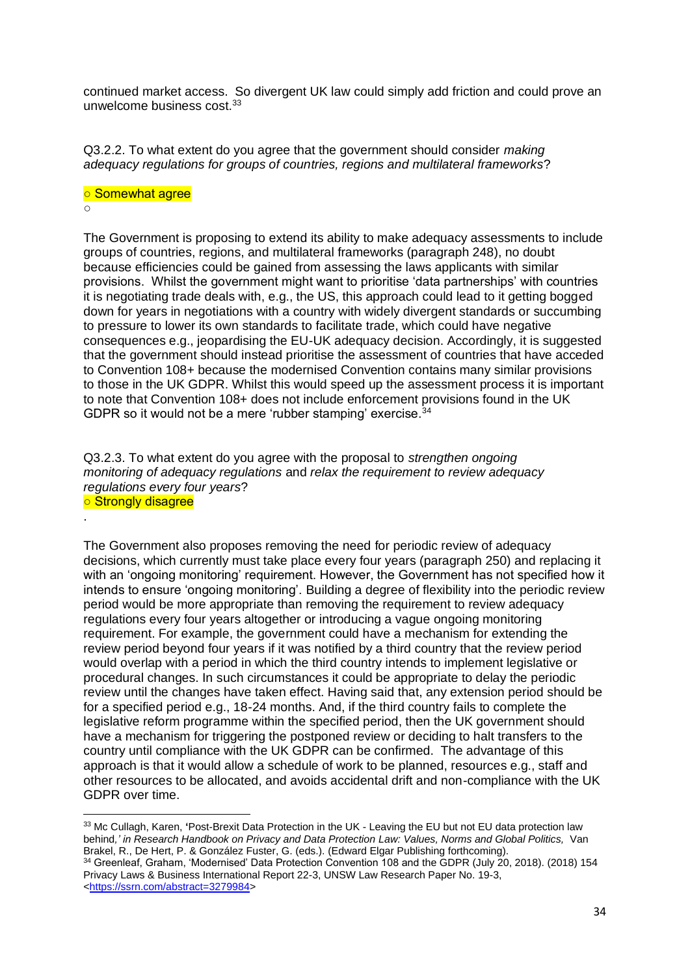continued market access. So divergent UK law could simply add friction and could prove an unwelcome business cost.<sup>33</sup>

Q3.2.2. To what extent do you agree that the government should consider *making adequacy regulations for groups of countries, regions and multilateral frameworks*?

# ○ Somewhat agree

 $\circ$ 

.

The Government is proposing to extend its ability to make adequacy assessments to include groups of countries, regions, and multilateral frameworks (paragraph 248), no doubt because efficiencies could be gained from assessing the laws applicants with similar provisions. Whilst the government might want to prioritise 'data partnerships' with countries it is negotiating trade deals with, e.g., the US, this approach could lead to it getting bogged down for years in negotiations with a country with widely divergent standards or succumbing to pressure to lower its own standards to facilitate trade, which could have negative consequences e.g., jeopardising the EU-UK adequacy decision. Accordingly, it is suggested that the government should instead prioritise the assessment of countries that have acceded to Convention 108+ because the modernised Convention contains many similar provisions to those in the UK GDPR. Whilst this would speed up the assessment process it is important to note that Convention 108+ does not include enforcement provisions found in the UK GDPR so it would not be a mere 'rubber stamping' exercise.<sup>34</sup>

Q3.2.3. To what extent do you agree with the proposal to *strengthen ongoing monitoring of adequacy regulations* and *relax the requirement to review adequacy regulations every four years*? ○ Strongly disagree

The Government also proposes removing the need for periodic review of adequacy decisions, which currently must take place every four years (paragraph 250) and replacing it with an 'ongoing monitoring' requirement. However, the Government has not specified how it intends to ensure 'ongoing monitoring'. Building a degree of flexibility into the periodic review period would be more appropriate than removing the requirement to review adequacy regulations every four years altogether or introducing a vague ongoing monitoring requirement. For example, the government could have a mechanism for extending the review period beyond four years if it was notified by a third country that the review period would overlap with a period in which the third country intends to implement legislative or procedural changes. In such circumstances it could be appropriate to delay the periodic review until the changes have taken effect. Having said that, any extension period should be for a specified period e.g., 18-24 months. And, if the third country fails to complete the legislative reform programme within the specified period, then the UK government should have a mechanism for triggering the postponed review or deciding to halt transfers to the country until compliance with the UK GDPR can be confirmed. The advantage of this approach is that it would allow a schedule of work to be planned, resources e.g., staff and other resources to be allocated, and avoids accidental drift and non-compliance with the UK GDPR over time.

<sup>33</sup> Mc Cullagh, Karen, **'**Post-Brexit Data Protection in the UK - Leaving the EU but not EU data protection law behind*,' in Research Handbook on Privacy and Data Protection Law: Values, Norms and Global Politics,* Van Brakel, R., De Hert, P. & González Fuster, G. (eds.). (Edward Elgar Publishing forthcoming).

<sup>34</sup> Greenleaf, Graham, 'Modernised' Data Protection Convention 108 and the GDPR (July 20, 2018). (2018) 154 Privacy Laws & Business International Report 22-3, UNSW Law Research Paper No. 19-3, [<https://ssrn.com/abstract=3279984>](https://ssrn.com/abstract=3279984)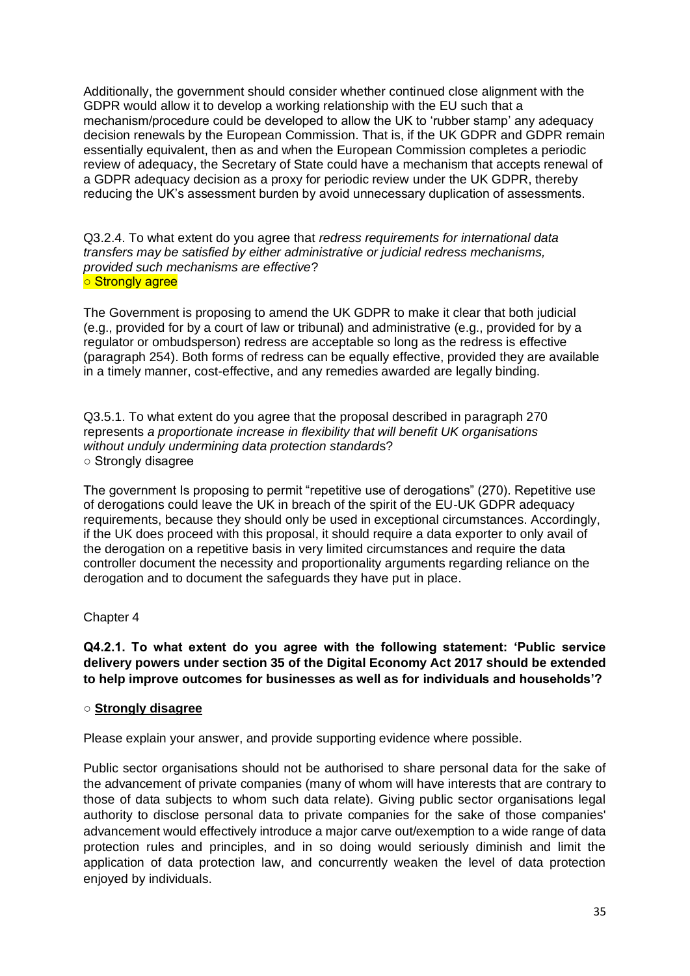Additionally, the government should consider whether continued close alignment with the GDPR would allow it to develop a working relationship with the EU such that a mechanism/procedure could be developed to allow the UK to 'rubber stamp' any adequacy decision renewals by the European Commission. That is, if the UK GDPR and GDPR remain essentially equivalent, then as and when the European Commission completes a periodic review of adequacy, the Secretary of State could have a mechanism that accepts renewal of a GDPR adequacy decision as a proxy for periodic review under the UK GDPR, thereby reducing the UK's assessment burden by avoid unnecessary duplication of assessments.

Q3.2.4. To what extent do you agree that *redress requirements for international data transfers may be satisfied by either administrative or judicial redress mechanisms, provided such mechanisms are effective*? ○ Strongly agree

The Government is proposing to amend the UK GDPR to make it clear that both judicial (e.g., provided for by a court of law or tribunal) and administrative (e.g., provided for by a regulator or ombudsperson) redress are acceptable so long as the redress is effective (paragraph 254). Both forms of redress can be equally effective, provided they are available in a timely manner, cost-effective, and any remedies awarded are legally binding.

Q3.5.1. To what extent do you agree that the proposal described in paragraph 270 represents *a proportionate increase in flexibility that will benefit UK organisations without unduly undermining data protection standard*s? ○ Strongly disagree

The government Is proposing to permit "repetitive use of derogations" (270). Repetitive use of derogations could leave the UK in breach of the spirit of the EU-UK GDPR adequacy requirements, because they should only be used in exceptional circumstances. Accordingly, if the UK does proceed with this proposal, it should require a data exporter to only avail of the derogation on a repetitive basis in very limited circumstances and require the data controller document the necessity and proportionality arguments regarding reliance on the derogation and to document the safeguards they have put in place.

# Chapter 4

**Q4.2.1. To what extent do you agree with the following statement: 'Public service delivery powers under section 35 of the Digital Economy Act 2017 should be extended to help improve outcomes for businesses as well as for individuals and households'?**

## ○ **Strongly disagree**

Please explain your answer, and provide supporting evidence where possible.

Public sector organisations should not be authorised to share personal data for the sake of the advancement of private companies (many of whom will have interests that are contrary to those of data subjects to whom such data relate). Giving public sector organisations legal authority to disclose personal data to private companies for the sake of those companies' advancement would effectively introduce a major carve out/exemption to a wide range of data protection rules and principles, and in so doing would seriously diminish and limit the application of data protection law, and concurrently weaken the level of data protection enjoyed by individuals.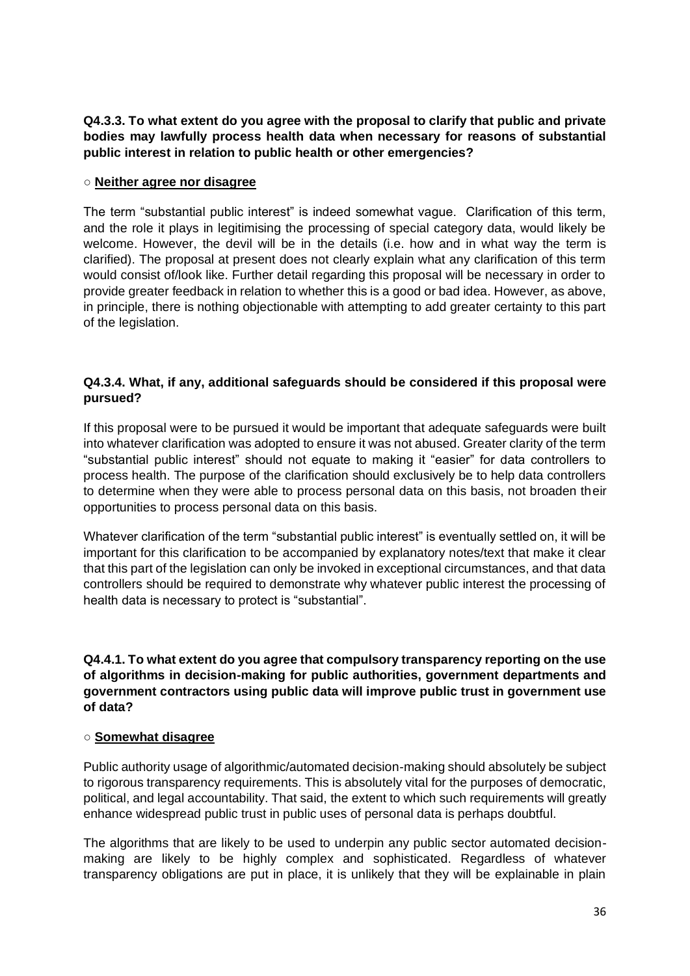# **Q4.3.3. To what extent do you agree with the proposal to clarify that public and private bodies may lawfully process health data when necessary for reasons of substantial public interest in relation to public health or other emergencies?**

## ○ **Neither agree nor disagree**

The term "substantial public interest" is indeed somewhat vague. Clarification of this term, and the role it plays in legitimising the processing of special category data, would likely be welcome. However, the devil will be in the details (i.e. how and in what way the term is clarified). The proposal at present does not clearly explain what any clarification of this term would consist of/look like. Further detail regarding this proposal will be necessary in order to provide greater feedback in relation to whether this is a good or bad idea. However, as above, in principle, there is nothing objectionable with attempting to add greater certainty to this part of the legislation.

# **Q4.3.4. What, if any, additional safeguards should be considered if this proposal were pursued?**

If this proposal were to be pursued it would be important that adequate safeguards were built into whatever clarification was adopted to ensure it was not abused. Greater clarity of the term "substantial public interest" should not equate to making it "easier" for data controllers to process health. The purpose of the clarification should exclusively be to help data controllers to determine when they were able to process personal data on this basis, not broaden their opportunities to process personal data on this basis.

Whatever clarification of the term "substantial public interest" is eventually settled on, it will be important for this clarification to be accompanied by explanatory notes/text that make it clear that this part of the legislation can only be invoked in exceptional circumstances, and that data controllers should be required to demonstrate why whatever public interest the processing of health data is necessary to protect is "substantial".

## **Q4.4.1. To what extent do you agree that compulsory transparency reporting on the use of algorithms in decision-making for public authorities, government departments and government contractors using public data will improve public trust in government use of data?**

## ○ **Somewhat disagree**

Public authority usage of algorithmic/automated decision-making should absolutely be subject to rigorous transparency requirements. This is absolutely vital for the purposes of democratic, political, and legal accountability. That said, the extent to which such requirements will greatly enhance widespread public trust in public uses of personal data is perhaps doubtful.

The algorithms that are likely to be used to underpin any public sector automated decisionmaking are likely to be highly complex and sophisticated. Regardless of whatever transparency obligations are put in place, it is unlikely that they will be explainable in plain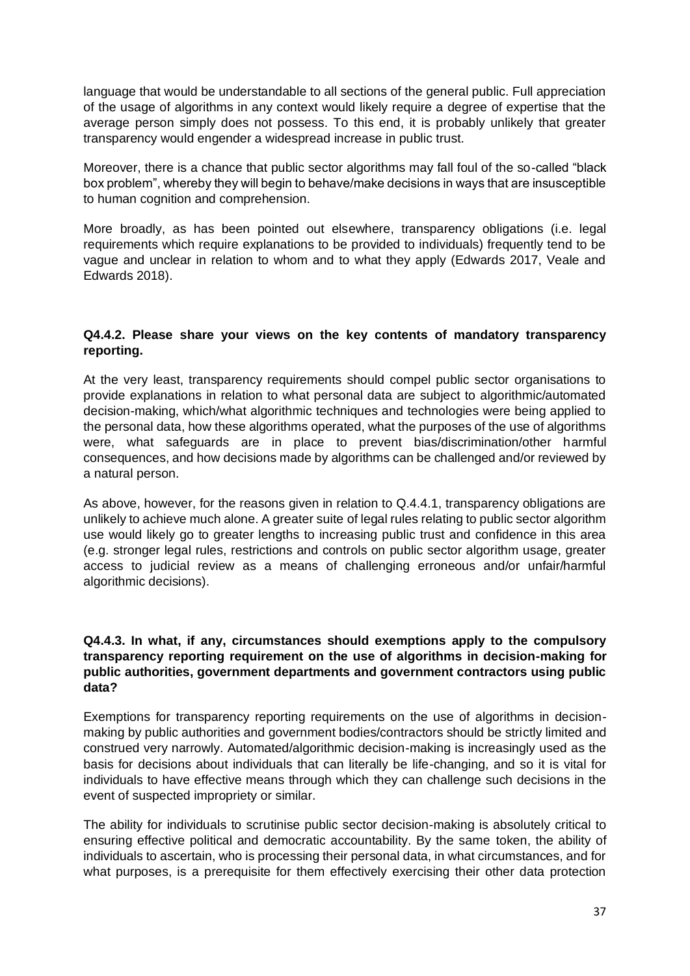language that would be understandable to all sections of the general public. Full appreciation of the usage of algorithms in any context would likely require a degree of expertise that the average person simply does not possess. To this end, it is probably unlikely that greater transparency would engender a widespread increase in public trust.

Moreover, there is a chance that public sector algorithms may fall foul of the so-called "black box problem", whereby they will begin to behave/make decisions in ways that are insusceptible to human cognition and comprehension.

More broadly, as has been pointed out elsewhere, transparency obligations (i.e. legal requirements which require explanations to be provided to individuals) frequently tend to be vague and unclear in relation to whom and to what they apply (Edwards 2017, Veale and Edwards 2018).

## **Q4.4.2. Please share your views on the key contents of mandatory transparency reporting.**

At the very least, transparency requirements should compel public sector organisations to provide explanations in relation to what personal data are subject to algorithmic/automated decision-making, which/what algorithmic techniques and technologies were being applied to the personal data, how these algorithms operated, what the purposes of the use of algorithms were, what safeguards are in place to prevent bias/discrimination/other harmful consequences, and how decisions made by algorithms can be challenged and/or reviewed by a natural person.

As above, however, for the reasons given in relation to Q.4.4.1, transparency obligations are unlikely to achieve much alone. A greater suite of legal rules relating to public sector algorithm use would likely go to greater lengths to increasing public trust and confidence in this area (e.g. stronger legal rules, restrictions and controls on public sector algorithm usage, greater access to judicial review as a means of challenging erroneous and/or unfair/harmful algorithmic decisions).

## **Q4.4.3. In what, if any, circumstances should exemptions apply to the compulsory transparency reporting requirement on the use of algorithms in decision-making for public authorities, government departments and government contractors using public data?**

Exemptions for transparency reporting requirements on the use of algorithms in decisionmaking by public authorities and government bodies/contractors should be strictly limited and construed very narrowly. Automated/algorithmic decision-making is increasingly used as the basis for decisions about individuals that can literally be life-changing, and so it is vital for individuals to have effective means through which they can challenge such decisions in the event of suspected impropriety or similar.

The ability for individuals to scrutinise public sector decision-making is absolutely critical to ensuring effective political and democratic accountability. By the same token, the ability of individuals to ascertain, who is processing their personal data, in what circumstances, and for what purposes, is a prerequisite for them effectively exercising their other data protection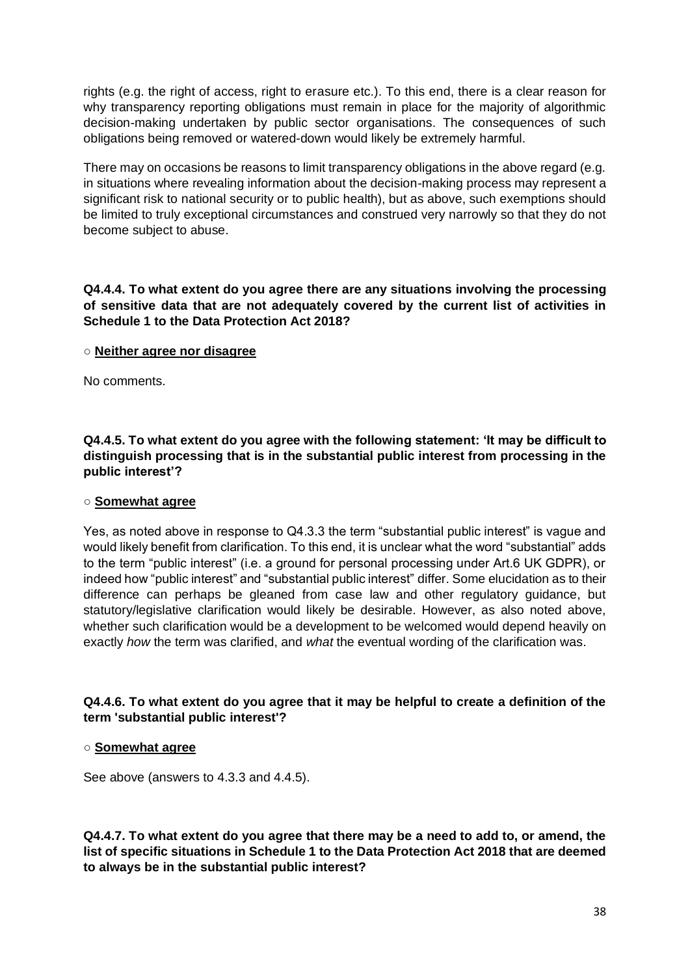rights (e.g. the right of access, right to erasure etc.). To this end, there is a clear reason for why transparency reporting obligations must remain in place for the maiority of algorithmic decision-making undertaken by public sector organisations. The consequences of such obligations being removed or watered-down would likely be extremely harmful.

There may on occasions be reasons to limit transparency obligations in the above regard (e.g. in situations where revealing information about the decision-making process may represent a significant risk to national security or to public health), but as above, such exemptions should be limited to truly exceptional circumstances and construed very narrowly so that they do not become subject to abuse.

**Q4.4.4. To what extent do you agree there are any situations involving the processing of sensitive data that are not adequately covered by the current list of activities in Schedule 1 to the Data Protection Act 2018?**

## ○ **Neither agree nor disagree**

No comments.

**Q4.4.5. To what extent do you agree with the following statement: 'It may be difficult to distinguish processing that is in the substantial public interest from processing in the public interest'?**

## ○ **Somewhat agree**

Yes, as noted above in response to Q4.3.3 the term "substantial public interest" is vague and would likely benefit from clarification. To this end, it is unclear what the word "substantial" adds to the term "public interest" (i.e. a ground for personal processing under Art.6 UK GDPR), or indeed how "public interest" and "substantial public interest" differ. Some elucidation as to their difference can perhaps be gleaned from case law and other regulatory guidance, but statutory/legislative clarification would likely be desirable. However, as also noted above, whether such clarification would be a development to be welcomed would depend heavily on exactly *how* the term was clarified, and *what* the eventual wording of the clarification was.

## **Q4.4.6. To what extent do you agree that it may be helpful to create a definition of the term 'substantial public interest'?**

#### ○ **Somewhat agree**

See above (answers to 4.3.3 and 4.4.5).

**Q4.4.7. To what extent do you agree that there may be a need to add to, or amend, the list of specific situations in Schedule 1 to the Data Protection Act 2018 that are deemed to always be in the substantial public interest?**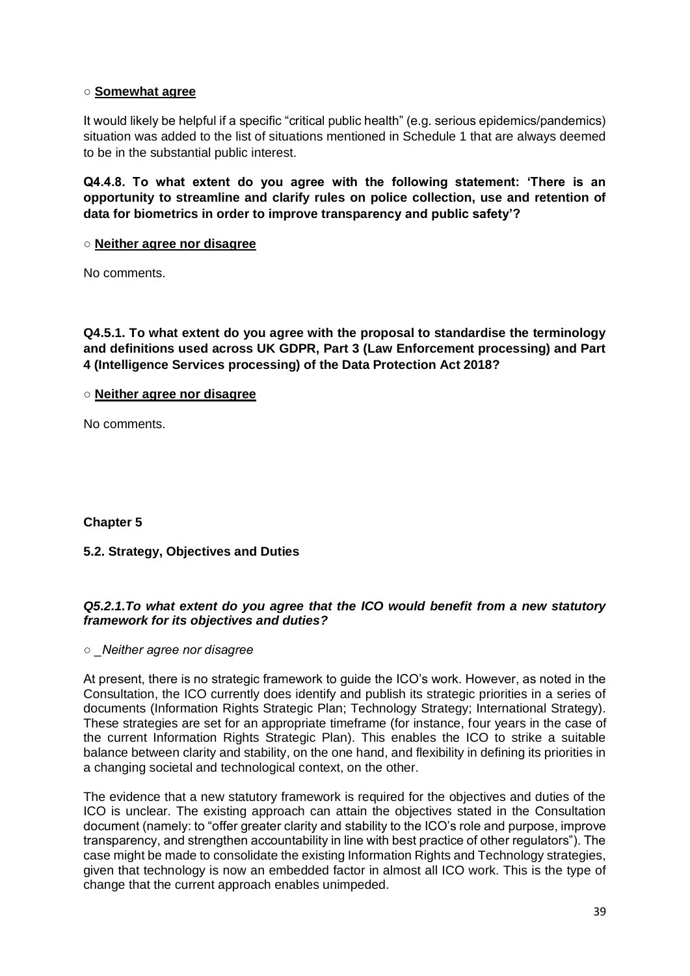## ○ **Somewhat agree**

It would likely be helpful if a specific "critical public health" (e.g. serious epidemics/pandemics) situation was added to the list of situations mentioned in Schedule 1 that are always deemed to be in the substantial public interest.

**Q4.4.8. To what extent do you agree with the following statement: 'There is an opportunity to streamline and clarify rules on police collection, use and retention of data for biometrics in order to improve transparency and public safety'?**

#### ○ **Neither agree nor disagree**

No comments.

**Q4.5.1. To what extent do you agree with the proposal to standardise the terminology and definitions used across UK GDPR, Part 3 (Law Enforcement processing) and Part 4 (Intelligence Services processing) of the Data Protection Act 2018?**

○ **Neither agree nor disagree**

No comments.

**Chapter 5**

## **5.2. Strategy, Objectives and Duties**

## *Q5.2.1.To what extent do you agree that the ICO would benefit from a new statutory framework for its objectives and duties?*

*○ \_Neither agree nor disagree* 

At present, there is no strategic framework to guide the ICO's work. However, as noted in the Consultation, the ICO currently does identify and publish its strategic priorities in a series of documents (Information Rights Strategic Plan; Technology Strategy; International Strategy). These strategies are set for an appropriate timeframe (for instance, four years in the case of the current Information Rights Strategic Plan). This enables the ICO to strike a suitable balance between clarity and stability, on the one hand, and flexibility in defining its priorities in a changing societal and technological context, on the other.

The evidence that a new statutory framework is required for the objectives and duties of the ICO is unclear. The existing approach can attain the objectives stated in the Consultation document (namely: to "offer greater clarity and stability to the ICO's role and purpose, improve transparency, and strengthen accountability in line with best practice of other regulators"). The case might be made to consolidate the existing Information Rights and Technology strategies, given that technology is now an embedded factor in almost all ICO work. This is the type of change that the current approach enables unimpeded.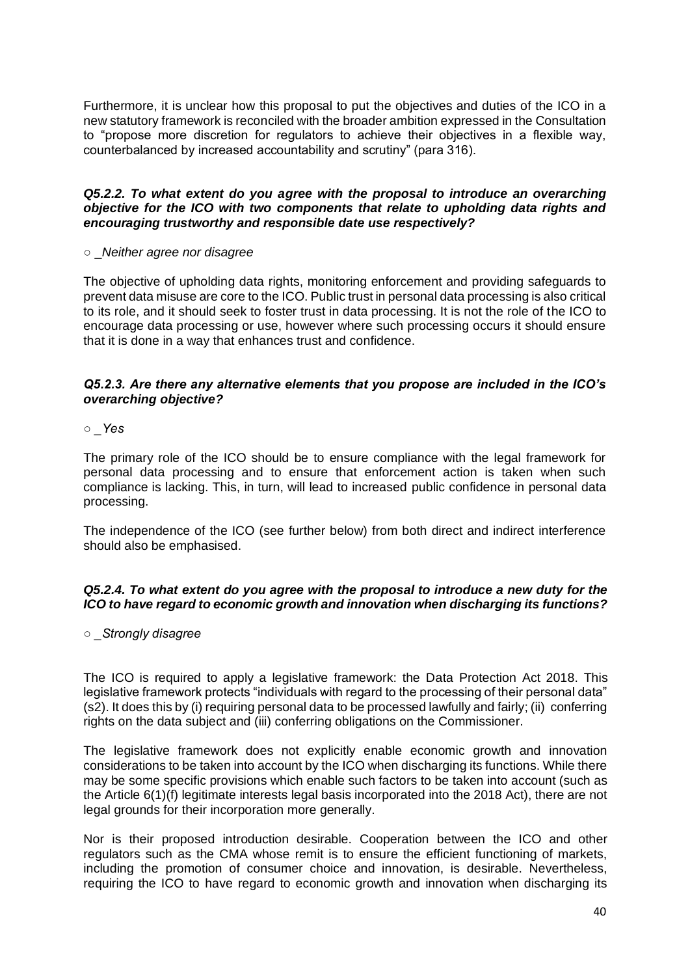Furthermore, it is unclear how this proposal to put the objectives and duties of the ICO in a new statutory framework is reconciled with the broader ambition expressed in the Consultation to "propose more discretion for regulators to achieve their objectives in a flexible way, counterbalanced by increased accountability and scrutiny" (para 316).

#### *Q5.2.2. To what extent do you agree with the proposal to introduce an overarching objective for the ICO with two components that relate to upholding data rights and encouraging trustworthy and responsible date use respectively?*

#### ○ \_*Neither agree nor disagree*

The objective of upholding data rights, monitoring enforcement and providing safeguards to prevent data misuse are core to the ICO. Public trust in personal data processing is also critical to its role, and it should seek to foster trust in data processing. It is not the role of the ICO to encourage data processing or use, however where such processing occurs it should ensure that it is done in a way that enhances trust and confidence.

#### *Q5.2.3. Are there any alternative elements that you propose are included in the ICO's overarching objective?*

#### *○ \_Yes*

The primary role of the ICO should be to ensure compliance with the legal framework for personal data processing and to ensure that enforcement action is taken when such compliance is lacking. This, in turn, will lead to increased public confidence in personal data processing.

The independence of the ICO (see further below) from both direct and indirect interference should also be emphasised.

#### *Q5.2.4. To what extent do you agree with the proposal to introduce a new duty for the ICO to have regard to economic growth and innovation when discharging its functions?*

*○ \_Strongly disagree* 

The ICO is required to apply a legislative framework: the Data Protection Act 2018. This legislative framework protects "individuals with regard to the processing of their personal data" (s2). It does this by (i) requiring personal data to be processed lawfully and fairly; (ii) conferring rights on the data subject and (iii) conferring obligations on the Commissioner.

The legislative framework does not explicitly enable economic growth and innovation considerations to be taken into account by the ICO when discharging its functions. While there may be some specific provisions which enable such factors to be taken into account (such as the Article 6(1)(f) legitimate interests legal basis incorporated into the 2018 Act), there are not legal grounds for their incorporation more generally.

Nor is their proposed introduction desirable. Cooperation between the ICO and other regulators such as the CMA whose remit is to ensure the efficient functioning of markets, including the promotion of consumer choice and innovation, is desirable. Nevertheless, requiring the ICO to have regard to economic growth and innovation when discharging its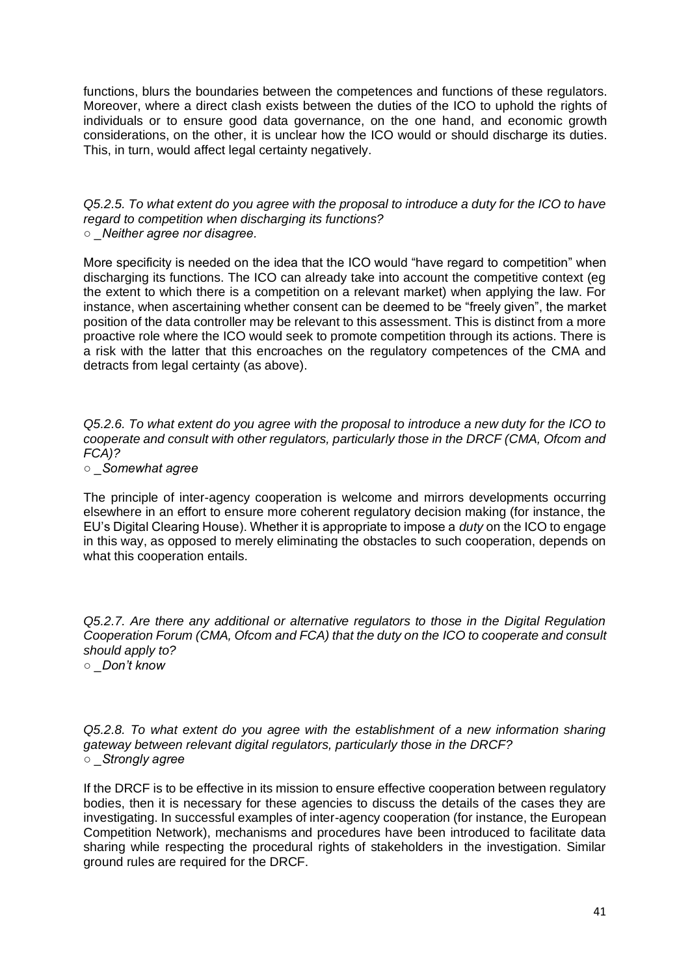functions, blurs the boundaries between the competences and functions of these regulators. Moreover, where a direct clash exists between the duties of the ICO to uphold the rights of individuals or to ensure good data governance, on the one hand, and economic growth considerations, on the other, it is unclear how the ICO would or should discharge its duties. This, in turn, would affect legal certainty negatively.

*Q5.2.5. To what extent do you agree with the proposal to introduce a duty for the ICO to have regard to competition when discharging its functions? ○ \_Neither agree nor disagree.* 

More specificity is needed on the idea that the ICO would "have regard to competition" when discharging its functions. The ICO can already take into account the competitive context (eg the extent to which there is a competition on a relevant market) when applying the law. For instance, when ascertaining whether consent can be deemed to be "freely given", the market position of the data controller may be relevant to this assessment. This is distinct from a more proactive role where the ICO would seek to promote competition through its actions. There is a risk with the latter that this encroaches on the regulatory competences of the CMA and detracts from legal certainty (as above).

*Q5.2.6. To what extent do you agree with the proposal to introduce a new duty for the ICO to cooperate and consult with other regulators, particularly those in the DRCF (CMA, Ofcom and FCA)?* 

*○ \_Somewhat agree* 

The principle of inter-agency cooperation is welcome and mirrors developments occurring elsewhere in an effort to ensure more coherent regulatory decision making (for instance, the EU's Digital Clearing House). Whether it is appropriate to impose a *duty* on the ICO to engage in this way, as opposed to merely eliminating the obstacles to such cooperation, depends on what this cooperation entails.

*Q5.2.7. Are there any additional or alternative regulators to those in the Digital Regulation Cooperation Forum (CMA, Ofcom and FCA) that the duty on the ICO to cooperate and consult should apply to? ○ \_Don't know* 

*Q5.2.8. To what extent do you agree with the establishment of a new information sharing gateway between relevant digital regulators, particularly those in the DRCF? ○ \_Strongly agree* 

If the DRCF is to be effective in its mission to ensure effective cooperation between regulatory bodies, then it is necessary for these agencies to discuss the details of the cases they are investigating. In successful examples of inter-agency cooperation (for instance, the European Competition Network), mechanisms and procedures have been introduced to facilitate data sharing while respecting the procedural rights of stakeholders in the investigation. Similar ground rules are required for the DRCF.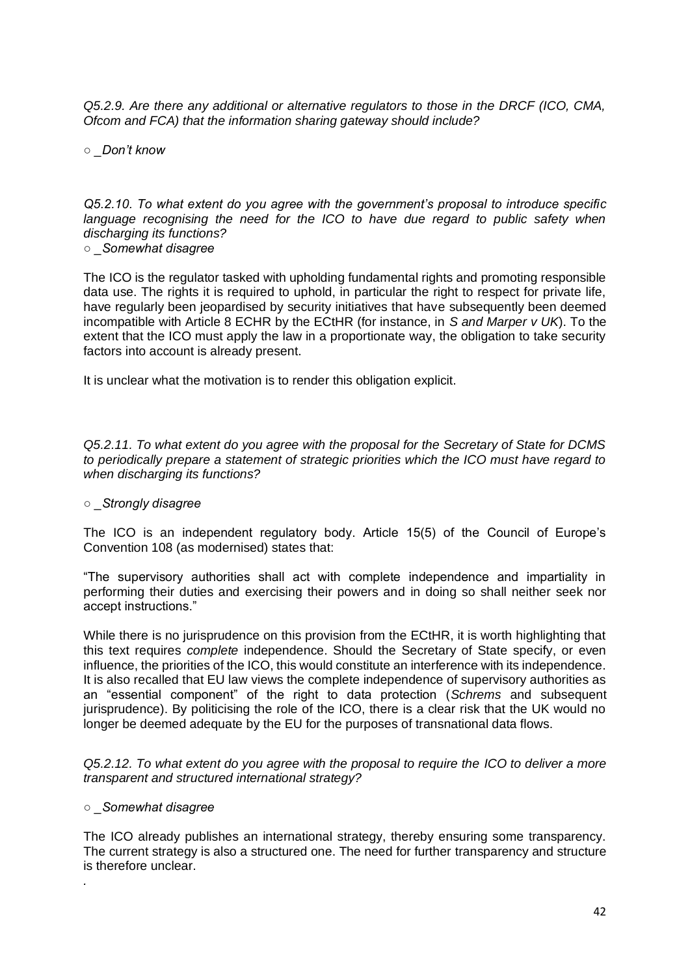*Q5.2.9. Are there any additional or alternative regulators to those in the DRCF (ICO, CMA, Ofcom and FCA) that the information sharing gateway should include?* 

*○ \_Don't know* 

*Q5.2.10. To what extent do you agree with the government's proposal to introduce specific language recognising the need for the ICO to have due regard to public safety when discharging its functions?* 

*○ \_Somewhat disagree* 

The ICO is the regulator tasked with upholding fundamental rights and promoting responsible data use. The rights it is required to uphold, in particular the right to respect for private life, have regularly been jeopardised by security initiatives that have subsequently been deemed incompatible with Article 8 ECHR by the ECtHR (for instance, in *S and Marper v UK*). To the extent that the ICO must apply the law in a proportionate way, the obligation to take security factors into account is already present.

It is unclear what the motivation is to render this obligation explicit.

*Q5.2.11. To what extent do you agree with the proposal for the Secretary of State for DCMS to periodically prepare a statement of strategic priorities which the ICO must have regard to when discharging its functions?* 

## *○ \_Strongly disagree*

The ICO is an independent regulatory body. Article 15(5) of the Council of Europe's Convention 108 (as modernised) states that:

"The supervisory authorities shall act with complete independence and impartiality in performing their duties and exercising their powers and in doing so shall neither seek nor accept instructions."

While there is no jurisprudence on this provision from the ECtHR, it is worth highlighting that this text requires *complete* independence. Should the Secretary of State specify, or even influence, the priorities of the ICO, this would constitute an interference with its independence. It is also recalled that EU law views the complete independence of supervisory authorities as an "essential component" of the right to data protection (*Schrems* and subsequent jurisprudence). By politicising the role of the ICO, there is a clear risk that the UK would no longer be deemed adequate by the EU for the purposes of transnational data flows.

*Q5.2.12. To what extent do you agree with the proposal to require the ICO to deliver a more transparent and structured international strategy?* 

#### *○ \_Somewhat disagree*

*.* 

The ICO already publishes an international strategy, thereby ensuring some transparency. The current strategy is also a structured one. The need for further transparency and structure is therefore unclear.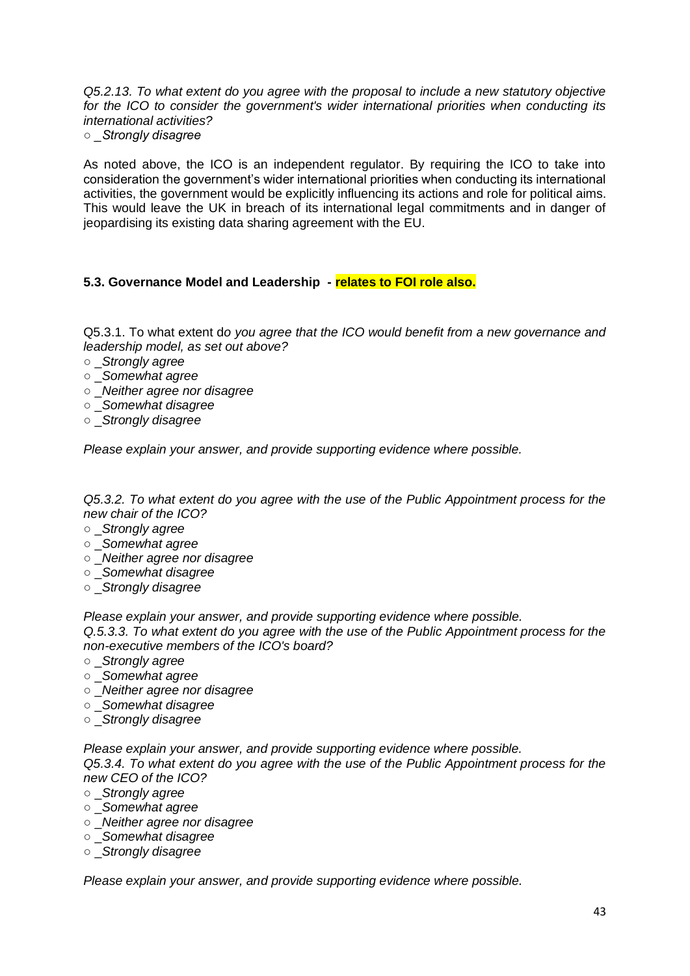*Q5.2.13. To what extent do you agree with the proposal to include a new statutory objective for the ICO to consider the government's wider international priorities when conducting its international activities? ○ \_Strongly disagree* 

As noted above, the ICO is an independent regulator. By requiring the ICO to take into consideration the government's wider international priorities when conducting its international activities, the government would be explicitly influencing its actions and role for political aims. This would leave the UK in breach of its international legal commitments and in danger of jeopardising its existing data sharing agreement with the EU.

## **5.3. Governance Model and Leadership - relates to FOI role also.**

Q5.3.1. To what extent d*o you agree that the ICO would benefit from a new governance and leadership model, as set out above?* 

- \_*Strongly agree*
- \_*Somewhat agree*
- \_*Neither agree nor disagree*
- \_*Somewhat disagree*
- \_*Strongly disagree*

*Please explain your answer, and provide supporting evidence where possible.* 

*Q5.3.2. To what extent do you agree with the use of the Public Appointment process for the new chair of the ICO?* 

- \_*Strongly agree*
- \_*Somewhat agree*
- \_*Neither agree nor disagree*
- \_*Somewhat disagree*
- \_*Strongly disagree*

*Please explain your answer, and provide supporting evidence where possible.* 

*Q.5.3.3. To what extent do you agree with the use of the Public Appointment process for the non-executive members of the ICO's board?* 

- \_*Strongly agree*
- \_*Somewhat agree*
- \_*Neither agree nor disagree*
- \_*Somewhat disagree*
- \_*Strongly disagree*

*Please explain your answer, and provide supporting evidence where possible.* 

*Q5.3.4. To what extent do you agree with the use of the Public Appointment process for the new CEO of the ICO?* 

- \_*Strongly agree*
- \_*Somewhat agree*
- \_*Neither agree nor disagree*
- \_*Somewhat disagree*
- \_*Strongly disagree*

*Please explain your answer, and provide supporting evidence where possible.*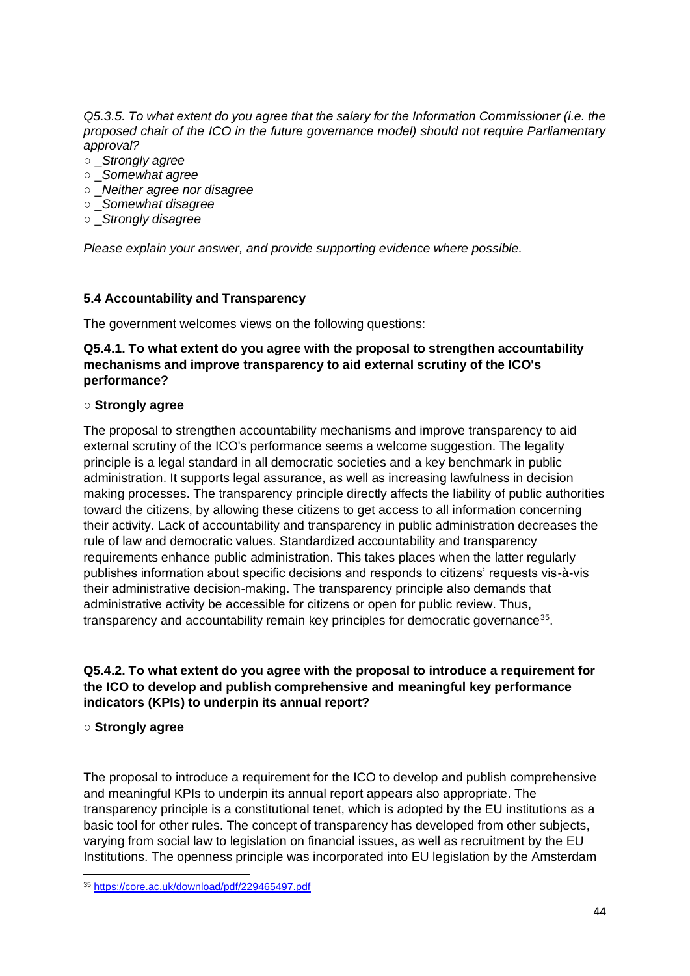*Q5.3.5. To what extent do you agree that the salary for the Information Commissioner (i.e. the proposed chair of the ICO in the future governance model) should not require Parliamentary approval?* 

- \_*Strongly agree*
- \_*Somewhat agree*
- \_*Neither agree nor disagree*
- \_*Somewhat disagree*
- \_*Strongly disagree*

*Please explain your answer, and provide supporting evidence where possible.* 

## **5.4 Accountability and Transparency**

The government welcomes views on the following questions:

## **Q5.4.1. To what extent do you agree with the proposal to strengthen accountability mechanisms and improve transparency to aid external scrutiny of the ICO's performance?**

#### ○ **Strongly agree**

The proposal to strengthen accountability mechanisms and improve transparency to aid external scrutiny of the ICO's performance seems a welcome suggestion. The legality principle is a legal standard in all democratic societies and a key benchmark in public administration. It supports legal assurance, as well as increasing lawfulness in decision making processes. The transparency principle directly affects the liability of public authorities toward the citizens, by allowing these citizens to get access to all information concerning their activity. Lack of accountability and transparency in public administration decreases the rule of law and democratic values. Standardized accountability and transparency requirements enhance public administration. This takes places when the latter regularly publishes information about specific decisions and responds to citizens' requests vis-à-vis their administrative decision-making. The transparency principle also demands that administrative activity be accessible for citizens or open for public review. Thus, transparency and accountability remain key principles for democratic governance<sup>35</sup>.

## **Q5.4.2. To what extent do you agree with the proposal to introduce a requirement for the ICO to develop and publish comprehensive and meaningful key performance indicators (KPIs) to underpin its annual report?**

## ○ **Strongly agree**

The proposal to introduce a requirement for the ICO to develop and publish comprehensive and meaningful KPIs to underpin its annual report appears also appropriate. The transparency principle is a constitutional tenet, which is adopted by the EU institutions as a basic tool for other rules. The concept of transparency has developed from other subjects, varying from social law to legislation on financial issues, as well as recruitment by the EU Institutions. The openness principle was incorporated into EU legislation by the Amsterdam

<sup>35</sup> <https://core.ac.uk/download/pdf/229465497.pdf>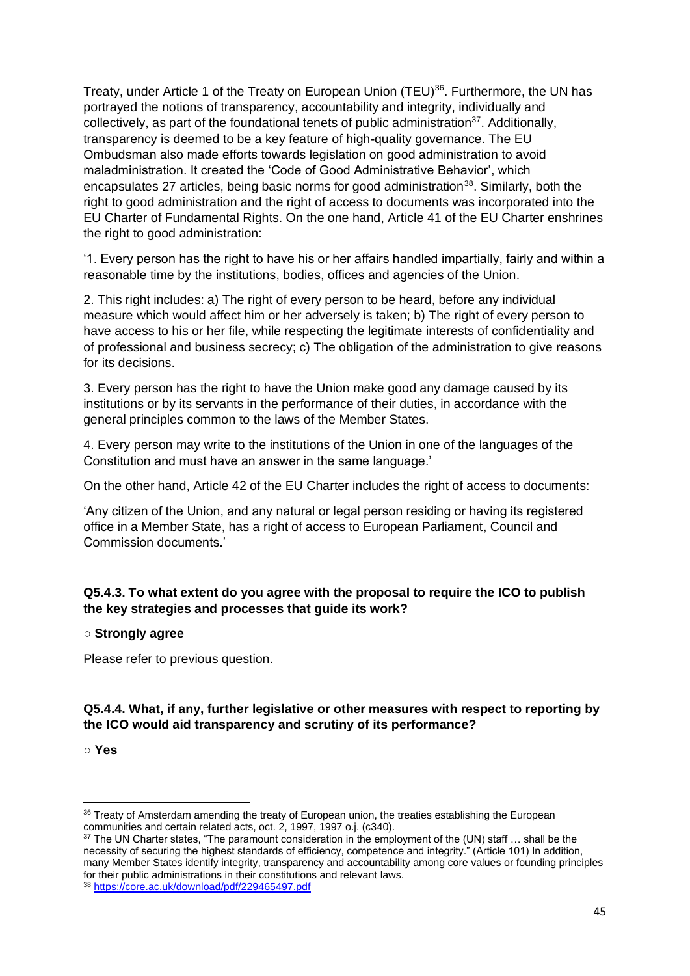Treaty, under Article 1 of the Treaty on European Union (TEU)<sup>36</sup>. Furthermore, the UN has portrayed the notions of transparency, accountability and integrity, individually and collectively, as part of the foundational tenets of public administration<sup>37</sup>. Additionally, transparency is deemed to be a key feature of high-quality governance. The EU Ombudsman also made efforts towards legislation on good administration to avoid maladministration. It created the 'Code of Good Administrative Behavior', which encapsulates 27 articles, being basic norms for good administration<sup>38</sup>. Similarly, both the right to good administration and the right of access to documents was incorporated into the EU Charter of Fundamental Rights. On the one hand, Article 41 of the EU Charter enshrines the right to good administration:

'1. Every person has the right to have his or her affairs handled impartially, fairly and within a reasonable time by the institutions, bodies, offices and agencies of the Union.

2. This right includes: a) The right of every person to be heard, before any individual measure which would affect him or her adversely is taken; b) The right of every person to have access to his or her file, while respecting the legitimate interests of confidentiality and of professional and business secrecy; c) The obligation of the administration to give reasons for its decisions.

3. Every person has the right to have the Union make good any damage caused by its institutions or by its servants in the performance of their duties, in accordance with the general principles common to the laws of the Member States.

4. Every person may write to the institutions of the Union in one of the languages of the Constitution and must have an answer in the same language.'

On the other hand, Article 42 of the EU Charter includes the right of access to documents:

'Any citizen of the Union, and any natural or legal person residing or having its registered office in a Member State, has a right of access to European Parliament, Council and Commission documents.'

## **Q5.4.3. To what extent do you agree with the proposal to require the ICO to publish the key strategies and processes that guide its work?**

## ○ **Strongly agree**

Please refer to previous question.

## **Q5.4.4. What, if any, further legislative or other measures with respect to reporting by the ICO would aid transparency and scrutiny of its performance?**

○ **Yes** 

<sup>36</sup> Treaty of Amsterdam amending the treaty of European union, the treaties establishing the European communities and certain related acts, oct. 2, 1997, 1997 o.j. (c340).

<sup>&</sup>lt;sup>37</sup> The UN Charter states, "The paramount consideration in the employment of the (UN) staff ... shall be the necessity of securing the highest standards of efficiency, competence and integrity." (Article 101) In addition, many Member States identify integrity, transparency and accountability among core values or founding principles for their public administrations in their constitutions and relevant laws. <sup>38</sup> <https://core.ac.uk/download/pdf/229465497.pdf>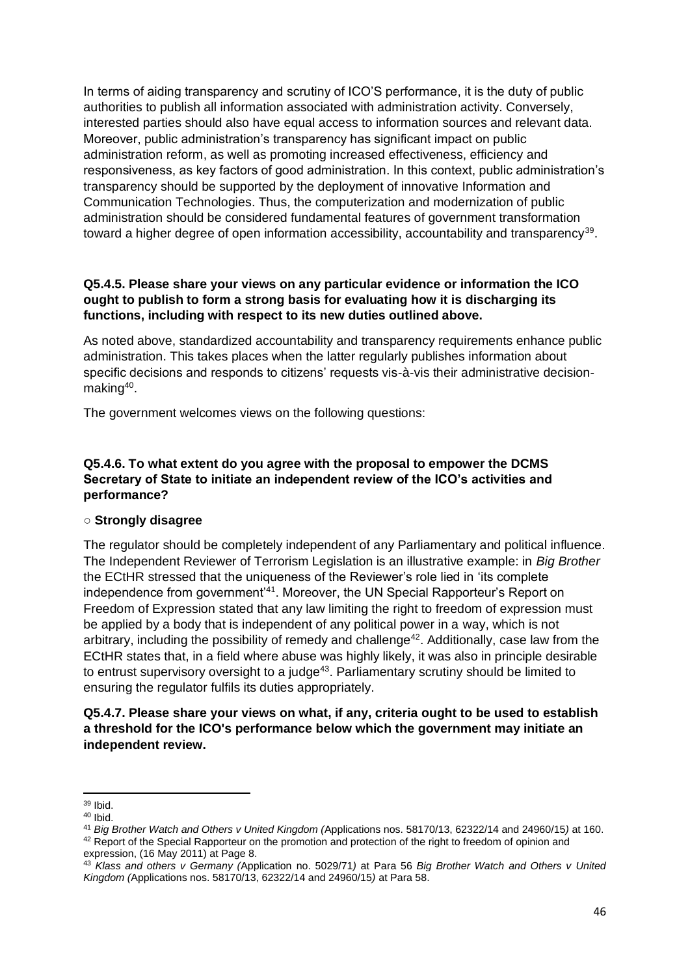In terms of aiding transparency and scrutiny of ICO'S performance, it is the duty of public authorities to publish all information associated with administration activity. Conversely, interested parties should also have equal access to information sources and relevant data. Moreover, public administration's transparency has significant impact on public administration reform, as well as promoting increased effectiveness, efficiency and responsiveness, as key factors of good administration. In this context, public administration's transparency should be supported by the deployment of innovative Information and Communication Technologies. Thus, the computerization and modernization of public administration should be considered fundamental features of government transformation toward a higher degree of open information accessibility, accountability and transparency<sup>39</sup>.

## **Q5.4.5. Please share your views on any particular evidence or information the ICO ought to publish to form a strong basis for evaluating how it is discharging its functions, including with respect to its new duties outlined above.**

As noted above, standardized accountability and transparency requirements enhance public administration. This takes places when the latter regularly publishes information about specific decisions and responds to citizens' requests vis-à-vis their administrative decisionmaking<sup>40</sup>.

The government welcomes views on the following questions:

# **Q5.4.6. To what extent do you agree with the proposal to empower the DCMS Secretary of State to initiate an independent review of the ICO's activities and performance?**

## ○ **Strongly disagree**

The regulator should be completely independent of any Parliamentary and political influence. The Independent Reviewer of Terrorism Legislation is an illustrative example: in *Big Brother*  the ECtHR stressed that the uniqueness of the Reviewer's role lied in 'its complete independence from government'<sup>41</sup>. Moreover, the UN Special Rapporteur's Report on Freedom of Expression stated that any law limiting the right to freedom of expression must be applied by a body that is independent of any political power in a way, which is not arbitrary, including the possibility of remedy and challenge<sup>42</sup>. Additionally, case law from the ECtHR states that, in a field where abuse was highly likely, it was also in principle desirable to entrust supervisory oversight to a judge<sup>43</sup>. Parliamentary scrutiny should be limited to ensuring the regulator fulfils its duties appropriately.

## **Q5.4.7. Please share your views on what, if any, criteria ought to be used to establish a threshold for the ICO's performance below which the government may initiate an independent review.**

<sup>39</sup> Ibid.

 $40$  Ibid.

<sup>41</sup> *Big Brother Watch and Others v United Kingdom (*Applications nos. 58170/13, 62322/14 and 24960/15*)* at 160.

<sup>&</sup>lt;sup>42</sup> Report of the Special Rapporteur on the promotion and protection of the right to freedom of opinion and expression, (16 May 2011) at Page 8.

<sup>43</sup> *Klass and others v Germany (*Application no. 5029/71*)* at Para 56 *Big Brother Watch and Others v United Kingdom (*Applications nos. 58170/13, 62322/14 and 24960/15*)* at Para 58.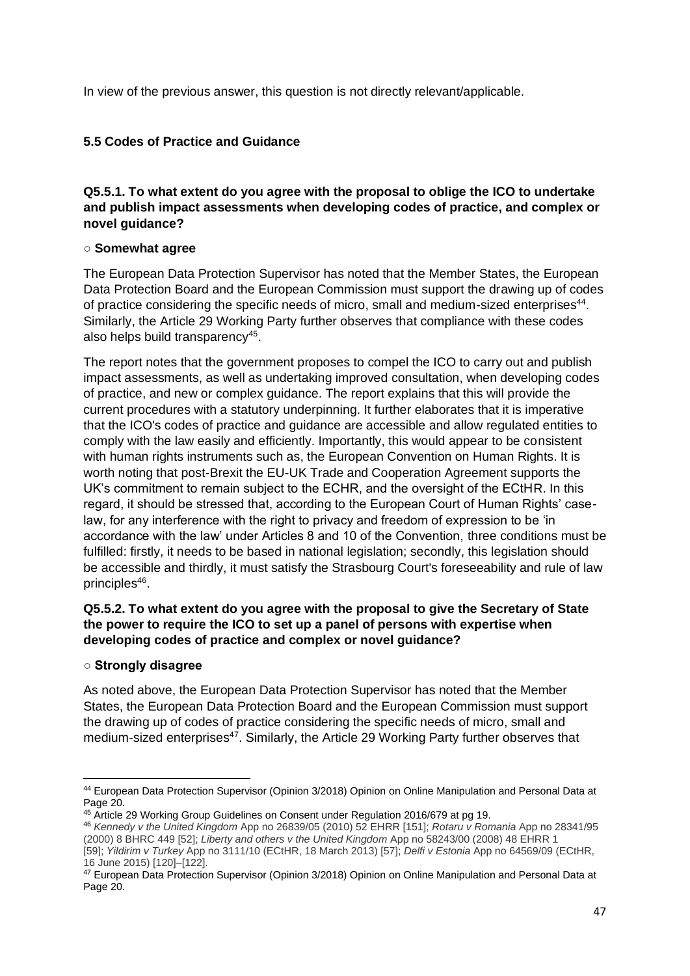In view of the previous answer, this question is not directly relevant/applicable.

# **5.5 Codes of Practice and Guidance**

# **Q5.5.1. To what extent do you agree with the proposal to oblige the ICO to undertake and publish impact assessments when developing codes of practice, and complex or novel guidance?**

## ○ **Somewhat agree**

The European Data Protection Supervisor has noted that the Member States, the European Data Protection Board and the European Commission must support the drawing up of codes of practice considering the specific needs of micro, small and medium-sized enterprises<sup>44</sup>. Similarly, the Article 29 Working Party further observes that compliance with these codes also helps build transparency<sup>45</sup>.

The report notes that the government proposes to compel the ICO to carry out and publish impact assessments, as well as undertaking improved consultation, when developing codes of practice, and new or complex guidance. The report explains that this will provide the current procedures with a statutory underpinning. It further elaborates that it is imperative that the ICO's codes of practice and guidance are accessible and allow regulated entities to comply with the law easily and efficiently. Importantly, this would appear to be consistent with human rights instruments such as, the European Convention on Human Rights. It is worth noting that post-Brexit the EU-UK Trade and Cooperation Agreement supports the UK's commitment to remain subject to the ECHR, and the oversight of the ECtHR. In this regard, it should be stressed that, according to the European Court of Human Rights' caselaw, for any interference with the right to privacy and freedom of expression to be 'in accordance with the law' under Articles 8 and 10 of the Convention, three conditions must be fulfilled: firstly, it needs to be based in national legislation; secondly, this legislation should be accessible and thirdly, it must satisfy the Strasbourg Court's foreseeability and rule of law principles<sup>46</sup>.

# **Q5.5.2. To what extent do you agree with the proposal to give the Secretary of State the power to require the ICO to set up a panel of persons with expertise when developing codes of practice and complex or novel guidance?**

## **○ Strongly disagree**

As noted above, the European Data Protection Supervisor has noted that the Member States, the European Data Protection Board and the European Commission must support the drawing up of codes of practice considering the specific needs of micro, small and medium-sized enterprises<sup>47</sup>. Similarly, the Article 29 Working Party further observes that

<sup>44</sup> European Data Protection Supervisor (Opinion 3/2018) Opinion on Online Manipulation and Personal Data at Page 20.

<sup>45</sup> Article 29 Working Group Guidelines on Consent under Regulation 2016/679 at pg 19.

<sup>46</sup> *Kennedy v the United Kingdom* App no 26839/05 (2010) 52 EHRR [151]; *Rotaru v Romania* App no 28341/95 (2000) 8 BHRC 449 [52]; *Liberty and others v the United Kingdom* App no 58243/00 (2008) 48 EHRR 1 [59]; *Yildirim v Turkey* App no 3111/10 (ECtHR, 18 March 2013) [57]; *Delfi v Estonia* App no 64569/09 (ECtHR, 16 June 2015) [120]–[122].

<sup>47</sup> European Data Protection Supervisor (Opinion 3/2018) Opinion on Online Manipulation and Personal Data at Page 20.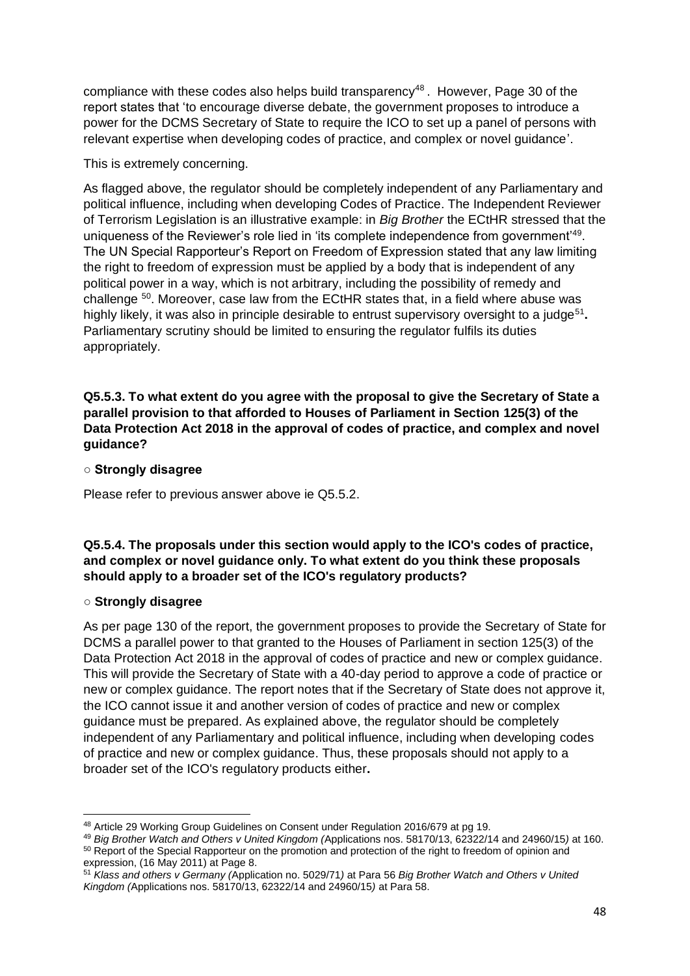compliance with these codes also helps build transparency<sup>48</sup>. However, Page 30 of the report states that 'to encourage diverse debate, the government proposes to introduce a power for the DCMS Secretary of State to require the ICO to set up a panel of persons with relevant expertise when developing codes of practice, and complex or novel guidance'.

This is extremely concerning.

As flagged above, the regulator should be completely independent of any Parliamentary and political influence, including when developing Codes of Practice. The Independent Reviewer of Terrorism Legislation is an illustrative example: in *Big Brother* the ECtHR stressed that the uniqueness of the Reviewer's role lied in 'its complete independence from government'<sup>49</sup>. The UN Special Rapporteur's Report on Freedom of Expression stated that any law limiting the right to freedom of expression must be applied by a body that is independent of any political power in a way, which is not arbitrary, including the possibility of remedy and challenge <sup>50</sup>. Moreover, case law from the ECtHR states that, in a field where abuse was highly likely, it was also in principle desirable to entrust supervisory oversight to a judge<sup>51</sup>. Parliamentary scrutiny should be limited to ensuring the regulator fulfils its duties appropriately.

**Q5.5.3. To what extent do you agree with the proposal to give the Secretary of State a parallel provision to that afforded to Houses of Parliament in Section 125(3) of the Data Protection Act 2018 in the approval of codes of practice, and complex and novel guidance?**

## **○ Strongly disagree**

Please refer to previous answer above ie Q5.5.2.

# **Q5.5.4. The proposals under this section would apply to the ICO's codes of practice, and complex or novel guidance only. To what extent do you think these proposals should apply to a broader set of the ICO's regulatory products?**

## ○ **Strongly disagree**

As per page 130 of the report, the government proposes to provide the Secretary of State for DCMS a parallel power to that granted to the Houses of Parliament in section 125(3) of the Data Protection Act 2018 in the approval of codes of practice and new or complex guidance. This will provide the Secretary of State with a 40-day period to approve a code of practice or new or complex guidance. The report notes that if the Secretary of State does not approve it, the ICO cannot issue it and another version of codes of practice and new or complex guidance must be prepared. As explained above, the regulator should be completely independent of any Parliamentary and political influence, including when developing codes of practice and new or complex guidance. Thus, these proposals should not apply to a broader set of the ICO's regulatory products either**.**

<sup>48</sup> Article 29 Working Group Guidelines on Consent under Regulation 2016/679 at pg 19.

<sup>49</sup> *Big Brother Watch and Others v United Kingdom (*Applications nos. 58170/13, 62322/14 and 24960/15*)* at 160. <sup>50</sup> Report of the Special Rapporteur on the promotion and protection of the right to freedom of opinion and expression, (16 May 2011) at Page 8.

<sup>51</sup> *Klass and others v Germany (*Application no. 5029/71*)* at Para 56 *Big Brother Watch and Others v United Kingdom (*Applications nos. 58170/13, 62322/14 and 24960/15*)* at Para 58.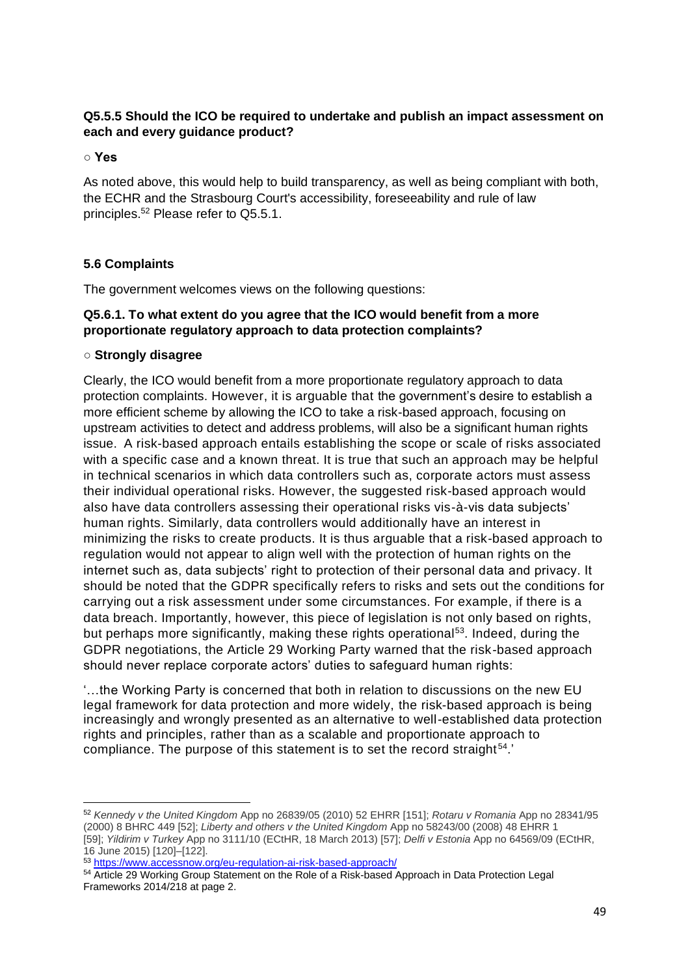# **Q5.5.5 Should the ICO be required to undertake and publish an impact assessment on each and every guidance product?**

**○ Yes** 

As noted above, this would help to build transparency, as well as being compliant with both, the ECHR and the Strasbourg Court's accessibility, foreseeability and rule of law principles.<sup>52</sup> Please refer to Q5.5.1.

## **5.6 Complaints**

The government welcomes views on the following questions:

## **Q5.6.1. To what extent do you agree that the ICO would benefit from a more proportionate regulatory approach to data protection complaints?**

## ○ **Strongly disagree**

Clearly, the ICO would benefit from a more proportionate regulatory approach to data protection complaints. However, it is arguable that the government's desire to establish a more efficient scheme by allowing the ICO to take a risk-based approach, focusing on upstream activities to detect and address problems, will also be a significant human rights issue. A risk-based approach entails establishing the scope or scale of risks associated with a specific case and a known threat. It is true that such an approach may be helpful in technical scenarios in which data controllers such as, corporate actors must assess their individual operational risks. However, the suggested risk-based approach would also have data controllers assessing their operational risks vis-à-vis data subjects' human rights. Similarly, data controllers would additionally have an interest in minimizing the risks to create products. It is thus arguable that a risk-based approach to regulation would not appear to align well with the protection of human rights on the internet such as, data subjects' right to protection of their personal data and privacy. It should be noted that the GDPR specifically refers to risks and sets out the conditions for carrying out a risk assessment under some circumstances. For example, if there is a data breach. Importantly, however, this piece of legislation is not only based on rights, but perhaps more significantly, making these rights operational<sup>53</sup>. Indeed, during the GDPR negotiations, the Article 29 Working Party warned that the risk-based approach should never replace corporate actors' duties to safeguard human rights:

'…the Working Party is concerned that both in relation to discussions on the new EU legal framework for data protection and more widely, the risk-based approach is being increasingly and wrongly presented as an alternative to well-established data protection rights and principles, rather than as a scalable and proportionate approach to compliance. The purpose of this statement is to set the record straight<sup>54</sup>.'

<sup>52</sup> *Kennedy v the United Kingdom* App no 26839/05 (2010) 52 EHRR [151]; *Rotaru v Romania* App no 28341/95 (2000) 8 BHRC 449 [52]; *Liberty and others v the United Kingdom* App no 58243/00 (2008) 48 EHRR 1 [59]; *Yildirim v Turkey* App no 3111/10 (ECtHR, 18 March 2013) [57]; *Delfi v Estonia* App no 64569/09 (ECtHR, 16 June 2015) [120]–[122].

<sup>53</sup> <https://www.accessnow.org/eu-regulation-ai-risk-based-approach/>

<sup>54</sup> Article 29 Working Group Statement on the Role of a Risk-based Approach in Data Protection Legal Frameworks 2014/218 at page 2.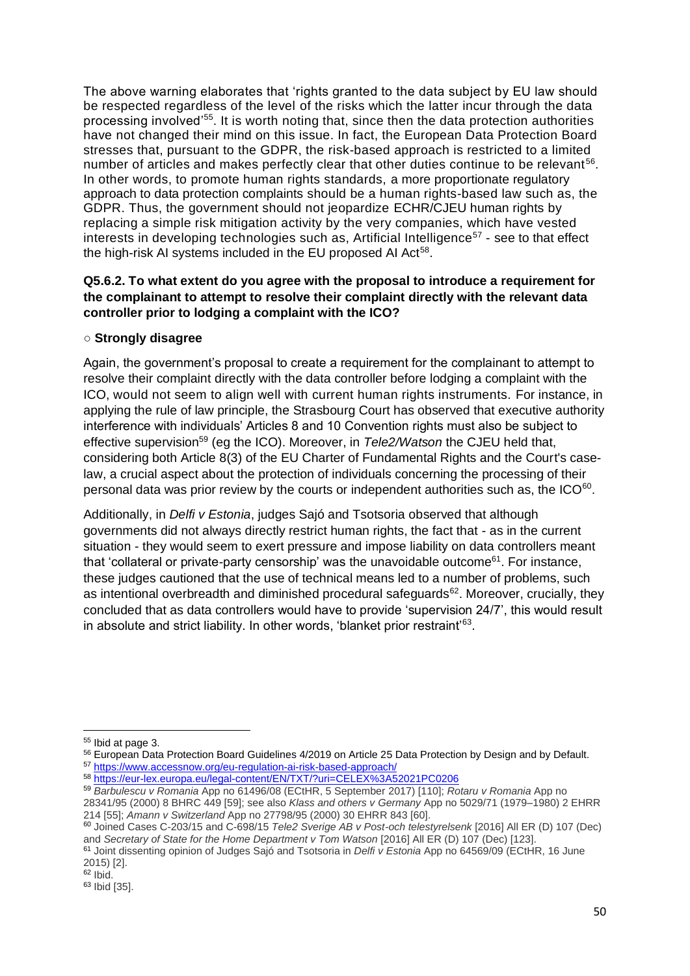The above warning elaborates that 'rights granted to the data subject by EU law should be respected regardless of the level of the risks which the latter incur through the data processing involved'<sup>55</sup>. It is worth noting that, since then the data protection authorities have not changed their mind on this issue. In fact, the European Data Protection Board stresses that, pursuant to the GDPR, the risk-based approach is restricted to a limited number of articles and makes perfectly clear that other duties continue to be relevant<sup>56</sup>. In other words, to promote human rights standards, a more proportionate regulatory approach to data protection complaints should be a human rights-based law such as, the GDPR. Thus, the government should not jeopardize ECHR/CJEU human rights by replacing a simple risk mitigation activity by the very companies, which have vested interests in developing technologies such as, Artificial Intelligence<sup>57</sup> - see to that effect the high-risk AI systems included in the EU proposed AI Act<sup>58</sup>.

## **Q5.6.2. To what extent do you agree with the proposal to introduce a requirement for the complainant to attempt to resolve their complaint directly with the relevant data controller prior to lodging a complaint with the ICO?**

## ○ **Strongly disagree**

Again, the government's proposal to create a requirement for the complainant to attempt to resolve their complaint directly with the data controller before lodging a complaint with the ICO, would not seem to align well with current human rights instruments. For instance, in applying the rule of law principle, the Strasbourg Court has observed that executive authority interference with individuals' Articles 8 and 10 Convention rights must also be subject to effective supervision<sup>59</sup> (eg the ICO). Moreover, in *Tele2/Watson* the CJEU held that, considering both Article 8(3) of the EU Charter of Fundamental Rights and the Court's caselaw, a crucial aspect about the protection of individuals concerning the processing of their personal data was prior review by the courts or independent authorities such as, the ICO $^{60}$ .

Additionally, in *Delfi v Estonia*, judges Sajó and Tsotsoria observed that although governments did not always directly restrict human rights, the fact that - as in the current situation - they would seem to exert pressure and impose liability on data controllers meant that 'collateral or private-party censorship' was the unavoidable outcome<sup>61</sup>. For instance, these judges cautioned that the use of technical means led to a number of problems, such as intentional overbreadth and diminished procedural safeguards<sup>62</sup>. Moreover, crucially, they concluded that as data controllers would have to provide 'supervision 24/7', this would result in absolute and strict liability. In other words, 'blanket prior restraint'<sup>63</sup>.

<sup>55</sup> Ibid at page 3.

<sup>56</sup> European Data Protection Board Guidelines 4/2019 on Article 25 Data Protection by Design and by Default. <sup>57</sup> <https://www.accessnow.org/eu-regulation-ai-risk-based-approach/>

<sup>58</sup> <https://eur-lex.europa.eu/legal-content/EN/TXT/?uri=CELEX%3A52021PC0206>

<sup>59</sup> *Barbulescu v Romania* App no 61496/08 (ECtHR, 5 September 2017) [110]; *Rotaru v Romania* App no

<sup>28341/95 (2000) 8</sup> BHRC 449 [59]; see also *Klass and others v Germany* App no 5029/71 (1979–1980) 2 EHRR 214 [55]; *Amann v Switzerland* App no 27798/95 (2000) 30 EHRR 843 [60].

<sup>60</sup> Joined Cases C-203/15 and C-698/15 *Tele2 Sverige AB v Post-och telestyrelsenk* [2016] All ER (D) 107 (Dec) and *Secretary of State for the Home Department v Tom Watson* [2016] All ER (D) 107 (Dec) [123].

<sup>61</sup> Joint dissenting opinion of Judges Sajó and Tsotsoria in *Delfi v Estonia* App no 64569/09 (ECtHR, 16 June 2015) [2].

<sup>62</sup> Ibid.

<sup>63</sup> Ibid [35].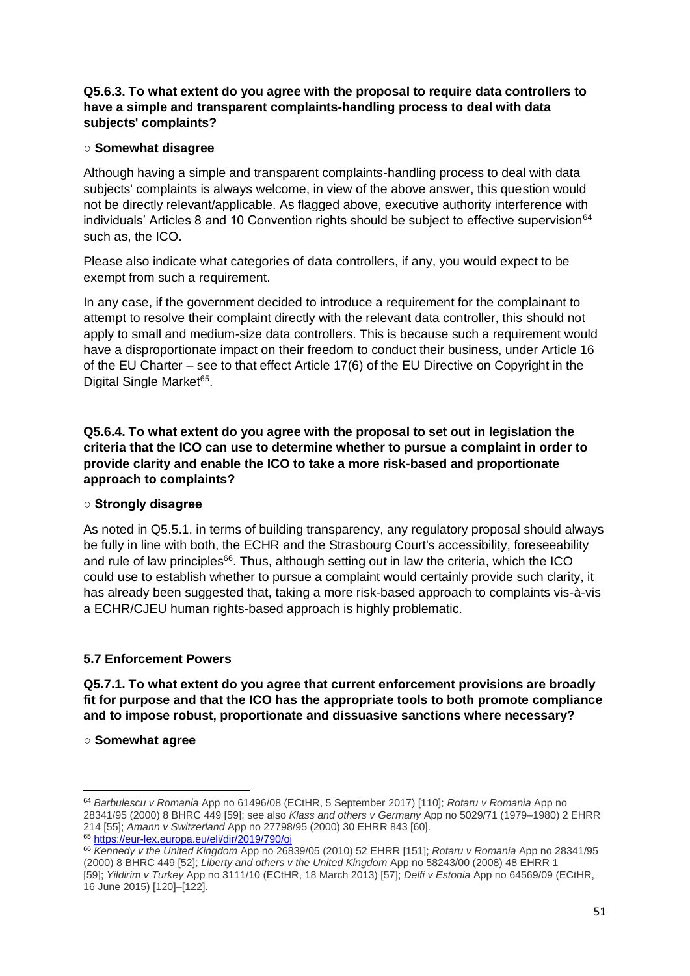## **Q5.6.3. To what extent do you agree with the proposal to require data controllers to have a simple and transparent complaints-handling process to deal with data subjects' complaints?**

# ○ **Somewhat disagree**

Although having a simple and transparent complaints-handling process to deal with data subjects' complaints is always welcome, in view of the above answer, this question would not be directly relevant/applicable. As flagged above, executive authority interference with individuals' Articles 8 and 10 Convention rights should be subject to effective supervision $64$ such as, the ICO.

Please also indicate what categories of data controllers, if any, you would expect to be exempt from such a requirement.

In any case, if the government decided to introduce a requirement for the complainant to attempt to resolve their complaint directly with the relevant data controller, this should not apply to small and medium-size data controllers. This is because such a requirement would have a disproportionate impact on their freedom to conduct their business, under Article 16 of the EU Charter – see to that effect Article 17(6) of the EU Directive on Copyright in the Digital Single Market<sup>65</sup>.

**Q5.6.4. To what extent do you agree with the proposal to set out in legislation the criteria that the ICO can use to determine whether to pursue a complaint in order to provide clarity and enable the ICO to take a more risk-based and proportionate approach to complaints?**

## **○ Strongly disagree**

As noted in Q5.5.1, in terms of building transparency, any regulatory proposal should always be fully in line with both, the ECHR and the Strasbourg Court's accessibility, foreseeability and rule of law principles<sup>66</sup>. Thus, although setting out in law the criteria, which the ICO could use to establish whether to pursue a complaint would certainly provide such clarity, it has already been suggested that, taking a more risk-based approach to complaints vis-à-vis a ECHR/CJEU human rights-based approach is highly problematic.

# **5.7 Enforcement Powers**

**Q5.7.1. To what extent do you agree that current enforcement provisions are broadly fit for purpose and that the ICO has the appropriate tools to both promote compliance and to impose robust, proportionate and dissuasive sanctions where necessary?** 

○ **Somewhat agree**

<sup>64</sup> *Barbulescu v Romania* App no 61496/08 (ECtHR, 5 September 2017) [110]; *Rotaru v Romania* App no 28341/95 (2000) 8 BHRC 449 [59]; see also *Klass and others v Germany* App no 5029/71 (1979–1980) 2 EHRR 214 [55]; *Amann v Switzerland* App no 27798/95 (2000) 30 EHRR 843 [60]. <sup>65</sup> <https://eur-lex.europa.eu/eli/dir/2019/790/oj>

<sup>66</sup> *Kennedy v the United Kingdom* App no 26839/05 (2010) 52 EHRR [151]; *Rotaru v Romania* App no 28341/95 (2000) 8 BHRC 449 [52]; *Liberty and others v the United Kingdom* App no 58243/00 (2008) 48 EHRR 1 [59]; *Yildirim v Turkey* App no 3111/10 (ECtHR, 18 March 2013) [57]; *Delfi v Estonia* App no 64569/09 (ECtHR, 16 June 2015) [120]–[122].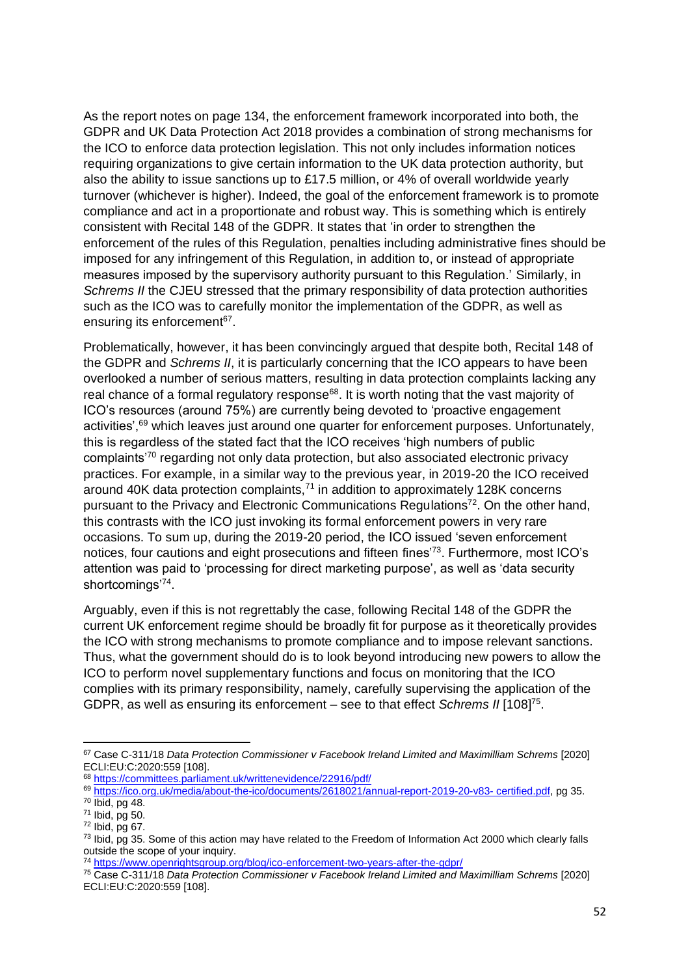As the report notes on page 134, the enforcement framework incorporated into both, the GDPR and UK Data Protection Act 2018 provides a combination of strong mechanisms for the ICO to enforce data protection legislation. This not only includes information notices requiring organizations to give certain information to the UK data protection authority, but also the ability to issue sanctions up to £17.5 million, or 4% of overall worldwide yearly turnover (whichever is higher). Indeed, the goal of the enforcement framework is to promote compliance and act in a proportionate and robust way. This is something which is entirely consistent with Recital 148 of the GDPR. It states that 'in order to strengthen the enforcement of the rules of this Regulation, penalties including administrative fines should be imposed for any infringement of this Regulation, in addition to, or instead of appropriate measures imposed by the supervisory authority pursuant to this Regulation.' Similarly, in *Schrems II* the CJEU stressed that the primary responsibility of data protection authorities such as the ICO was to carefully monitor the implementation of the GDPR, as well as ensuring its enforcement<sup>67</sup>.

Problematically, however, it has been convincingly argued that despite both, Recital 148 of the GDPR and *Schrems II*, it is particularly concerning that the ICO appears to have been overlooked a number of serious matters, resulting in data protection complaints lacking any real chance of a formal regulatory response $68$ . It is worth noting that the vast majority of ICO's resources (around 75%) are currently being devoted to 'proactive engagement activities',<sup>69</sup> which leaves just around one quarter for enforcement purposes. Unfortunately, this is regardless of the stated fact that the ICO receives 'high numbers of public complaints'<sup>70</sup> regarding not only data protection, but also associated electronic privacy practices. For example, in a similar way to the previous year, in 2019-20 the ICO received around 40K data protection complaints.<sup>71</sup> in addition to approximately 128K concerns pursuant to the Privacy and Electronic Communications Regulations<sup>72</sup>. On the other hand, this contrasts with the ICO just invoking its formal enforcement powers in very rare occasions. To sum up, during the 2019-20 period, the ICO issued 'seven enforcement notices, four cautions and eight prosecutions and fifteen fines<sup>'73</sup>. Furthermore, most ICO's attention was paid to 'processing for direct marketing purpose', as well as 'data security shortcomings'74.

Arguably, even if this is not regrettably the case, following Recital 148 of the GDPR the current UK enforcement regime should be broadly fit for purpose as it theoretically provides the ICO with strong mechanisms to promote compliance and to impose relevant sanctions. Thus, what the government should do is to look beyond introducing new powers to allow the ICO to perform novel supplementary functions and focus on monitoring that the ICO complies with its primary responsibility, namely, carefully supervising the application of the GDPR, as well as ensuring its enforcement - see to that effect *Schrems II* [108]<sup>75</sup>.

<sup>67</sup> Case C-311/18 *Data Protection Commissioner v Facebook Ireland Limited and Maximilliam Schrems* [2020] ECLI:EU:C:2020:559 [108].

<sup>68</sup> <https://committees.parliament.uk/writtenevidence/22916/pdf/>

<sup>69</sup> [https://ico.org.uk/media/about-the-ico/documents/2618021/annual-report-2019-20-v83-](https://ico.org.uk/media/about-the-ico/documents/2618021/annual-report-2019-20-v83-%20certified.pdf) certified.pdf, pg 35. <sup>70</sup> Ibid, pg 48.

<sup>71</sup> Ibid, pg 50.

<sup>72</sup> Ibid, pg 67.

<sup>&</sup>lt;sup>73</sup> Ibid, pg 35. Some of this action may have related to the Freedom of Information Act 2000 which clearly falls outside the scope of your inquiry.

<sup>74</sup> <https://www.openrightsgroup.org/blog/ico-enforcement-two-years-after-the-gdpr/>

<sup>75</sup> Case C-311/18 *Data Protection Commissioner v Facebook Ireland Limited and Maximilliam Schrems* [2020] ECLI:EU:C:2020:559 [108].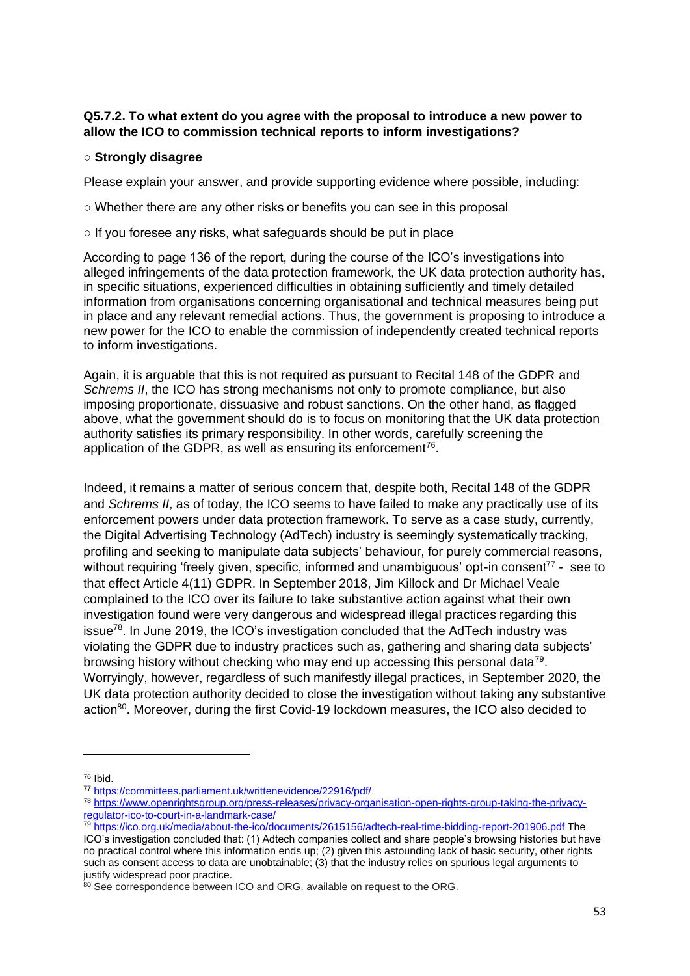## **Q5.7.2. To what extent do you agree with the proposal to introduce a new power to allow the ICO to commission technical reports to inform investigations?**

#### ○ **Strongly disagree**

Please explain your answer, and provide supporting evidence where possible, including:

- Whether there are any other risks or benefits you can see in this proposal
- $\circ$  If you foresee any risks, what safeguards should be put in place

According to page 136 of the report, during the course of the ICO's investigations into alleged infringements of the data protection framework, the UK data protection authority has, in specific situations, experienced difficulties in obtaining sufficiently and timely detailed information from organisations concerning organisational and technical measures being put in place and any relevant remedial actions. Thus, the government is proposing to introduce a new power for the ICO to enable the commission of independently created technical reports to inform investigations.

Again, it is arguable that this is not required as pursuant to Recital 148 of the GDPR and *Schrems II*, the ICO has strong mechanisms not only to promote compliance, but also imposing proportionate, dissuasive and robust sanctions. On the other hand, as flagged above, what the government should do is to focus on monitoring that the UK data protection authority satisfies its primary responsibility. In other words, carefully screening the application of the GDPR, as well as ensuring its enforcement<sup>76</sup>.

Indeed, it remains a matter of serious concern that, despite both, Recital 148 of the GDPR and *Schrems II*, as of today, the ICO seems to have failed to make any practically use of its enforcement powers under data protection framework. To serve as a case study, currently, the Digital Advertising Technology (AdTech) industry is seemingly systematically tracking, profiling and seeking to manipulate data subjects' behaviour, for purely commercial reasons, without requiring 'freely given, specific, informed and unambiguous' opt-in consent<sup>77</sup> - see to that effect Article 4(11) GDPR. In September 2018, Jim Killock and Dr Michael Veale complained to the ICO over its failure to take substantive action against what their own investigation found were very dangerous and widespread illegal practices regarding this  $i$ ssue<sup>78</sup>. In June 2019, the ICO's investigation concluded that the AdTech industry was violating the GDPR due to industry practices such as, gathering and sharing data subjects' browsing history without checking who may end up accessing this personal data<sup>79</sup>. Worryingly, however, regardless of such manifestly illegal practices, in September 2020, the UK data protection authority decided to close the investigation without taking any substantive action<sup>80</sup>. Moreover, during the first Covid-19 lockdown measures, the ICO also decided to

<sup>76</sup> Ibid.

<sup>77</sup> <https://committees.parliament.uk/writtenevidence/22916/pdf/>

<sup>78</sup> [https://www.openrightsgroup.org/press-releases/privacy-organisation-open-rights-group-taking-the-privacy](https://www.openrightsgroup.org/press-releases/privacy-organisation-open-rights-group-taking-the-privacy-regulator-ico-to-court-in-a-landmark-case/)[regulator-ico-to-court-in-a-landmark-case/](https://www.openrightsgroup.org/press-releases/privacy-organisation-open-rights-group-taking-the-privacy-regulator-ico-to-court-in-a-landmark-case/)

<sup>79</sup> <https://ico.org.uk/media/about-the-ico/documents/2615156/adtech-real-time-bidding-report-201906.pdf> The

ICO's investigation concluded that: (1) Adtech companies collect and share people's browsing histories but have no practical control where this information ends up; (2) given this astounding lack of basic security, other rights such as consent access to data are unobtainable; (3) that the industry relies on spurious legal arguments to justify widespread poor practice.

<sup>80</sup> See correspondence between ICO and ORG, available on request to the ORG.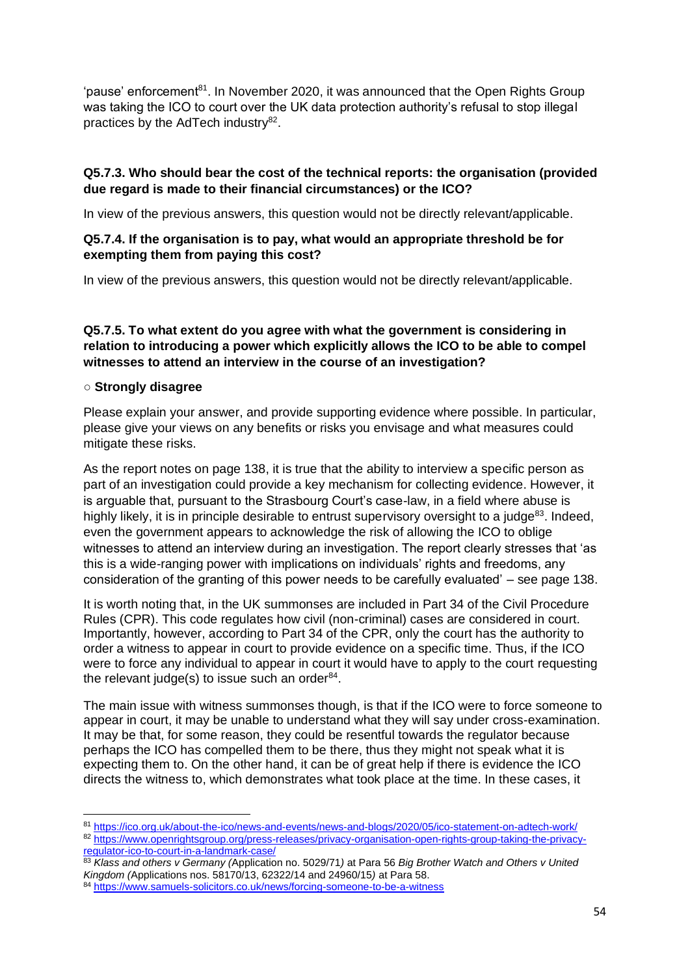'pause' enforcement<sup>81</sup>. In November 2020, it was announced that the Open Rights Group was taking the ICO to court over the UK data protection authority's refusal to stop illegal practices by the AdTech industry<sup>82</sup>.

# **Q5.7.3. Who should bear the cost of the technical reports: the organisation (provided due regard is made to their financial circumstances) or the ICO?**

In view of the previous answers, this question would not be directly relevant/applicable.

# **Q5.7.4. If the organisation is to pay, what would an appropriate threshold be for exempting them from paying this cost?**

In view of the previous answers, this question would not be directly relevant/applicable.

**Q5.7.5. To what extent do you agree with what the government is considering in relation to introducing a power which explicitly allows the ICO to be able to compel witnesses to attend an interview in the course of an investigation?** 

## ○ **Strongly disagree**

Please explain your answer, and provide supporting evidence where possible. In particular, please give your views on any benefits or risks you envisage and what measures could mitigate these risks.

As the report notes on page 138, it is true that the ability to interview a specific person as part of an investigation could provide a key mechanism for collecting evidence. However, it is arguable that, pursuant to the Strasbourg Court's case-law, in a field where abuse is highly likely, it is in principle desirable to entrust supervisory oversight to a judge<sup>83</sup>. Indeed, even the government appears to acknowledge the risk of allowing the ICO to oblige witnesses to attend an interview during an investigation. The report clearly stresses that 'as this is a wide-ranging power with implications on individuals' rights and freedoms, any consideration of the granting of this power needs to be carefully evaluated' – see page 138.

It is worth noting that, in the UK summonses are included in Part 34 of the Civil Procedure Rules (CPR). This code regulates how civil (non-criminal) cases are considered in court. Importantly, however, according to Part 34 of the CPR, only the court has the authority to order a witness to appear in court to provide evidence on a specific time. Thus, if the ICO were to force any individual to appear in court it would have to apply to the court requesting the relevant judge(s) to issue such an order $84$ .

The main issue with witness summonses though, is that if the ICO were to force someone to appear in court, it may be unable to understand what they will say under cross-examination. It may be that, for some reason, they could be resentful towards the regulator because perhaps the ICO has compelled them to be there, thus they might not speak what it is expecting them to. On the other hand, it can be of great help if there is evidence the ICO directs the witness to, which demonstrates what took place at the time. In these cases, it

<sup>81</sup> <https://ico.org.uk/about-the-ico/news-and-events/news-and-blogs/2020/05/ico-statement-on-adtech-work/>

<sup>82</sup> [https://www.openrightsgroup.org/press-releases/privacy-organisation-open-rights-group-taking-the-privacy](https://www.openrightsgroup.org/press-releases/privacy-organisation-open-rights-group-taking-the-privacy-regulator-ico-to-court-in-a-landmark-case/)[regulator-ico-to-court-in-a-landmark-case/](https://www.openrightsgroup.org/press-releases/privacy-organisation-open-rights-group-taking-the-privacy-regulator-ico-to-court-in-a-landmark-case/)

<sup>83</sup> *Klass and others v Germany (*Application no. 5029/71*)* at Para 56 *Big Brother Watch and Others v United Kingdom (*Applications nos. 58170/13, 62322/14 and 24960/15*)* at Para 58.

<sup>84</sup> <https://www.samuels-solicitors.co.uk/news/forcing-someone-to-be-a-witness>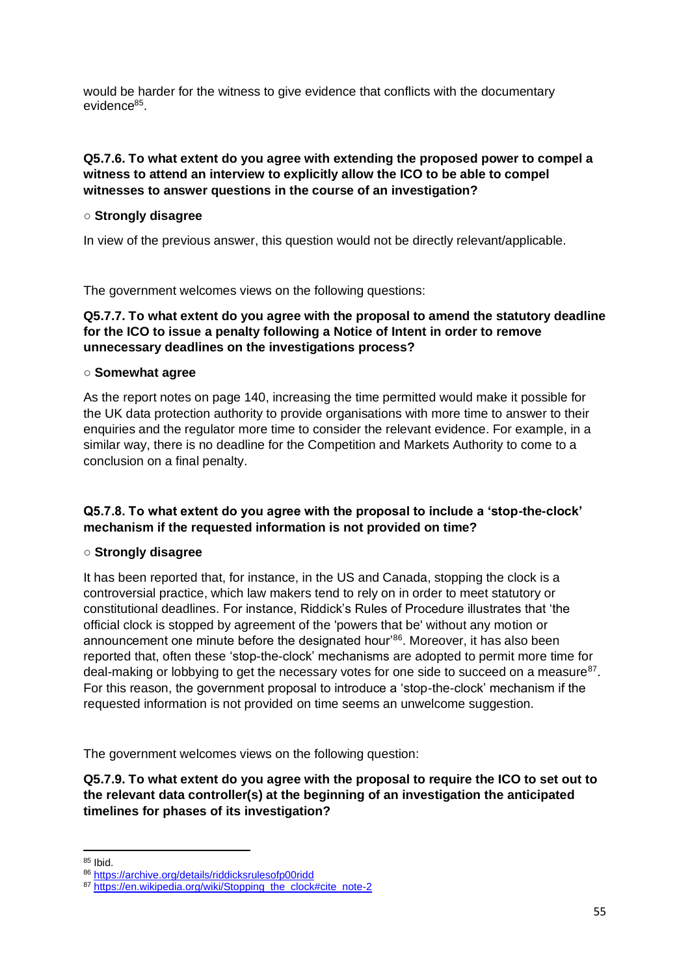would be harder for the witness to give evidence that conflicts with the documentary evidence<sup>85</sup>.

## **Q5.7.6. To what extent do you agree with extending the proposed power to compel a witness to attend an interview to explicitly allow the ICO to be able to compel witnesses to answer questions in the course of an investigation?**

## ○ **Strongly disagree**

In view of the previous answer, this question would not be directly relevant/applicable.

The government welcomes views on the following questions:

## **Q5.7.7. To what extent do you agree with the proposal to amend the statutory deadline for the ICO to issue a penalty following a Notice of Intent in order to remove unnecessary deadlines on the investigations process?**

## ○ **Somewhat agree**

As the report notes on page 140, increasing the time permitted would make it possible for the UK data protection authority to provide organisations with more time to answer to their enquiries and the regulator more time to consider the relevant evidence. For example, in a similar way, there is no deadline for the Competition and Markets Authority to come to a conclusion on a final penalty.

# **Q5.7.8. To what extent do you agree with the proposal to include a 'stop-the-clock' mechanism if the requested information is not provided on time?**

# ○ **Strongly disagree**

It has been reported that, for instance, in the US and Canada, stopping the clock is a controversial practice, which law makers tend to rely on in order to meet statutory or constitutional deadlines. For instance, Riddick's Rules of Procedure illustrates that 'the official clock is stopped by agreement of the 'powers that be' without any motion or announcement one minute before the designated hour<sup>36</sup>. Moreover, it has also been reported that, often these 'stop-the-clock' mechanisms are adopted to permit more time for deal-making or lobbying to get the necessary votes for one side to succeed on a measure $87$ . For this reason, the government proposal to introduce a 'stop-the-clock' mechanism if the requested information is not provided on time seems an unwelcome suggestion.

The government welcomes views on the following question:

**Q5.7.9. To what extent do you agree with the proposal to require the ICO to set out to the relevant data controller(s) at the beginning of an investigation the anticipated timelines for phases of its investigation?** 

<sup>85</sup> Ibid.

<sup>86</sup> <https://archive.org/details/riddicksrulesofp00ridd>

<sup>87</sup> [https://en.wikipedia.org/wiki/Stopping\\_the\\_clock#cite\\_note-2](https://en.wikipedia.org/wiki/Stopping_the_clock#cite_note-2)